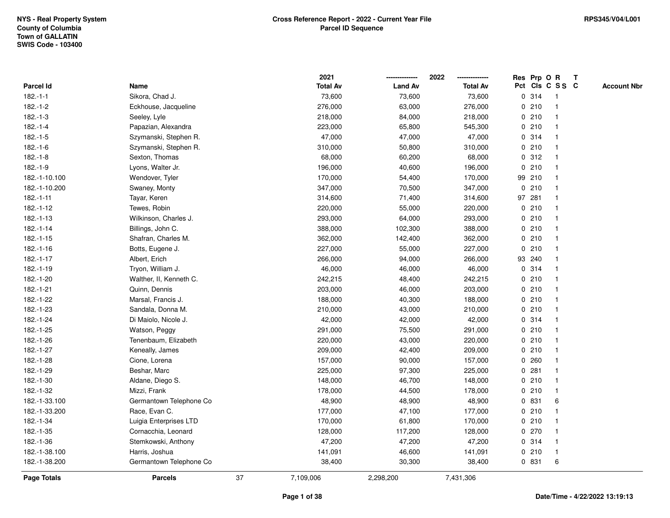|                    |                         |    | 2021            |                | 2022            |              |        | Res Prp O R     | Т |                    |
|--------------------|-------------------------|----|-----------------|----------------|-----------------|--------------|--------|-----------------|---|--------------------|
| Parcel Id          | Name                    |    | <b>Total Av</b> | <b>Land Av</b> | <b>Total Av</b> |              |        | Pct Cls C S S C |   | <b>Account Nbr</b> |
| $182.-1-1$         | Sikora, Chad J.         |    | 73,600          | 73,600         | 73,600          |              | 0.314  | $\mathbf{1}$    |   |                    |
| $182.-1-2$         | Eckhouse, Jacqueline    |    | 276,000         | 63,000         | 276,000         | 0            | 210    | -1              |   |                    |
| $182.-1-3$         | Seeley, Lyle            |    | 218,000         | 84,000         | 218,000         |              | 0210   | $\mathbf{1}$    |   |                    |
| $182.-1-4$         | Papazian, Alexandra     |    | 223,000         | 65,800         | 545,300         |              | 0210   | -1              |   |                    |
| $182.-1-5$         | Szymanski, Stephen R.   |    | 47,000          | 47,000         | 47,000          |              | 0 314  |                 |   |                    |
| $182.-1-6$         | Szymanski, Stephen R.   |    | 310,000         | 50,800         | 310,000         |              | 0210   |                 |   |                    |
| $182.-1-8$         | Sexton, Thomas          |    | 68,000          | 60,200         | 68,000          |              | 0.312  | $\mathbf{1}$    |   |                    |
| $182.-1-9$         | Lyons, Walter Jr.       |    | 196,000         | 40,600         | 196,000         | $\mathbf 0$  | 210    | $\mathbf{1}$    |   |                    |
| 182.-1-10.100      | Wendover, Tyler         |    | 170,000         | 54,400         | 170,000         |              | 99 210 | -1              |   |                    |
| 182.-1-10.200      | Swaney, Monty           |    | 347,000         | 70,500         | 347,000         |              | 0210   | $\mathbf{1}$    |   |                    |
| 182.-1-11          | Tayar, Keren            |    | 314,600         | 71,400         | 314,600         |              | 97 281 |                 |   |                    |
| 182.-1-12          | Tewes, Robin            |    | 220,000         | 55,000         | 220,000         |              | 0210   |                 |   |                    |
| $182 - 1 - 13$     | Wilkinson, Charles J.   |    | 293,000         | 64,000         | 293,000         |              | 0210   |                 |   |                    |
| 182.-1-14          | Billings, John C.       |    | 388,000         | 102,300        | 388,000         |              | 0210   |                 |   |                    |
| $182.-1-15$        | Shafran, Charles M.     |    | 362,000         | 142,400        | 362,000         |              | 0210   | $\overline{1}$  |   |                    |
| $182.-1-16$        | Botts, Eugene J.        |    | 227,000         | 55,000         | 227,000         | $\mathbf{0}$ | 210    | $\mathbf{1}$    |   |                    |
| 182.-1-17          | Albert, Erich           |    | 266,000         | 94,000         | 266,000         |              | 93 240 | $\mathbf{1}$    |   |                    |
| 182.-1-19          | Tryon, William J.       |    | 46,000          | 46,000         | 46,000          |              | 0.314  |                 |   |                    |
| 182.-1-20          | Walther, II, Kenneth C. |    | 242,215         | 48,400         | 242,215         |              | 0210   |                 |   |                    |
| 182.-1-21          | Quinn, Dennis           |    | 203,000         | 46,000         | 203,000         |              | 0210   |                 |   |                    |
| 182.-1-22          | Marsal, Francis J.      |    | 188,000         | 40,300         | 188,000         |              | 0210   |                 |   |                    |
| 182.-1-23          | Sandala, Donna M.       |    | 210,000         | 43,000         | 210,000         |              | 0210   | -1              |   |                    |
| 182.-1-24          | Di Maiolo, Nicole J.    |    | 42,000          | 42,000         | 42,000          |              | 0.314  | -1              |   |                    |
| 182.-1-25          | Watson, Peggy           |    | 291,000         | 75,500         | 291,000         |              | 0210   | $\mathbf{1}$    |   |                    |
| 182.-1-26          | Tenenbaum, Elizabeth    |    | 220,000         | 43,000         | 220,000         |              | 0210   | 1               |   |                    |
| 182.-1-27          | Keneally, James         |    | 209,000         | 42,400         | 209,000         |              | 0210   |                 |   |                    |
| 182.-1-28          | Cione, Lorena           |    | 157,000         | 90,000         | 157,000         |              | 0.260  |                 |   |                    |
| 182.-1-29          | Beshar, Marc            |    | 225,000         | 97,300         | 225,000         |              | 0.281  |                 |   |                    |
| 182.-1-30          | Aldane, Diego S.        |    | 148,000         | 46,700         | 148,000         |              | 0210   | $\mathbf{1}$    |   |                    |
| 182.-1-32          | Mizzi, Frank            |    | 178,000         | 44,500         | 178,000         | $\mathbf 0$  | 210    | -1              |   |                    |
| 182.-1-33.100      | Germantown Telephone Co |    | 48,900          | 48,900         | 48,900          | 0            | 831    | 6               |   |                    |
| 182.-1-33.200      | Race, Evan C.           |    | 177,000         | 47,100         | 177,000         |              | 0210   | $\mathbf{1}$    |   |                    |
| 182.-1-34          | Luigia Enterprises LTD  |    | 170,000         | 61,800         | 170,000         |              | 0210   |                 |   |                    |
| 182.-1-35          | Cornacchia, Leonard     |    | 128,000         | 117,200        | 128,000         |              | 0270   |                 |   |                    |
| 182.-1-36          | Stemkowski, Anthony     |    | 47,200          | 47,200         | 47,200          |              | 0.314  | 1               |   |                    |
| 182.-1-38.100      | Harris, Joshua          |    | 141,091         | 46,600         | 141,091         |              | 0210   | $\mathbf{1}$    |   |                    |
| 182.-1-38.200      | Germantown Telephone Co |    | 38,400          | 30,300         | 38,400          |              | 0 831  | 6               |   |                    |
| <b>Page Totals</b> | <b>Parcels</b>          | 37 | 7,109,006       | 2,298,200      | 7,431,306       |              |        |                 |   |                    |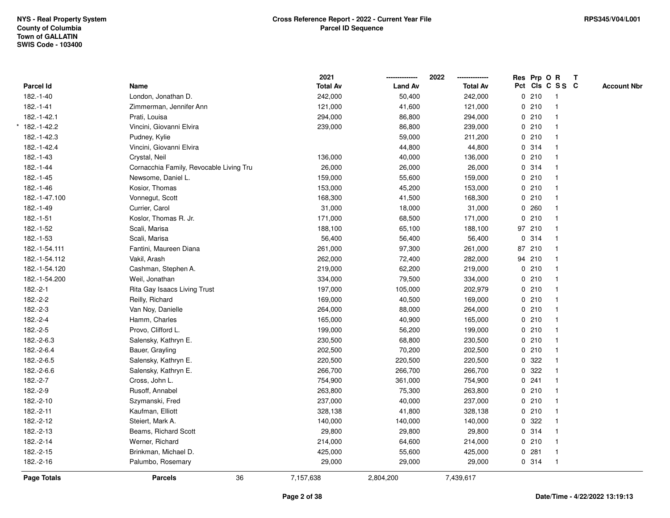|                    |                                         | 2021            |                | 2022            |             |        | Res Prp O R     | T |                    |
|--------------------|-----------------------------------------|-----------------|----------------|-----------------|-------------|--------|-----------------|---|--------------------|
| Parcel Id          | Name                                    | <b>Total Av</b> | <b>Land Av</b> | <b>Total Av</b> |             |        | Pct Cls C S S C |   | <b>Account Nbr</b> |
| 182.-1-40          | London, Jonathan D.                     | 242,000         | 50,400         | 242,000         |             | 0210   | $\mathbf{1}$    |   |                    |
| 182.-1-41          | Zimmerman, Jennifer Ann                 | 121,000         | 41,600         | 121,000         | 0           | 210    | $\mathbf{1}$    |   |                    |
| 182.-1-42.1        | Prati, Louisa                           | 294,000         | 86,800         | 294,000         |             | 0210   | $\mathbf{1}$    |   |                    |
| 182.-1-42.2        | Vincini, Giovanni Elvira                | 239,000         | 86,800         | 239,000         |             | 0210   | $\mathbf 1$     |   |                    |
| 182.-1-42.3        | Pudney, Kylie                           |                 | 59,000         | 211,200         |             | 0210   |                 |   |                    |
| 182.-1-42.4        | Vincini, Giovanni Elvira                |                 | 44,800         | 44,800          |             | 0 314  |                 |   |                    |
| 182.-1-43          | Crystal, Neil                           | 136,000         | 40,000         | 136,000         |             | 0210   | $\mathbf{1}$    |   |                    |
| $182.-1-44$        | Cornacchia Family, Revocable Living Tru | 26,000          | 26,000         | 26,000          |             | 0.314  | $\mathbf{1}$    |   |                    |
| 182.-1-45          | Newsome, Daniel L.                      | 159,000         | 55,600         | 159,000         |             | 0210   | $\mathbf{1}$    |   |                    |
| 182.-1-46          | Kosior, Thomas                          | 153,000         | 45,200         | 153,000         |             | 0210   | $\mathbf{1}$    |   |                    |
| 182.-1-47.100      | Vonnegut, Scott                         | 168,300         | 41,500         | 168,300         |             | 0210   | 1               |   |                    |
| 182.-1-49          | Currier, Carol                          | 31,000          | 18,000         | 31,000          |             | 0.260  |                 |   |                    |
| 182.-1-51          | Koslor, Thomas R. Jr.                   | 171,000         | 68,500         | 171,000         | 0           | 210    |                 |   |                    |
| 182.-1-52          | Scali, Marisa                           | 188,100         | 65,100         | 188,100         |             | 97 210 | $\mathbf{1}$    |   |                    |
| 182.-1-53          | Scali, Marisa                           | 56,400          | 56,400         | 56,400          | $\mathbf 0$ | 314    | $\mathbf{1}$    |   |                    |
| 182.-1-54.111      | Fantini, Maureen Diana                  | 261,000         | 97,300         | 261,000         |             | 87 210 | $\mathbf{1}$    |   |                    |
| 182.-1-54.112      | Vakil, Arash                            | 262,000         | 72,400         | 282,000         |             | 94 210 | $\mathbf{1}$    |   |                    |
| 182.-1-54.120      | Cashman, Stephen A.                     | 219,000         | 62,200         | 219,000         |             | 0210   | 1               |   |                    |
| 182.-1-54.200      | Weil, Jonathan                          | 334,000         | 79,500         | 334,000         |             | 0210   |                 |   |                    |
| 182.-2-1           | Rita Gay Isaacs Living Trust            | 197,000         | 105,000        | 202,979         |             | 0210   |                 |   |                    |
| 182.-2-2           | Reilly, Richard                         | 169,000         | 40,500         | 169,000         |             | 0210   | $\mathbf{1}$    |   |                    |
| $182.-2-3$         | Van Noy, Danielle                       | 264,000         | 88,000         | 264,000         |             | 0210   | $\mathbf{1}$    |   |                    |
| 182.-2-4           | Hamm, Charles                           | 165,000         | 40,900         | 165,000         |             | 0210   | $\mathbf{1}$    |   |                    |
| 182.-2-5           | Provo, Clifford L.                      | 199,000         | 56,200         | 199,000         |             | 0210   | $\mathbf{1}$    |   |                    |
| 182.-2-6.3         | Salensky, Kathryn E.                    | 230,500         | 68,800         | 230,500         |             | 0210   | 1               |   |                    |
| 182.-2-6.4         | Bauer, Grayling                         | 202,500         | 70,200         | 202,500         |             | 0210   |                 |   |                    |
| 182.-2-6.5         | Salensky, Kathryn E.                    | 220,500         | 220,500        | 220,500         |             | 0 322  |                 |   |                    |
| 182.-2-6.6         | Salensky, Kathryn E.                    | 266,700         | 266,700        | 266,700         |             | 0 322  | $\mathbf{1}$    |   |                    |
| 182.-2-7           | Cross, John L.                          | 754,900         | 361,000        | 754,900         | $\mathbf 0$ | 241    | $\mathbf{1}$    |   |                    |
| 182.-2-9           | Rusoff, Annabel                         | 263,800         | 75,300         | 263,800         |             | 0210   | $\mathbf{1}$    |   |                    |
| 182.-2-10          | Szymanski, Fred                         | 237,000         | 40,000         | 237,000         |             | 0210   | $\mathbf{1}$    |   |                    |
| 182.-2-11          | Kaufman, Elliott                        | 328,138         | 41,800         | 328,138         |             | 0210   | $\mathbf{1}$    |   |                    |
| 182.-2-12          | Steiert, Mark A.                        | 140,000         | 140,000        | 140,000         |             | 0 322  |                 |   |                    |
| 182.-2-13          | Beams, Richard Scott                    | 29,800          | 29,800         | 29,800          |             | 0.314  |                 |   |                    |
| 182.-2-14          | Werner, Richard                         | 214,000         | 64,600         | 214,000         |             | 0210   | $\mathbf{1}$    |   |                    |
| 182.-2-15          | Brinkman, Michael D.                    | 425,000         | 55,600         | 425,000         | 0           | 281    | $\mathbf{1}$    |   |                    |
| 182.-2-16          | Palumbo, Rosemary                       | 29,000          | 29,000         | 29,000          |             | 0.314  | $\mathbf{1}$    |   |                    |
| <b>Page Totals</b> | 36<br><b>Parcels</b>                    | 7,157,638       | 2,804,200      | 7,439,617       |             |        |                 |   |                    |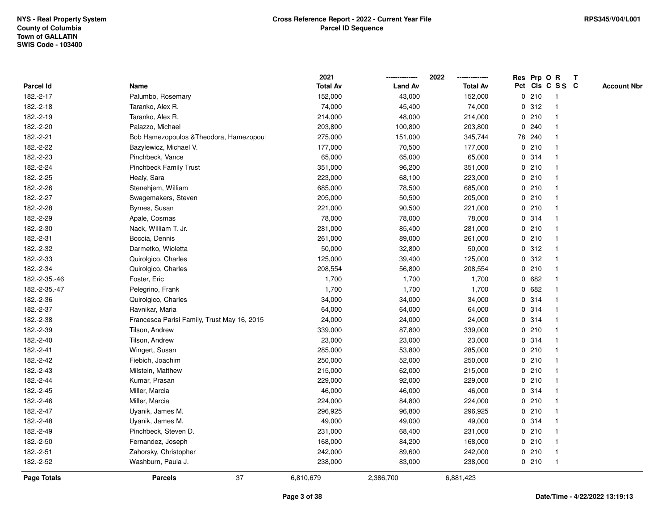|               |                                             | 2021            |                | 2022            |             |        | Res Prp O R             | $\mathbf{T}$ |                    |
|---------------|---------------------------------------------|-----------------|----------------|-----------------|-------------|--------|-------------------------|--------------|--------------------|
| Parcel Id     | Name                                        | <b>Total Av</b> | <b>Land Av</b> | <b>Total Av</b> |             |        | Pct Cls C S S C         |              | <b>Account Nbr</b> |
| 182.-2-17     | Palumbo, Rosemary                           | 152,000         | 43,000         | 152,000         |             | 0210   | -1                      |              |                    |
| 182.-2-18     | Taranko, Alex R.                            | 74,000          | 45,400         | 74,000          |             | 0.312  |                         |              |                    |
| 182.-2-19     | Taranko, Alex R.                            | 214,000         | 48,000         | 214,000         |             | 0210   | -1                      |              |                    |
| 182.-2-20     | Palazzo, Michael                            | 203,800         | 100,800        | 203,800         | 0           | 240    | -1                      |              |                    |
| 182.-2-21     | Bob Hamezopoulos & Theodora, Hamezopoul     | 275,000         | 151,000        | 345,744         |             | 78 240 | -1                      |              |                    |
| 182.-2-22     | Bazylewicz, Michael V.                      | 177,000         | 70,500         | 177,000         |             | 0210   | -1                      |              |                    |
| 182.-2-23     | Pinchbeck, Vance                            | 65,000          | 65,000         | 65,000          |             | 0.314  |                         |              |                    |
| 182.-2-24     | <b>Pinchbeck Family Trust</b>               | 351,000         | 96,200         | 351,000         |             | 0210   |                         |              |                    |
| 182.-2-25     | Healy, Sara                                 | 223,000         | 68,100         | 223,000         |             | 0210   | -1                      |              |                    |
| 182.-2-26     | Stenehjem, William                          | 685,000         | 78,500         | 685,000         |             | 0210   |                         |              |                    |
| 182.-2-27     | Swagemakers, Steven                         | 205,000         | 50,500         | 205,000         |             | 0210   | -1                      |              |                    |
| 182.-2-28     | Byrnes, Susan                               | 221,000         | 90,500         | 221,000         |             | 0210   | -1                      |              |                    |
| 182.-2-29     | Apale, Cosmas                               | 78,000          | 78,000         | 78,000          |             | 0.314  | -1                      |              |                    |
| 182.-2-30     | Nack, William T. Jr.                        | 281,000         | 85,400         | 281,000         |             | 0210   |                         |              |                    |
| 182.-2-31     | Boccia, Dennis                              | 261,000         | 89,000         | 261,000         |             | 0210   |                         |              |                    |
| 182.-2-32     | Darmetko, Wioletta                          | 50,000          | 32,800         | 50,000          |             | 0.312  | -1                      |              |                    |
| 182.-2-33     | Quirolgico, Charles                         | 125,000         | 39,400         | 125,000         | $\mathbf 0$ | 312    | $\overline{\mathbf{1}}$ |              |                    |
| 182.-2-34     | Quirolgico, Charles                         | 208,554         | 56,800         | 208,554         |             | 0210   | -1                      |              |                    |
| 182.-2-35.-46 | Foster, Eric                                | 1,700           | 1,700          | 1,700           |             | 0682   | -1                      |              |                    |
| 182.-2-35.-47 | Pelegrino, Frank                            | 1,700           | 1,700          | 1,700           |             | 0 682  |                         |              |                    |
| 182.-2-36     | Quirolgico, Charles                         | 34,000          | 34,000         | 34,000          |             | 0.314  |                         |              |                    |
| 182.-2-37     | Ravnikar, Maria                             | 64,000          | 64,000         | 64,000          |             | 0.314  |                         |              |                    |
| 182.-2-38     | Francesca Parisi Family, Trust May 16, 2015 | 24,000          | 24,000         | 24,000          |             | 0.314  |                         |              |                    |
| 182.-2-39     | Tilson, Andrew                              | 339,000         | 87,800         | 339,000         |             | 0210   | $\mathbf{1}$            |              |                    |
| 182.-2-40     | Tilson, Andrew                              | 23,000          | 23,000         | 23,000          |             | 0.314  | -1                      |              |                    |
| 182.-2-41     | Wingert, Susan                              | 285,000         | 53,800         | 285,000         |             | 0210   | -1                      |              |                    |
| 182.-2-42     | Fiebich, Joachim                            | 250,000         | 52,000         | 250,000         |             | 0210   |                         |              |                    |
| 182.-2-43     | Milstein, Matthew                           | 215,000         | 62,000         | 215,000         |             | 0210   |                         |              |                    |
| 182.-2-44     | Kumar, Prasan                               | 229,000         | 92,000         | 229,000         |             | 0210   |                         |              |                    |
| 182.-2-45     | Miller, Marcia                              | 46,000          | 46,000         | 46,000          | 0           | 314    | -1                      |              |                    |
| 182.-2-46     | Miller, Marcia                              | 224,000         | 84,800         | 224,000         |             | 0210   | -1                      |              |                    |
| 182.-2-47     | Uyanik, James M.                            | 296,925         | 96,800         | 296,925         |             | 0210   | $\mathbf 1$             |              |                    |
| 182.-2-48     | Uyanik, James M.                            | 49,000          | 49,000         | 49,000          |             | 0.314  |                         |              |                    |
| 182.-2-49     | Pinchbeck, Steven D.                        | 231,000         | 68,400         | 231,000         |             | 0210   |                         |              |                    |
| 182.-2-50     | Fernandez, Joseph                           | 168,000         | 84,200         | 168,000         |             | 0210   |                         |              |                    |
| 182.-2-51     | Zahorsky, Christopher                       | 242,000         | 89,600         | 242,000         |             | 0210   | $\overline{1}$          |              |                    |
| 182.-2-52     | Washburn, Paula J.                          | 238,000         | 83,000         | 238,000         |             | 0210   | -1                      |              |                    |
| Page Totals   | 37<br><b>Parcels</b>                        | 6,810,679       | 2,386,700      | 6,881,423       |             |        |                         |              |                    |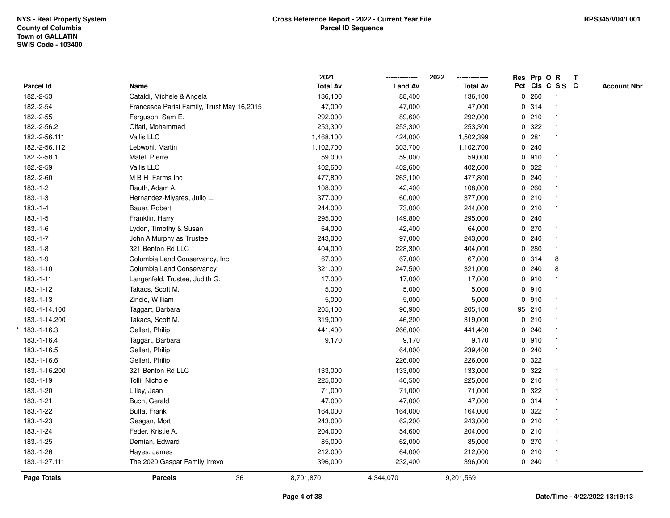|                   |                                            | 2021            |                | 2022            |   |        | Res Prp O R     | T |                    |
|-------------------|--------------------------------------------|-----------------|----------------|-----------------|---|--------|-----------------|---|--------------------|
| Parcel Id         | Name                                       | <b>Total Av</b> | <b>Land Av</b> | <b>Total Av</b> |   |        | Pct Cls C S S C |   | <b>Account Nbr</b> |
| 182.-2-53         | Cataldi, Michele & Angela                  | 136,100         | 88,400         | 136,100         |   | 0.260  | -1              |   |                    |
| 182.-2-54         | Francesca Parisi Family, Trust May 16,2015 | 47,000          | 47,000         | 47,000          |   | 0.314  |                 |   |                    |
| 182.-2-55         | Ferguson, Sam E.                           | 292,000         | 89,600         | 292,000         |   | 0210   |                 |   |                    |
| 182.-2-56.2       | Olfati, Mohammad                           | 253,300         | 253,300        | 253,300         |   | 0.322  |                 |   |                    |
| 182.-2-56.111     | Vallis LLC                                 | 1,468,100       | 424,000        | 1,502,399       |   | 0.281  |                 |   |                    |
| 182.-2-56.112     | Lebwohl, Martin                            | 1,102,700       | 303,700        | 1,102,700       |   | 0.240  |                 |   |                    |
| 182.-2-58.1       | Matel, Pierre                              | 59,000          | 59,000         | 59,000          |   | 0910   |                 |   |                    |
| 182.-2-59         | Vallis LLC                                 | 402,600         | 402,600        | 402,600         | 0 | 322    |                 |   |                    |
| 182.-2-60         | M B H Farms Inc                            | 477,800         | 263,100        | 477,800         |   | 0.240  |                 |   |                    |
| $183.-1-2$        | Rauth, Adam A.                             | 108,000         | 42,400         | 108,000         |   | 0.260  |                 |   |                    |
| $183.-1-3$        | Hernandez-Miyares, Julio L.                | 377,000         | 60,000         | 377,000         |   | 0210   |                 |   |                    |
| $183.-1-4$        | Bauer, Robert                              | 244,000         | 73,000         | 244,000         |   | 0210   |                 |   |                    |
| $183.-1-5$        | Franklin, Harry                            | 295,000         | 149,800        | 295,000         |   | 0.240  |                 |   |                    |
| $183.-1-6$        | Lydon, Timothy & Susan                     | 64,000          | 42,400         | 64,000          |   | 0270   |                 |   |                    |
| $183.-1-7$        | John A Murphy as Trustee                   | 243,000         | 97,000         | 243,000         |   | 0.240  |                 |   |                    |
| $183.-1-8$        | 321 Benton Rd LLC                          | 404,000         | 228,300        | 404,000         |   | 0.280  | $\mathbf{1}$    |   |                    |
| $183.-1-9$        | Columbia Land Conservancy, Inc             | 67,000          | 67,000         | 67,000          |   | 0.314  | 8               |   |                    |
| $183.-1-10$       | Columbia Land Conservancy                  | 321,000         | 247,500        | 321,000         |   | 0.240  | 8               |   |                    |
| $183.-1-11$       | Langenfeld, Trustee, Judith G.             | 17,000          | 17,000         | 17,000          |   | 0.910  |                 |   |                    |
| 183.-1-12         | Takacs, Scott M.                           | 5,000           | 5,000          | 5,000           |   | 0.910  |                 |   |                    |
| $183.-1-13$       | Zincio, William                            | 5,000           | 5,000          | 5,000           |   | 0.910  |                 |   |                    |
| 183.-1-14.100     | Taggart, Barbara                           | 205,100         | 96,900         | 205,100         |   | 95 210 |                 |   |                    |
| 183.-1-14.200     | Takacs, Scott M.                           | 319,000         | 46,200         | 319,000         |   | 0210   |                 |   |                    |
| $*183. -1 - 16.3$ | Gellert, Philip                            | 441,400         | 266,000        | 441,400         |   | 0.240  |                 |   |                    |
| 183.-1-16.4       | Taggart, Barbara                           | 9,170           | 9,170          | 9,170           |   | 0.910  |                 |   |                    |
| 183.-1-16.5       | Gellert, Philip                            |                 | 64,000         | 239,400         |   | 0.240  |                 |   |                    |
| 183.-1-16.6       | Gellert, Philip                            |                 | 226,000        | 226,000         |   | 0.322  |                 |   |                    |
| 183.-1-16.200     | 321 Benton Rd LLC                          | 133,000         | 133,000        | 133,000         |   | 0.322  |                 |   |                    |
| 183.-1-19         | Tolli, Nichole                             | 225,000         | 46,500         | 225,000         |   | 0210   |                 |   |                    |
| 183.-1-20         | Lilley, Jean                               | 71,000          | 71,000         | 71,000          | 0 | 322    |                 |   |                    |
| 183.-1-21         | Buch, Gerald                               | 47,000          | 47,000         | 47,000          |   | 0.314  |                 |   |                    |
| 183.-1-22         | Buffa, Frank                               | 164,000         | 164,000        | 164,000         |   | 0.322  |                 |   |                    |
| 183.-1-23         | Geagan, Mort                               | 243,000         | 62,200         | 243,000         |   | 0210   |                 |   |                    |
| 183.-1-24         | Feder, Kristie A.                          | 204,000         | 54,600         | 204,000         |   | 0210   |                 |   |                    |
| 183.-1-25         | Demian, Edward                             | 85,000          | 62,000         | 85,000          |   | 0270   |                 |   |                    |
| 183.-1-26         | Hayes, James                               | 212,000         | 64,000         | 212,000         |   | 0210   | $\mathbf 1$     |   |                    |
| 183.-1-27.111     | The 2020 Gaspar Family Irrevo              | 396,000         | 232,400        | 396,000         |   | 0.240  | $\mathbf{1}$    |   |                    |
| Page Totals       | 36<br><b>Parcels</b>                       | 8,701,870       | 4,344,070      | 9,201,569       |   |        |                 |   |                    |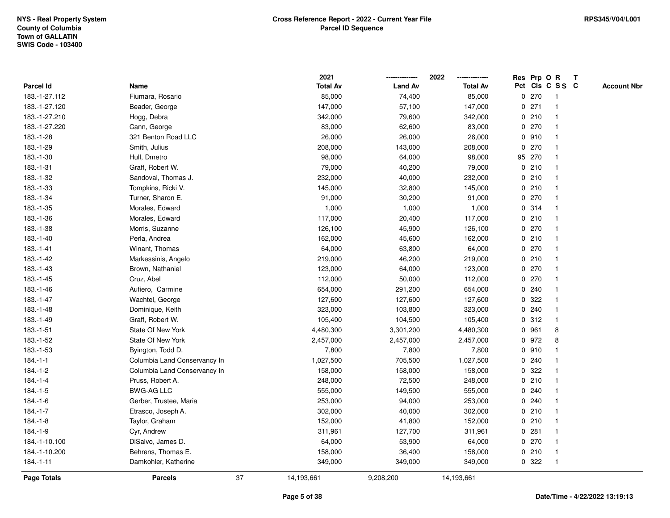|                    |                              |    | 2021            |                | 2022            |             |         | Res Prp O R             | $\mathbf{T}$ |                    |
|--------------------|------------------------------|----|-----------------|----------------|-----------------|-------------|---------|-------------------------|--------------|--------------------|
| Parcel Id          | Name                         |    | <b>Total Av</b> | <b>Land Av</b> | <b>Total Av</b> |             |         | Pct Cls C S S C         |              | <b>Account Nbr</b> |
| 183.-1-27.112      | Fiumara, Rosario             |    | 85,000          | 74,400         | 85,000          |             | 0270    | -1                      |              |                    |
| 183.-1-27.120      | Beader, George               |    | 147,000         | 57,100         | 147,000         |             | 0271    |                         |              |                    |
| 183.-1-27.210      | Hogg, Debra                  |    | 342,000         | 79,600         | 342,000         |             | 0210    | -1                      |              |                    |
| 183.-1-27.220      | Cann, George                 |    | 83,000          | 62,600         | 83,000          |             | 0270    | $\mathbf{1}$            |              |                    |
| 183.-1-28          | 321 Benton Road LLC          |    | 26,000          | 26,000         | 26,000          |             | 0910    | $\mathbf{1}$            |              |                    |
| 183.-1-29          | Smith, Julius                |    | 208,000         | 143,000        | 208,000         |             | 0270    | -1                      |              |                    |
| 183.-1-30          | Hull, Dmetro                 |    | 98,000          | 64,000         | 98,000          |             | 95 270  |                         |              |                    |
| $183.-1-31$        | Graff, Robert W.             |    | 79,000          | 40,200         | 79,000          |             | 0210    |                         |              |                    |
| 183.-1-32          | Sandoval, Thomas J.          |    | 232,000         | 40,000         | 232,000         |             | 0210    | $\overline{\mathbf{1}}$ |              |                    |
| 183.-1-33          | Tompkins, Ricki V.           |    | 145,000         | 32,800         | 145,000         |             | 0210    |                         |              |                    |
| 183.-1-34          | Turner, Sharon E.            |    | 91,000          | 30,200         | 91,000          |             | 0270    | $\mathbf{1}$            |              |                    |
| 183.-1-35          | Morales, Edward              |    | 1,000           | 1,000          | 1,000           |             | 0.314   | $\mathbf{1}$            |              |                    |
| 183.-1-36          | Morales, Edward              |    | 117,000         | 20,400         | 117,000         |             | 0210    | $\mathbf 1$             |              |                    |
| 183.-1-38          | Morris, Suzanne              |    | 126,100         | 45,900         | 126,100         |             | 0270    |                         |              |                    |
| 183.-1-40          | Perla, Andrea                |    | 162,000         | 45,600         | 162,000         |             | 0210    |                         |              |                    |
| 183.-1-41          | Winant, Thomas               |    | 64,000          | 63,800         | 64,000          |             | $0$ 270 | -1                      |              |                    |
| 183.-1-42          | Markessinis, Angelo          |    | 219,000         | 46,200         | 219,000         | $\mathbf 0$ | 210     | $\mathbf{1}$            |              |                    |
| 183.-1-43          | Brown, Nathaniel             |    | 123,000         | 64,000         | 123,000         | 0           | 270     | -1                      |              |                    |
| 183.-1-45          | Cruz, Abel                   |    | 112,000         | 50,000         | 112,000         |             | 0270    | $\mathbf{1}$            |              |                    |
| 183.-1-46          | Aufiero, Carmine             |    | 654,000         | 291,200        | 654,000         |             | 0.240   |                         |              |                    |
| 183.-1-47          | Wachtel, George              |    | 127,600         | 127,600        | 127,600         |             | 0.322   |                         |              |                    |
| 183.-1-48          | Dominique, Keith             |    | 323,000         | 103,800        | 323,000         |             | 0.240   |                         |              |                    |
| 183.-1-49          | Graff, Robert W.             |    | 105,400         | 104,500        | 105,400         |             | 0.312   | $\mathbf{1}$            |              |                    |
| $183.-1-51$        | State Of New York            |    | 4,480,300       | 3,301,200      | 4,480,300       | $\mathbf 0$ | 961     | 8                       |              |                    |
| 183.-1-52          | State Of New York            |    | 2,457,000       | 2,457,000      | 2,457,000       |             | 0 972   | 8                       |              |                    |
| 183.-1-53          | Byington, Todd D.            |    | 7,800           | 7,800          | 7,800           |             | 0.910   | -1                      |              |                    |
| $184.-1-1$         | Columbia Land Conservancy In |    | 1,027,500       | 705,500        | 1,027,500       |             | 0.240   |                         |              |                    |
| $184.-1-2$         | Columbia Land Conservancy In |    | 158,000         | 158,000        | 158,000         |             | 0.322   |                         |              |                    |
| $184.-1-4$         | Pruss, Robert A.             |    | 248,000         | 72,500         | 248,000         |             | 0210    | $\overline{\mathbf{1}}$ |              |                    |
| $184.-1-5$         | <b>BWG-AG LLC</b>            |    | 555,000         | 149,500        | 555,000         |             | 0.240   |                         |              |                    |
| $184.-1-6$         | Gerber, Trustee, Maria       |    | 253,000         | 94,000         | 253,000         |             | 0.240   | $\mathbf{1}$            |              |                    |
| $184.-1-7$         | Etrasco, Joseph A.           |    | 302,000         | 40,000         | 302,000         |             | 0210    | $\mathbf 1$             |              |                    |
| $184.-1-8$         | Taylor, Graham               |    | 152,000         | 41,800         | 152,000         |             | 0210    | -1                      |              |                    |
| $184.-1-9$         | Cyr, Andrew                  |    | 311,961         | 127,700        | 311,961         |             | 0.281   |                         |              |                    |
| 184.-1-10.100      | DiSalvo, James D.            |    | 64,000          | 53,900         | 64,000          |             | 0270    |                         |              |                    |
| 184.-1-10.200      | Behrens, Thomas E.           |    | 158,000         | 36,400         | 158,000         |             | 0210    | $\mathbf{1}$            |              |                    |
| 184.-1-11          | Damkohler, Katherine         |    | 349,000         | 349,000        | 349,000         |             | 0.322   | -1                      |              |                    |
| <b>Page Totals</b> | <b>Parcels</b>               | 37 | 14,193,661      | 9,208,200      | 14,193,661      |             |         |                         |              |                    |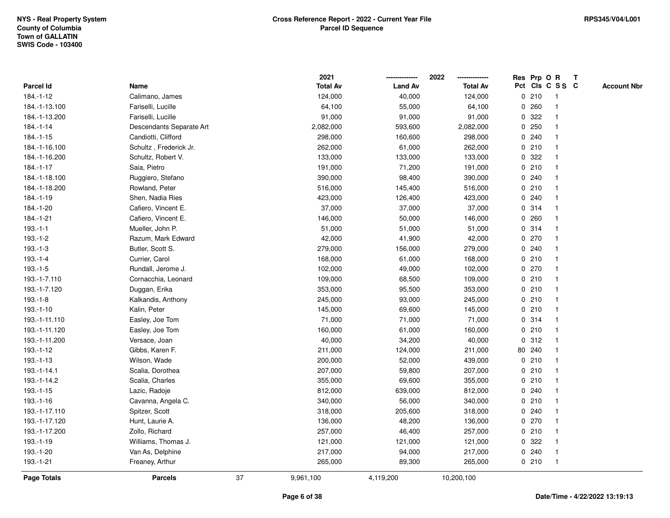|                    |                          |    | 2021            |                | 2022            |              |        | Res Prp O R     | Т |                    |
|--------------------|--------------------------|----|-----------------|----------------|-----------------|--------------|--------|-----------------|---|--------------------|
| Parcel Id          | Name                     |    | <b>Total Av</b> | <b>Land Av</b> | <b>Total Av</b> |              |        | Pct Cls C S S C |   | <b>Account Nbr</b> |
| 184.-1-12          | Calimano, James          |    | 124,000         | 40,000         | 124,000         |              | 0210   | -1              |   |                    |
| 184.-1-13.100      | Fariselli, Lucille       |    | 64,100          | 55,000         | 64,100          | 0            | 260    |                 |   |                    |
| 184.-1-13.200      | Fariselli, Lucille       |    | 91,000          | 91,000         | 91,000          |              | 0.322  |                 |   |                    |
| $184.-1-14$        | Descendants Separate Art |    | 2,082,000       | 593,600        | 2,082,000       |              | 0.250  |                 |   |                    |
| $184. - 1 - 15$    | Candiotti, Clifford      |    | 298,000         | 160,600        | 298,000         |              | 0.240  |                 |   |                    |
| 184.-1-16.100      | Schultz, Frederick Jr.   |    | 262,000         | 61,000         | 262,000         |              | 0210   |                 |   |                    |
| 184.-1-16.200      | Schultz, Robert V.       |    | 133,000         | 133,000        | 133,000         |              | 0.322  |                 |   |                    |
| 184.-1-17          | Saia, Pietro             |    | 191,000         | 71,200         | 191,000         |              | 0210   | $\mathbf{1}$    |   |                    |
| 184.-1-18.100      | Ruggiero, Stefano        |    | 390,000         | 98,400         | 390,000         |              | 0.240  |                 |   |                    |
| 184.-1-18.200      | Rowland, Peter           |    | 516,000         | 145,400        | 516,000         |              | 0210   | $\mathbf 1$     |   |                    |
| 184.-1-19          | Shen, Nadia Ries         |    | 423,000         | 126,400        | 423,000         |              | 0.240  |                 |   |                    |
| 184.-1-20          | Cafiero, Vincent E.      |    | 37,000          | 37,000         | 37,000          |              | 0.314  |                 |   |                    |
| 184.-1-21          | Cafiero, Vincent E.      |    | 146,000         | 50,000         | 146,000         | 0            | 260    |                 |   |                    |
| $193.-1-1$         | Mueller, John P.         |    | 51,000          | 51,000         | 51,000          |              | 0.314  |                 |   |                    |
| $193.-1-2$         | Razum, Mark Edward       |    | 42,000          | 41,900         | 42,000          | $\mathbf 0$  | 270    |                 |   |                    |
| $193.-1-3$         | Butler, Scott S.         |    | 279,000         | 156,000        | 279,000         |              | 0.240  | $\mathbf{1}$    |   |                    |
| $193.-1-4$         | Currier, Carol           |    | 168,000         | 61,000         | 168,000         |              | 0210   | $\mathbf{1}$    |   |                    |
| $193.-1-5$         | Rundall, Jerome J.       |    | 102,000         | 49,000         | 102,000         |              | 0270   |                 |   |                    |
| 193.-1-7.110       | Cornacchia, Leonard      |    | 109,000         | 68,500         | 109,000         |              | 0210   |                 |   |                    |
| 193.-1-7.120       | Duggan, Erika            |    | 353,000         | 95,500         | 353,000         |              | 0210   |                 |   |                    |
| $193.-1-8$         | Kalkandis, Anthony       |    | 245,000         | 93,000         | 245,000         |              | 0210   |                 |   |                    |
| 193.-1-10          | Kalin, Peter             |    | 145,000         | 69,600         | 145,000         |              | 0210   |                 |   |                    |
| 193.-1-11.110      | Easley, Joe Tom          |    | 71,000          | 71,000         | 71,000          |              | 0.314  | $\mathbf{1}$    |   |                    |
| 193.-1-11.120      | Easley, Joe Tom          |    | 160,000         | 61,000         | 160,000         | $\mathbf{0}$ | 210    | $\mathbf{1}$    |   |                    |
| 193.-1-11.200      | Versace, Joan            |    | 40,000          | 34,200         | 40,000          |              | 0.312  |                 |   |                    |
| $193.-1-12$        | Gibbs, Karen F.          |    | 211,000         | 124,000        | 211,000         |              | 80 240 |                 |   |                    |
| $193.-1-13$        | Wilson, Wade             |    | 200,000         | 52,000         | 439,000         |              | 0210   |                 |   |                    |
| 193.-1-14.1        | Scalia, Dorothea         |    | 207,000         | 59,800         | 207,000         |              | 0210   |                 |   |                    |
| 193.-1-14.2        | Scalia, Charles          |    | 355,000         | 69,600         | 355,000         |              | 0210   |                 |   |                    |
| $193.-1-15$        | Lazic, Radoje            |    | 812,000         | 639,000        | 812,000         | 0            | 240    |                 |   |                    |
| 193.-1-16          | Cavanna, Angela C.       |    | 340,000         | 56,000         | 340,000         |              | 0210   | $\mathbf 1$     |   |                    |
| 193.-1-17.110      | Spitzer, Scott           |    | 318,000         | 205,600        | 318,000         |              | 0.240  |                 |   |                    |
| 193.-1-17.120      | Hunt, Laurie A.          |    | 136,000         | 48,200         | 136,000         |              | 0270   |                 |   |                    |
| 193.-1-17.200      | Zollo, Richard           |    | 257,000         | 46,400         | 257,000         |              | 0210   |                 |   |                    |
| 193.-1-19          | Williams, Thomas J.      |    | 121,000         | 121,000        | 121,000         |              | 0.322  |                 |   |                    |
| 193.-1-20          | Van As, Delphine         |    | 217,000         | 94,000         | 217,000         | 0            | 240    | -1              |   |                    |
| 193.-1-21          | Freaney, Arthur          |    | 265,000         | 89,300         | 265,000         |              | 0210   | $\mathbf{1}$    |   |                    |
| <b>Page Totals</b> | <b>Parcels</b>           | 37 | 9,961,100       | 4,119,200      | 10,200,100      |              |        |                 |   |                    |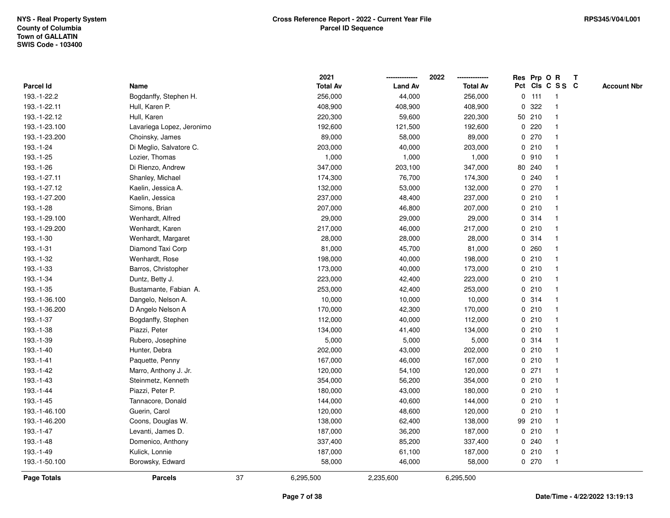|               |                           |    | 2021            |                | 2022<br>-------------- |             |         | Res Prp O R     | $\mathbf{T}$ |                    |
|---------------|---------------------------|----|-----------------|----------------|------------------------|-------------|---------|-----------------|--------------|--------------------|
| Parcel Id     | Name                      |    | <b>Total Av</b> | <b>Land Av</b> | <b>Total Av</b>        |             |         | Pct Cls C S S C |              | <b>Account Nbr</b> |
| 193.-1-22.2   | Bogdanffy, Stephen H.     |    | 256,000         | 44,000         | 256,000                |             | $0$ 111 | -1              |              |                    |
| 193.-1-22.11  | Hull, Karen P.            |    | 408,900         | 408,900        | 408,900                | $\mathbf 0$ | 322     |                 |              |                    |
| 193.-1-22.12  | Hull, Karen               |    | 220,300         | 59,600         | 220,300                |             | 50 210  |                 |              |                    |
| 193.-1-23.100 | Lavariega Lopez, Jeronimo |    | 192,600         | 121,500        | 192,600                | $\mathbf 0$ | 220     |                 |              |                    |
| 193.-1-23.200 | Choinsky, James           |    | 89,000          | 58,000         | 89,000                 | $\mathbf 0$ | 270     | $\overline{1}$  |              |                    |
| 193.-1-24     | Di Meglio, Salvatore C.   |    | 203,000         | 40,000         | 203,000                |             | 0210    | -1              |              |                    |
| 193.-1-25     | Lozier, Thomas            |    | 1,000           | 1,000          | 1,000                  |             | 0.910   |                 |              |                    |
| 193.-1-26     | Di Rienzo, Andrew         |    | 347,000         | 203,100        | 347,000                |             | 80 240  |                 |              |                    |
| 193.-1-27.11  | Shanley, Michael          |    | 174,300         | 76,700         | 174,300                |             | 0.240   |                 |              |                    |
| 193.-1-27.12  | Kaelin, Jessica A.        |    | 132,000         | 53,000         | 132,000                |             | 0 270   |                 |              |                    |
| 193.-1-27.200 | Kaelin, Jessica           |    | 237,000         | 48,400         | 237,000                |             | 0210    | -1              |              |                    |
| 193.-1-28     | Simons, Brian             |    | 207,000         | 46,800         | 207,000                |             | 0210    | $\mathbf{1}$    |              |                    |
| 193.-1-29.100 | Wenhardt, Alfred          |    | 29,000          | 29,000         | 29,000                 |             | 0 314   |                 |              |                    |
| 193.-1-29.200 | Wenhardt, Karen           |    | 217,000         | 46,000         | 217,000                |             | 0210    |                 |              |                    |
| 193.-1-30     | Wenhardt, Margaret        |    | 28,000          | 28,000         | 28,000                 |             | 0 314   |                 |              |                    |
| 193.-1-31     | Diamond Taxi Corp         |    | 81,000          | 45,700         | 81,000                 |             | 0.260   |                 |              |                    |
| 193.-1-32     | Wenhardt, Rose            |    | 198,000         | 40,000         | 198,000                | 0           | 210     |                 |              |                    |
| 193.-1-33     | Barros, Christopher       |    | 173,000         | 40,000         | 173,000                | 0           | 210     | -1              |              |                    |
| 193.-1-34     | Duntz, Betty J.           |    | 223,000         | 42,400         | 223,000                |             | 0210    | -1              |              |                    |
| 193.-1-35     | Bustamante, Fabian A.     |    | 253,000         | 42,400         | 253,000                |             | 0210    |                 |              |                    |
| 193.-1-36.100 | Dangelo, Nelson A.        |    | 10,000          | 10,000         | 10,000                 |             | 0.314   |                 |              |                    |
| 193.-1-36.200 | D Angelo Nelson A         |    | 170,000         | 42,300         | 170,000                |             | 0210    |                 |              |                    |
| 193.-1-37     | Bogdanffy, Stephen        |    | 112,000         | 40,000         | 112,000                |             | 0210    |                 |              |                    |
| 193.-1-38     | Piazzi, Peter             |    | 134,000         | 41,400         | 134,000                | 0           | 210     | $\mathbf{1}$    |              |                    |
| 193.-1-39     | Rubero, Josephine         |    | 5,000           | 5,000          | 5,000                  |             | 0.314   | -1              |              |                    |
| 193.-1-40     | Hunter, Debra             |    | 202,000         | 43,000         | 202,000                |             | 0210    | -1              |              |                    |
| 193.-1-41     | Paquette, Penny           |    | 167,000         | 46,000         | 167,000                |             | 0210    |                 |              |                    |
| 193.-1-42     | Marro, Anthony J. Jr.     |    | 120,000         | 54,100         | 120,000                |             | $0$ 271 |                 |              |                    |
| 193.-1-43     | Steinmetz, Kenneth        |    | 354,000         | 56,200         | 354,000                |             | 0210    |                 |              |                    |
| 193.-1-44     | Piazzi, Peter P.          |    | 180,000         | 43,000         | 180,000                | 0           | 210     |                 |              |                    |
| 193.-1-45     | Tannacore, Donald         |    | 144,000         | 40,600         | 144,000                | 0           | 210     | $\mathbf{1}$    |              |                    |
| 193.-1-46.100 | Guerin, Carol             |    | 120,000         | 48,600         | 120,000                | 0           | 210     | $\overline{1}$  |              |                    |
| 193.-1-46.200 | Coons, Douglas W.         |    | 138,000         | 62,400         | 138,000                |             | 99 210  |                 |              |                    |
| 193.-1-47     | Levanti, James D.         |    | 187,000         | 36,200         | 187,000                |             | 0210    |                 |              |                    |
| 193.-1-48     | Domenico, Anthony         |    | 337,400         | 85,200         | 337,400                |             | 0.240   |                 |              |                    |
| 193.-1-49     | Kulick, Lonnie            |    | 187,000         | 61,100         | 187,000                |             | 0210    | $\mathbf{1}$    |              |                    |
| 193.-1-50.100 | Borowsky, Edward          |    | 58,000          | 46,000         | 58,000                 |             | 0 270   | $\mathbf{1}$    |              |                    |
| Page Totals   | <b>Parcels</b>            | 37 | 6,295,500       | 2,235,600      | 6,295,500              |             |         |                 |              |                    |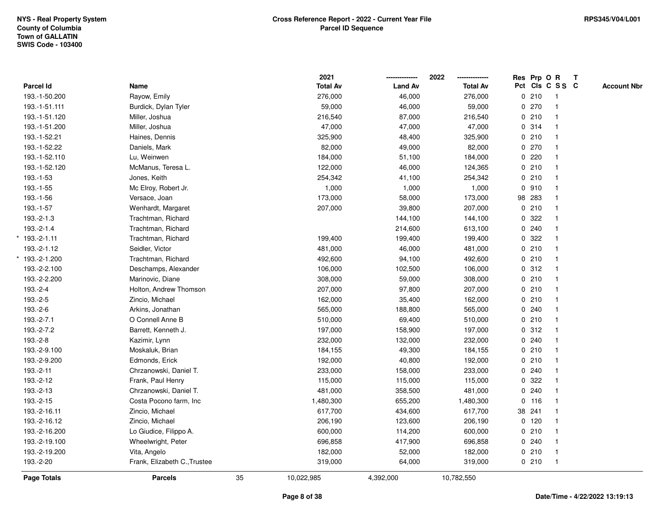\*

\*

|                  |                              |    | 2021            |                | 2022            |   | Res Prp O R |                 | T |                    |
|------------------|------------------------------|----|-----------------|----------------|-----------------|---|-------------|-----------------|---|--------------------|
| <b>Parcel Id</b> | Name                         |    | <b>Total Av</b> | <b>Land Av</b> | <b>Total Av</b> |   |             | Pct Cls C S S C |   | <b>Account Nbr</b> |
| 193.-1-50.200    | Rayow, Emily                 |    | 276,000         | 46,000         | 276,000         |   | 0210        | $\overline{1}$  |   |                    |
| 193.-1-51.111    | Burdick, Dylan Tyler         |    | 59,000          | 46,000         | 59,000          | 0 | 270         | -1              |   |                    |
| 193.-1-51.120    | Miller, Joshua               |    | 216,540         | 87,000         | 216,540         |   | 0210        | $\mathbf{1}$    |   |                    |
| 193.-1-51.200    | Miller, Joshua               |    | 47,000          | 47,000         | 47,000          |   | 0.314       |                 |   |                    |
| 193.-1-52.21     | Haines, Dennis               |    | 325,900         | 48,400         | 325,900         |   | 0210        |                 |   |                    |
| 193.-1-52.22     | Daniels, Mark                |    | 82,000          | 49,000         | 82,000          |   | 0270        |                 |   |                    |
| 193.-1-52.110    | Lu, Weinwen                  |    | 184,000         | 51,100         | 184,000         |   | 0.220       | $\mathbf{1}$    |   |                    |
| 193.-1-52.120    | McManus, Teresa L.           |    | 122,000         | 46,000         | 124,365         |   | 0210        | $\overline{1}$  |   |                    |
| 193.-1-53        | Jones, Keith                 |    | 254,342         | 41,100         | 254,342         |   | 0210        | -1              |   |                    |
| 193.-1-55        | Mc Elroy, Robert Jr.         |    | 1,000           | 1,000          | 1,000           |   | 0.910       | $\mathbf{1}$    |   |                    |
| 193.-1-56        | Versace, Joan                |    | 173,000         | 58,000         | 173,000         |   | 98 283      |                 |   |                    |
| 193.-1-57        | Wenhardt, Margaret           |    | 207,000         | 39,800         | 207,000         |   | 0210        |                 |   |                    |
| 193.-2-1.3       | Trachtman, Richard           |    |                 | 144,100        | 144,100         |   | 0.322       |                 |   |                    |
| 193.-2-1.4       | Trachtman, Richard           |    |                 | 214,600        | 613,100         |   | 0.240       |                 |   |                    |
| 193.-2-1.11      | Trachtman, Richard           |    | 199,400         | 199,400        | 199,400         | 0 | 322         | $\mathbf{1}$    |   |                    |
| 193.-2-1.12      | Seidler, Victor              |    | 481,000         | 46,000         | 481,000         | 0 | 210         | $\mathbf{1}$    |   |                    |
| 193.-2-1.200     | Trachtman, Richard           |    | 492,600         | 94,100         | 492,600         |   | 0210        | $\mathbf{1}$    |   |                    |
| 193.-2-2.100     | Deschamps, Alexander         |    | 106,000         | 102,500        | 106,000         |   | 0.312       |                 |   |                    |
| 193.-2-2.200     | Marinovic, Diane             |    | 308,000         | 59,000         | 308,000         |   | 0210        |                 |   |                    |
| 193.-2-4         | Holton, Andrew Thomson       |    | 207,000         | 97,800         | 207,000         |   | 0210        |                 |   |                    |
| 193.-2-5         | Zincio, Michael              |    | 162,000         | 35,400         | 162,000         |   | 0210        |                 |   |                    |
| 193.-2-6         | Arkins, Jonathan             |    | 565,000         | 188,800        | 565,000         |   | 0.240       | 1               |   |                    |
| 193.-2-7.1       | O Connell Anne B             |    | 510,000         | 69,400         | 510,000         |   | 0210        | $\overline{1}$  |   |                    |
| 193.-2-7.2       | Barrett, Kenneth J.          |    | 197,000         | 158,900        | 197,000         |   | 0.312       | $\mathbf{1}$    |   |                    |
| 193.-2-8         | Kazimir, Lynn                |    | 232,000         | 132,000        | 232,000         |   | 0.240       |                 |   |                    |
| 193.-2-9.100     | Moskaluk, Brian              |    | 184,155         | 49,300         | 184,155         |   | 0210        |                 |   |                    |
| 193.-2-9.200     | Edmonds, Erick               |    | 192,000         | 40,800         | 192,000         |   | 0210        |                 |   |                    |
| 193.-2-11        | Chrzanowski, Daniel T.       |    | 233,000         | 158,000        | 233,000         |   | 0.240       |                 |   |                    |
| 193.-2-12        | Frank, Paul Henry            |    | 115,000         | 115,000        | 115,000         | 0 | 322         |                 |   |                    |
| 193.-2-13        | Chrzanowski, Daniel T.       |    | 481,000         | 358,500        | 481,000         | 0 | 240         | 1               |   |                    |
| 193.-2-15        | Costa Pocono farm, Inc.      |    | 1,480,300       | 655,200        | 1,480,300       |   | 0 116       | $\mathbf{1}$    |   |                    |
| 193.-2-16.11     | Zincio, Michael              |    | 617,700         | 434,600        | 617,700         |   | 38 241      | 1               |   |                    |
| 193.-2-16.12     | Zincio, Michael              |    | 206,190         | 123,600        | 206,190         |   | $0$ 120     |                 |   |                    |
| 193.-2-16.200    | Lo Giudice, Filippo A.       |    | 600,000         | 114,200        | 600,000         |   | 0210        |                 |   |                    |
| 193.-2-19.100    | Wheelwright, Peter           |    | 696,858         | 417,900        | 696,858         |   | 0.240       |                 |   |                    |
| 193.-2-19.200    | Vita, Angelo                 |    | 182,000         | 52,000         | 182,000         |   | 0210        | $\overline{1}$  |   |                    |
| 193.-2-20        | Frank, Elizabeth C., Trustee |    | 319,000         | 64,000         | 319,000         |   | 0210        | $\mathbf{1}$    |   |                    |
| Page Totals      | <b>Parcels</b>               | 35 | 10,022,985      | 4,392,000      | 10,782,550      |   |             |                 |   |                    |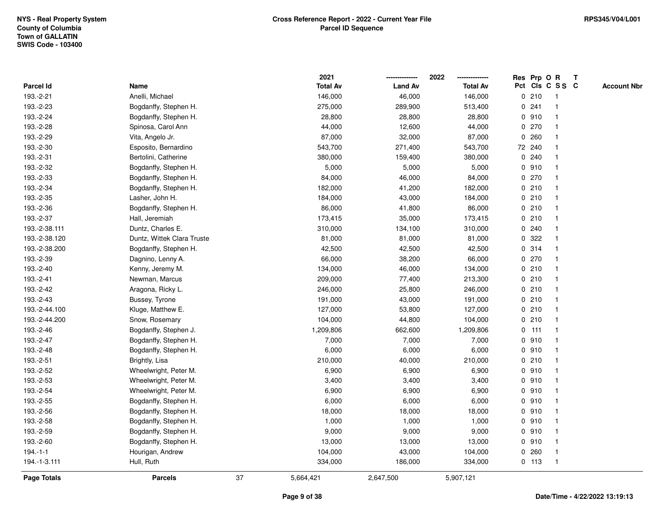|               |                            |    | 2021            |                | 2022            |             |         | Res Prp O R             | $\mathbf{T}$ |                    |
|---------------|----------------------------|----|-----------------|----------------|-----------------|-------------|---------|-------------------------|--------------|--------------------|
| Parcel Id     | Name                       |    | <b>Total Av</b> | <b>Land Av</b> | <b>Total Av</b> |             |         | Pct Cls C S S C         |              | <b>Account Nbr</b> |
| 193.-2-21     | Anelli, Michael            |    | 146,000         | 46,000         | 146,000         |             | 0210    | -1                      |              |                    |
| 193.-2-23     | Bogdanffy, Stephen H.      |    | 275,000         | 289,900        | 513,400         |             | 0.241   |                         |              |                    |
| 193.-2-24     | Bogdanffy, Stephen H.      |    | 28,800          | 28,800         | 28,800          |             | 0910    | -1                      |              |                    |
| 193.-2-28     | Spinosa, Carol Ann         |    | 44,000          | 12,600         | 44,000          | $\mathbf 0$ | 270     | $\overline{1}$          |              |                    |
| 193.-2-29     | Vita, Angelo Jr.           |    | 87,000          | 32,000         | 87,000          |             | 0.260   | $\mathbf{1}$            |              |                    |
| 193.-2-30     | Esposito, Bernardino       |    | 543,700         | 271,400        | 543,700         |             | 72 240  | $\mathbf 1$             |              |                    |
| 193.-2-31     | Bertolini, Catherine       |    | 380,000         | 159,400        | 380,000         |             | 0.240   |                         |              |                    |
| 193.-2-32     | Bogdanffy, Stephen H.      |    | 5,000           | 5,000          | 5,000           |             | 0.910   |                         |              |                    |
| 193.-2-33     | Bogdanffy, Stephen H.      |    | 84,000          | 46,000         | 84,000          |             | 0270    |                         |              |                    |
| 193.-2-34     | Bogdanffy, Stephen H.      |    | 182,000         | 41,200         | 182,000         |             | 0210    |                         |              |                    |
| 193.-2-35     | Lasher, John H.            |    | 184,000         | 43,000         | 184,000         |             | 0210    | $\mathbf{1}$            |              |                    |
| 193.-2-36     | Bogdanffy, Stephen H.      |    | 86,000          | 41,800         | 86,000          |             | 0210    | $\mathbf{1}$            |              |                    |
| 193.-2-37     | Hall, Jeremiah             |    | 173,415         | 35,000         | 173,415         |             | 0210    | -1                      |              |                    |
| 193.-2-38.111 | Duntz, Charles E.          |    | 310,000         | 134,100        | 310,000         |             | 0.240   |                         |              |                    |
| 193.-2-38.120 | Duntz, Wittek Clara Truste |    | 81,000          | 81,000         | 81,000          |             | 0.322   |                         |              |                    |
| 193.-2-38.200 | Bogdanffy, Stephen H.      |    | 42,500          | 42,500         | 42,500          |             | 0.314   | -1                      |              |                    |
| 193.-2-39     | Dagnino, Lenny A.          |    | 66,000          | 38,200         | 66,000          | $\mathbf 0$ | 270     | $\overline{\mathbf{1}}$ |              |                    |
| 193.-2-40     | Kenny, Jeremy M.           |    | 134,000         | 46,000         | 134,000         |             | 0210    | $\mathbf 1$             |              |                    |
| 193.-2-41     | Newman, Marcus             |    | 209,000         | 77,400         | 213,300         |             | 0210    | $\mathbf{1}$            |              |                    |
| 193.-2-42     | Aragona, Ricky L.          |    | 246,000         | 25,800         | 246,000         |             | 0210    |                         |              |                    |
| 193.-2-43     | Bussey, Tyrone             |    | 191,000         | 43,000         | 191,000         |             | 0210    |                         |              |                    |
| 193.-2-44.100 | Kluge, Matthew E.          |    | 127,000         | 53,800         | 127,000         |             | 0210    |                         |              |                    |
| 193.-2-44.200 | Snow, Rosemary             |    | 104,000         | 44,800         | 104,000         |             | 0210    | -1                      |              |                    |
| 193.-2-46     | Bogdanffy, Stephen J.      |    | 1,209,806       | 662,600        | 1,209,806       |             | $0$ 111 | $\mathbf{1}$            |              |                    |
| 193.-2-47     | Bogdanffy, Stephen H.      |    | 7,000           | 7,000          | 7,000           |             | 0.910   | $\mathbf 1$             |              |                    |
| 193.-2-48     | Bogdanffy, Stephen H.      |    | 6,000           | 6,000          | 6,000           |             | 0.910   | $\mathbf 1$             |              |                    |
| 193.-2-51     | Brightly, Lisa             |    | 210,000         | 40,000         | 210,000         |             | 0210    |                         |              |                    |
| 193.-2-52     | Wheelwright, Peter M.      |    | 6,900           | 6,900          | 6,900           |             | 0.910   |                         |              |                    |
| 193.-2-53     | Wheelwright, Peter M.      |    | 3,400           | 3,400          | 3,400           |             | 0.910   | $\overline{\mathbf{1}}$ |              |                    |
| 193.-2-54     | Wheelwright, Peter M.      |    | 6,900           | 6,900          | 6,900           |             | 0.910   |                         |              |                    |
| 193.-2-55     | Bogdanffy, Stephen H.      |    | 6,000           | 6,000          | 6,000           |             | 0910    | $\overline{1}$          |              |                    |
| 193.-2-56     | Bogdanffy, Stephen H.      |    | 18,000          | 18,000         | 18,000          |             | 0.910   | $\mathbf 1$             |              |                    |
| 193.-2-58     | Bogdanffy, Stephen H.      |    | 1,000           | 1,000          | 1,000           |             | 0.910   |                         |              |                    |
| 193.-2-59     | Bogdanffy, Stephen H.      |    | 9,000           | 9,000          | 9,000           |             | 0.910   |                         |              |                    |
| 193.-2-60     | Bogdanffy, Stephen H.      |    | 13,000          | 13,000         | 13,000          |             | 0.910   |                         |              |                    |
| $194.-1-1$    | Hourigan, Andrew           |    | 104,000         | 43,000         | 104,000         |             | 0.260   | $\mathbf{1}$            |              |                    |
| 194.-1-3.111  | Hull, Ruth                 |    | 334,000         | 186,000        | 334,000         |             | $0$ 113 | $\mathbf{1}$            |              |                    |
| Page Totals   | <b>Parcels</b>             | 37 | 5,664,421       | 2,647,500      | 5,907,121       |             |         |                         |              |                    |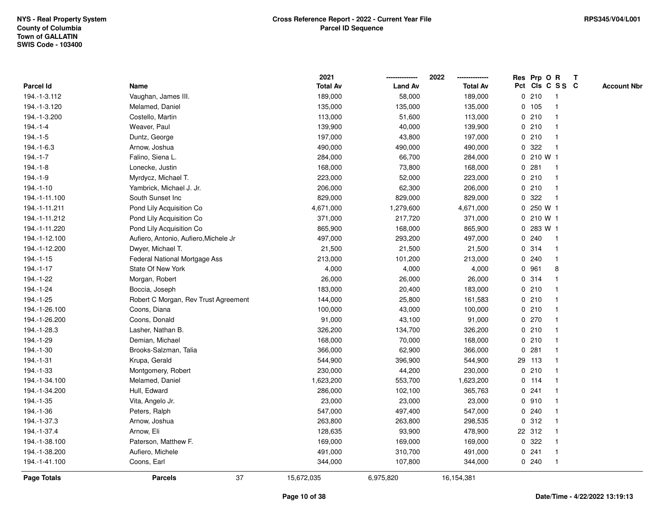|               |                                       | 2021            |                | 2022            | Res Prp O R     |           |                         | $\mathbf{T}$ |                    |
|---------------|---------------------------------------|-----------------|----------------|-----------------|-----------------|-----------|-------------------------|--------------|--------------------|
| Parcel Id     | Name                                  | <b>Total Av</b> | <b>Land Av</b> | <b>Total Av</b> | Pct Cls C S S C |           |                         |              | <b>Account Nbr</b> |
| 194.-1-3.112  | Vaughan, James III.                   | 189,000         | 58,000         | 189,000         | 0210            |           | -1                      |              |                    |
| 194.-1-3.120  | Melamed, Daniel                       | 135,000         | 135,000        | 135,000         | 0, 105          |           |                         |              |                    |
| 194.-1-3.200  | Costello, Martin                      | 113,000         | 51,600         | 113,000         | 0210            |           | -1                      |              |                    |
| $194.-1-4$    | Weaver, Paul                          | 139,900         | 40,000         | 139,900         | 0210            |           | $\mathbf{1}$            |              |                    |
| $194.-1-5$    | Duntz, George                         | 197,000         | 43,800         | 197,000         | 0210            |           | $\mathbf{1}$            |              |                    |
| 194.-1-6.3    | Arnow, Joshua                         | 490,000         | 490,000        | 490,000         | 0 322           |           | -1                      |              |                    |
| $194.-1-7$    | Falino, Siena L.                      | 284,000         | 66,700         | 284,000         |                 | 0 210 W 1 |                         |              |                    |
| $194.-1-8$    | Lonecke, Justin                       | 168,000         | 73,800         | 168,000         | 0.281           |           |                         |              |                    |
| 194.-1-9      | Myrdycz, Michael T.                   | 223,000         | 52,000         | 223,000         | 0210            |           | -1                      |              |                    |
| $194.-1-10$   | Yambrick, Michael J. Jr.              | 206,000         | 62,300         | 206,000         | 0210            |           | $\overline{\mathbf{1}}$ |              |                    |
| 194.-1-11.100 | South Sunset Inc                      | 829,000         | 829,000        | 829,000         | 322<br>0        |           | $\mathbf{1}$            |              |                    |
| 194.-1-11.211 | Pond Lily Acquisition Co              | 4,671,000       | 1,279,600      | 4,671,000       | $\mathbf 0$     | 250 W 1   |                         |              |                    |
| 194.-1-11.212 | Pond Lily Acquisition Co              | 371,000         | 217,720        | 371,000         |                 | 0 210 W 1 |                         |              |                    |
| 194.-1-11.220 | Pond Lily Acquisition Co              | 865,900         | 168,000        | 865,900         |                 | 0 283 W 1 |                         |              |                    |
| 194.-1-12.100 | Aufiero, Antonio, Aufiero, Michele Jr | 497,000         | 293,200        | 497,000         | 0.240           |           |                         |              |                    |
| 194.-1-12.200 | Dwyer, Michael T.                     | 21,500          | 21,500         | 21,500          | 0.314           |           | -1                      |              |                    |
| $194.-1-15$   | Federal National Mortgage Ass         | 213,000         | 101,200        | 213,000         | 0.240           |           | $\mathbf{1}$            |              |                    |
| 194.-1-17     | State Of New York                     | 4,000           | 4,000          | 4,000           | 0 961           |           | 8                       |              |                    |
| 194.-1-22     | Morgan, Robert                        | 26,000          | 26,000         | 26,000          | 0.314           |           | $\mathbf 1$             |              |                    |
| 194.-1-24     | Boccia, Joseph                        | 183,000         | 20,400         | 183,000         | 0210            |           |                         |              |                    |
| 194.-1-25     | Robert C Morgan, Rev Trust Agreement  | 144,000         | 25,800         | 161,583         | 0210            |           |                         |              |                    |
| 194.-1-26.100 | Coons, Diana                          | 100,000         | 43,000         | 100,000         | 0210            |           |                         |              |                    |
| 194.-1-26.200 | Coons, Donald                         | 91,000          | 43,100         | 91,000          | 0270            |           | -1                      |              |                    |
| 194.-1-28.3   | Lasher, Nathan B.                     | 326,200         | 134,700        | 326,200         | 0210            |           | $\mathbf{1}$            |              |                    |
| 194.-1-29     | Demian, Michael                       | 168,000         | 70,000         | 168,000         | 0210            |           | $\mathbf 1$             |              |                    |
| 194.-1-30     | Brooks-Salzman, Talia                 | 366,000         | 62,900         | 366,000         | 0.281           |           | $\mathbf 1$             |              |                    |
| 194.-1-31     | Krupa, Gerald                         | 544,900         | 396,900        | 544,900         | 29 113          |           | -1                      |              |                    |
| 194.-1-33     | Montgomery, Robert                    | 230,000         | 44,200         | 230,000         | 0210            |           |                         |              |                    |
| 194.-1-34.100 | Melamed, Daniel                       | 1,623,200       | 553,700        | 1,623,200       | $0$ 114         |           | $\overline{\mathbf{1}}$ |              |                    |
| 194.-1-34.200 | Hull, Edward                          | 286,000         | 102,100        | 365,763         | 0.241           |           |                         |              |                    |
| 194.-1-35     | Vita, Angelo Jr.                      | 23,000          | 23,000         | 23,000          | 0.910           |           | $\mathbf{1}$            |              |                    |
| 194.-1-36     | Peters, Ralph                         | 547,000         | 497,400        | 547,000         | 0.240           |           | $\mathbf 1$             |              |                    |
| 194.-1-37.3   | Arnow, Joshua                         | 263,800         | 263,800        | 298,535         | 0.312           |           | -1                      |              |                    |
| 194.-1-37.4   | Arnow, Eli                            | 128,635         | 93,900         | 478,900         | 22 312          |           |                         |              |                    |
| 194.-1-38.100 | Paterson, Matthew F.                  | 169,000         | 169,000        | 169,000         | 0.322           |           |                         |              |                    |
| 194.-1-38.200 | Aufiero, Michele                      | 491,000         | 310,700        | 491,000         | 0.241           |           | $\mathbf{1}$            |              |                    |
| 194.-1-41.100 | Coons, Earl                           | 344,000         | 107,800        | 344,000         | 0.240           |           | $\mathbf{1}$            |              |                    |
| Page Totals   | 37<br><b>Parcels</b>                  | 15,672,035      | 6,975,820      | 16,154,381      |                 |           |                         |              |                    |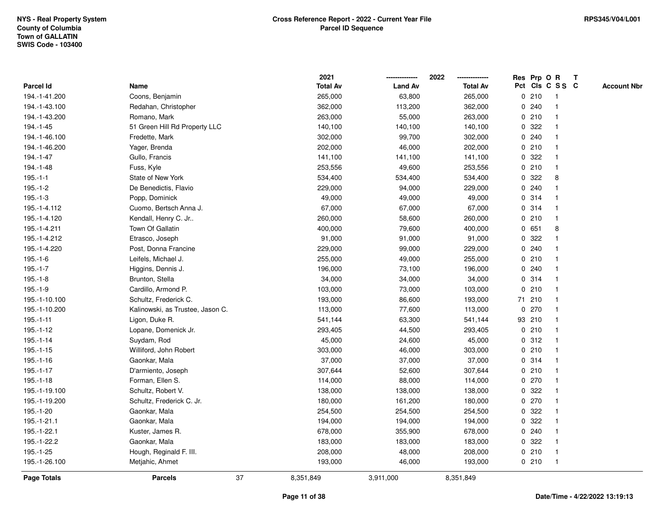|               |                                  |    | 2021            |                | 2022            |              |        | Res Prp O R     | $\mathbf{T}$ |                    |
|---------------|----------------------------------|----|-----------------|----------------|-----------------|--------------|--------|-----------------|--------------|--------------------|
| Parcel Id     | Name                             |    | <b>Total Av</b> | <b>Land Av</b> | <b>Total Av</b> |              |        | Pct Cls C S S C |              | <b>Account Nbr</b> |
| 194.-1-41.200 | Coons, Benjamin                  |    | 265,000         | 63,800         | 265,000         |              | 0210   |                 |              |                    |
| 194.-1-43.100 | Redahan, Christopher             |    | 362,000         | 113,200        | 362,000         |              | 0.240  |                 |              |                    |
| 194.-1-43.200 | Romano, Mark                     |    | 263,000         | 55,000         | 263,000         |              | 0210   |                 |              |                    |
| 194.-1-45     | 51 Green Hill Rd Property LLC    |    | 140,100         | 140,100        | 140,100         | $\mathbf 0$  | 322    |                 |              |                    |
| 194.-1-46.100 | Fredette, Mark                   |    | 302,000         | 99,700         | 302,000         |              | 0.240  | -1              |              |                    |
| 194.-1-46.200 | Yager, Brenda                    |    | 202,000         | 46,000         | 202,000         |              | 0210   | -1              |              |                    |
| 194.-1-47     | Gullo, Francis                   |    | 141,100         | 141,100        | 141,100         |              | 0.322  |                 |              |                    |
| 194.-1-48     | Fuss, Kyle                       |    | 253,556         | 49,600         | 253,556         |              | 0210   |                 |              |                    |
| $195.-1-1$    | State of New York                |    | 534,400         | 534,400        | 534,400         |              | 0.322  | 8               |              |                    |
| $195.-1-2$    | De Benedictis, Flavio            |    | 229,000         | 94,000         | 229,000         | 0            | 240    |                 |              |                    |
| $195.-1-3$    | Popp, Dominick                   |    | 49,000          | 49,000         | 49,000          |              | 0.314  | -1              |              |                    |
| 195.-1-4.112  | Cuomo, Bertsch Anna J.           |    | 67,000          | 67,000         | 67,000          |              | 0.314  | -1              |              |                    |
| 195.-1-4.120  | Kendall, Henry C. Jr             |    | 260,000         | 58,600         | 260,000         |              | 0210   | -1              |              |                    |
| 195.-1-4.211  | Town Of Gallatin                 |    | 400,000         | 79,600         | 400,000         |              | 0 651  | 8               |              |                    |
| 195.-1-4.212  | Etrasco, Joseph                  |    | 91,000          | 91,000         | 91,000          | $\mathbf{0}$ | 322    |                 |              |                    |
| 195.-1-4.220  | Post, Donna Francine             |    | 229,000         | 99,000         | 229,000         |              | 0.240  |                 |              |                    |
| $195.-1-6$    | Leifels, Michael J.              |    | 255,000         | 49,000         | 255,000         | $\mathbf 0$  | 210    |                 |              |                    |
| $195.-1-7$    | Higgins, Dennis J.               |    | 196,000         | 73,100         | 196,000         | 0            | 240    | -1              |              |                    |
| $195.-1-8$    | Brunton, Stella                  |    | 34,000          | 34,000         | 34,000          |              | 0.314  | -1              |              |                    |
| $195.-1-9$    | Cardillo, Armond P.              |    | 103,000         | 73,000         | 103,000         |              | 0210   |                 |              |                    |
| 195.-1-10.100 | Schultz, Frederick C.            |    | 193,000         | 86,600         | 193,000         |              | 71 210 |                 |              |                    |
| 195.-1-10.200 | Kalinowski, as Trustee, Jason C. |    | 113,000         | 77,600         | 113,000         |              | 0270   |                 |              |                    |
| $195.-1-11$   | Ligon, Duke R.                   |    | 541,144         | 63,300         | 541,144         |              | 93 210 | -1              |              |                    |
| $195.-1-12$   | Lopane, Domenick Jr.             |    | 293,405         | 44,500         | 293,405         |              | 0210   | $\mathbf{1}$    |              |                    |
| $195.-1-14$   | Suydam, Rod                      |    | 45,000          | 24,600         | 45,000          |              | 0.312  | -1              |              |                    |
| 195.-1-15     | Williford, John Robert           |    | 303,000         | 46,000         | 303,000         |              | 0210   | -1              |              |                    |
| $195.-1-16$   | Gaonkar, Mala                    |    | 37,000          | 37,000         | 37,000          |              | 0.314  |                 |              |                    |
| 195.-1-17     | D'armiento, Joseph               |    | 307,644         | 52,600         | 307,644         |              | 0210   |                 |              |                    |
| 195.-1-18     | Forman, Ellen S.                 |    | 114,000         | 88,000         | 114,000         |              | 0270   |                 |              |                    |
| 195.-1-19.100 | Schultz, Robert V.               |    | 138,000         | 138,000        | 138,000         | 0            | 322    |                 |              |                    |
| 195.-1-19.200 | Schultz, Frederick C. Jr.        |    | 180,000         | 161,200        | 180,000         | 0            | 270    | $\mathbf{1}$    |              |                    |
| 195.-1-20     | Gaonkar, Mala                    |    | 254,500         | 254,500        | 254,500         |              | 0.322  | -1              |              |                    |
| 195.-1-21.1   | Gaonkar, Mala                    |    | 194,000         | 194,000        | 194,000         |              | 0.322  |                 |              |                    |
| 195.-1-22.1   | Kuster, James R.                 |    | 678,000         | 355,900        | 678,000         |              | 0.240  |                 |              |                    |
| 195.-1-22.2   | Gaonkar, Mala                    |    | 183,000         | 183,000        | 183,000         |              | 0.322  |                 |              |                    |
| 195.-1-25     | Hough, Reginald F. III.          |    | 208,000         | 48,000         | 208,000         |              | 0210   | $\mathbf{1}$    |              |                    |
| 195.-1-26.100 | Metjahic, Ahmet                  |    | 193,000         | 46,000         | 193,000         |              | 0210   | -1              |              |                    |
| Page Totals   | <b>Parcels</b>                   | 37 | 8,351,849       | 3,911,000      | 8,351,849       |              |        |                 |              |                    |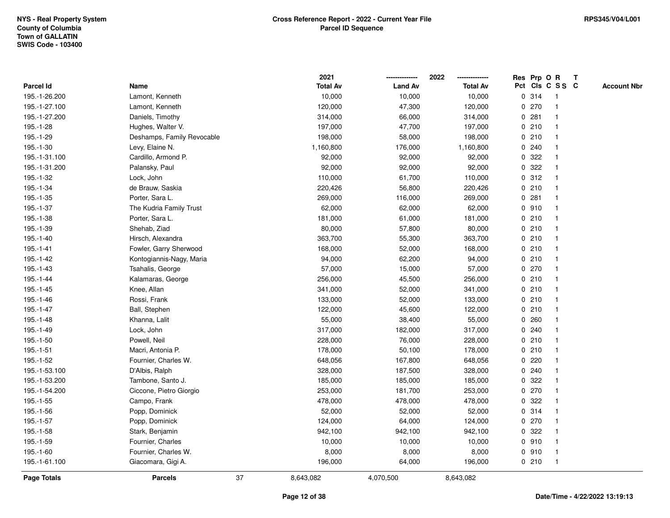|               |                            |    | 2021            |                | 2022            |   |       | Res Prp O R     | Т |                    |
|---------------|----------------------------|----|-----------------|----------------|-----------------|---|-------|-----------------|---|--------------------|
| Parcel Id     | Name                       |    | <b>Total Av</b> | <b>Land Av</b> | <b>Total Av</b> |   |       | Pct Cls C S S C |   | <b>Account Nbr</b> |
| 195.-1-26.200 | Lamont, Kenneth            |    | 10,000          | 10,000         | 10,000          |   | 0.314 | $\mathbf{1}$    |   |                    |
| 195.-1-27.100 | Lamont, Kenneth            |    | 120,000         | 47,300         | 120,000         | 0 | 270   | 1               |   |                    |
| 195.-1-27.200 | Daniels, Timothy           |    | 314,000         | 66,000         | 314,000         |   | 0.281 | $\mathbf 1$     |   |                    |
| 195.-1-28     | Hughes, Walter V.          |    | 197,000         | 47,700         | 197,000         |   | 0210  | -1              |   |                    |
| 195.-1-29     | Deshamps, Family Revocable |    | 198,000         | 58,000         | 198,000         |   | 0210  |                 |   |                    |
| 195.-1-30     | Levy, Elaine N.            |    | 1,160,800       | 176,000        | 1,160,800       |   | 0.240 |                 |   |                    |
| 195.-1-31.100 | Cardillo, Armond P.        |    | 92,000          | 92,000         | 92,000          |   | 0.322 | $\mathbf 1$     |   |                    |
| 195.-1-31.200 | Palansky, Paul             |    | 92,000          | 92,000         | 92,000          | 0 | 322   | $\mathbf{1}$    |   |                    |
| 195.-1-32     | Lock, John                 |    | 110,000         | 61,700         | 110,000         |   | 0.312 | 1               |   |                    |
| 195.-1-34     | de Brauw, Saskia           |    | 220,426         | 56,800         | 220,426         |   | 0210  | $\mathbf{1}$    |   |                    |
| 195.-1-35     | Porter, Sara L.            |    | 269,000         | 116,000        | 269,000         |   | 0.281 | $\mathbf 1$     |   |                    |
| 195.-1-37     | The Kudria Family Trust    |    | 62,000          | 62,000         | 62,000          |   | 0.910 |                 |   |                    |
| 195.-1-38     | Porter, Sara L.            |    | 181,000         | 61,000         | 181,000         |   | 0210  |                 |   |                    |
| 195.-1-39     | Shehab, Ziad               |    | 80,000          | 57,800         | 80,000          |   | 0210  | $\mathbf 1$     |   |                    |
| 195.-1-40     | Hirsch, Alexandra          |    | 363,700         | 55,300         | 363,700         |   | 0210  | $\mathbf{1}$    |   |                    |
| $195.-1-41$   | Fowler, Garry Sherwood     |    | 168,000         | 52,000         | 168,000         |   | 0210  | $\mathbf{1}$    |   |                    |
| 195.-1-42     | Kontogiannis-Nagy, Maria   |    | 94,000          | 62,200         | 94,000          |   | 0210  | $\mathbf{1}$    |   |                    |
| 195.-1-43     | Tsahalis, George           |    | 57,000          | 15,000         | 57,000          |   | 0270  | $\mathbf 1$     |   |                    |
| 195.-1-44     | Kalamaras, George          |    | 256,000         | 45,500         | 256,000         |   | 0210  | 1               |   |                    |
| 195.-1-45     | Knee, Allan                |    | 341,000         | 52,000         | 341,000         |   | 0210  |                 |   |                    |
| 195.-1-46     | Rossi, Frank               |    | 133,000         | 52,000         | 133,000         |   | 0210  | $\mathbf{1}$    |   |                    |
| 195.-1-47     | Ball, Stephen              |    | 122,000         | 45,600         | 122,000         |   | 0210  | -1              |   |                    |
| 195.-1-48     | Khanna, Lalit              |    | 55,000          | 38,400         | 55,000          |   | 0.260 | $\mathbf{1}$    |   |                    |
| 195.-1-49     | Lock, John                 |    | 317,000         | 182,000        | 317,000         |   | 0.240 | $\mathbf 1$     |   |                    |
| 195.-1-50     | Powell, Neil               |    | 228,000         | 76,000         | 228,000         |   | 0210  | $\mathbf 1$     |   |                    |
| 195.-1-51     | Macri, Antonia P.          |    | 178,000         | 50,100         | 178,000         |   | 0210  |                 |   |                    |
| 195.-1-52     | Fournier, Charles W.       |    | 648,056         | 167,800        | 648,056         |   | 0220  |                 |   |                    |
| 195.-1-53.100 | D'Albis, Ralph             |    | 328,000         | 187,500        | 328,000         |   | 0.240 | $\mathbf{1}$    |   |                    |
| 195.-1-53.200 | Tambone, Santo J.          |    | 185,000         | 185,000        | 185,000         | 0 | 322   | $\mathbf{1}$    |   |                    |
| 195.-1-54.200 | Ciccone, Pietro Giorgio    |    | 253,000         | 181,700        | 253,000         | 0 | 270   | $\mathbf{1}$    |   |                    |
| 195.-1-55     | Campo, Frank               |    | 478,000         | 478,000        | 478,000         | 0 | 322   | 1               |   |                    |
| 195.-1-56     | Popp, Dominick             |    | 52,000          | 52,000         | 52,000          |   | 0.314 | $\mathbf 1$     |   |                    |
| 195.-1-57     | Popp, Dominick             |    | 124,000         | 64,000         | 124,000         |   | 0270  | $\mathbf 1$     |   |                    |
| 195.-1-58     | Stark, Benjamin            |    | 942,100         | 942,100        | 942,100         |   | 0.322 |                 |   |                    |
| 195.-1-59     | Fournier, Charles          |    | 10,000          | 10,000         | 10,000          |   | 0.910 | $\mathbf 1$     |   |                    |
| 195.-1-60     | Fournier, Charles W.       |    | 8,000           | 8,000          | 8,000           |   | 0910  | $\mathbf{1}$    |   |                    |
| 195.-1-61.100 | Giacomara, Gigi A.         |    | 196,000         | 64,000         | 196,000         |   | 0210  | $\mathbf{1}$    |   |                    |
| Page Totals   | <b>Parcels</b>             | 37 | 8,643,082       | 4,070,500      | 8,643,082       |   |       |                 |   |                    |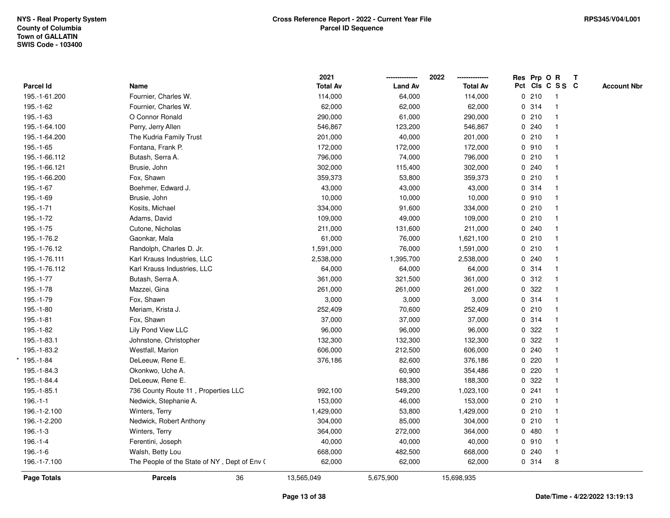|                    |                                              | 2021            |                | 2022<br>-------------- | Res Prp O R |                         | $\mathbf{T}$ |                    |
|--------------------|----------------------------------------------|-----------------|----------------|------------------------|-------------|-------------------------|--------------|--------------------|
| Parcel Id          | Name                                         | <b>Total Av</b> | <b>Land Av</b> | <b>Total Av</b>        |             | Pct Cls C S S C         |              | <b>Account Nbr</b> |
| 195.-1-61.200      | Fournier, Charles W.                         | 114,000         | 64,000         | 114,000                | 0210        | -1                      |              |                    |
| 195.-1-62          | Fournier, Charles W.                         | 62,000          | 62,000         | 62,000                 | 0.314       |                         |              |                    |
| 195.-1-63          | O Connor Ronald                              | 290,000         | 61,000         | 290,000                | 0210        |                         |              |                    |
| 195.-1-64.100      | Perry, Jerry Allen                           | 546,867         | 123,200        | 546,867                | 0.240       | $\mathbf{1}$            |              |                    |
| 195.-1-64.200      | The Kudria Family Trust                      | 201,000         | 40,000         | 201,000                | 0210        | -1                      |              |                    |
| 195.-1-65          | Fontana, Frank P.                            | 172,000         | 172,000        | 172,000                | 0910        |                         |              |                    |
| 195.-1-66.112      | Butash, Serra A.                             | 796,000         | 74,000         | 796,000                | 0210        |                         |              |                    |
| 195.-1-66.121      | Brusie, John                                 | 302,000         | 115,400        | 302,000                | 0.240       |                         |              |                    |
| 195.-1-66.200      | Fox, Shawn                                   | 359,373         | 53,800         | 359,373                | 0210        |                         |              |                    |
| 195.-1-67          | Boehmer, Edward J.                           | 43,000          | 43,000         | 43,000                 | 0.314       |                         |              |                    |
| 195.-1-69          | Brusie, John                                 | 10,000          | 10,000         | 10,000                 | 0.910       |                         |              |                    |
| $195.-1-71$        | Kosits, Michael                              | 334,000         | 91,600         | 334,000                | 0210        | $\overline{\mathbf{1}}$ |              |                    |
| 195.-1-72          | Adams, David                                 | 109,000         | 49,000         | 109,000                | 0210        |                         |              |                    |
| 195.-1-75          | Cutone, Nicholas                             | 211,000         | 131,600        | 211,000                | 0.240       |                         |              |                    |
| 195.-1-76.2        | Gaonkar, Mala                                | 61,000          | 76,000         | 1,621,100              | 0210        |                         |              |                    |
| 195.-1-76.12       | Randolph, Charles D. Jr.                     | 1,591,000       | 76,000         | 1,591,000              | 0210        |                         |              |                    |
| 195.-1-76.111      | Karl Krauss Industries, LLC                  | 2,538,000       | 1,395,700      | 2,538,000              | 0.240       | $\overline{\mathbf{1}}$ |              |                    |
| 195.-1-76.112      | Karl Krauss Industries, LLC                  | 64,000          | 64,000         | 64,000                 | 0.314       | $\overline{\mathbf{1}}$ |              |                    |
| 195.-1-77          | Butash, Serra A.                             | 361,000         | 321,500        | 361,000                | 0.312       | $\mathbf{1}$            |              |                    |
| 195.-1-78          | Mazzei, Gina                                 | 261,000         | 261,000        | 261,000                | 0.322       |                         |              |                    |
| 195.-1-79          | Fox, Shawn                                   | 3,000           | 3,000          | 3,000                  | 0.314       |                         |              |                    |
| 195.-1-80          | Meriam, Krista J.                            | 252,409         | 70,600         | 252,409                | 0210        |                         |              |                    |
| 195.-1-81          | Fox, Shawn                                   | 37,000          | 37,000         | 37,000                 | 0.314       |                         |              |                    |
| 195.-1-82          | Lily Pond View LLC                           | 96,000          | 96,000         | 96,000                 | 0.322       |                         |              |                    |
| 195.-1-83.1        | Johnstone, Christopher                       | 132,300         | 132,300        | 132,300                | 0.322       | -1                      |              |                    |
| 195.-1-83.2        | Westfall, Marion                             | 606,000         | 212,500        | 606,000                | 0.240       |                         |              |                    |
| 195.-1-84          | DeLeeuw, Rene E.                             | 376,186         | 82,600         | 376,186                | 0220        |                         |              |                    |
| 195.-1-84.3        | Okonkwo, Uche A.                             |                 | 60,900         | 354,486                | 0.220       |                         |              |                    |
| 195.-1-84.4        | DeLeeuw, Rene E.                             |                 | 188,300        | 188,300                | 0.322       |                         |              |                    |
| 195.-1-85.1        | 736 County Route 11, Properties LLC          | 992,100         | 549,200        | 1,023,100              | 0.241       | -1                      |              |                    |
| $196.-1-1$         | Nedwick, Stephanie A.                        | 153,000         | 46,000         | 153,000                | 0210        | $\overline{1}$          |              |                    |
| 196.-1-2.100       | Winters, Terry                               | 1,429,000       | 53,800         | 1,429,000              | 0210        | $\mathbf{1}$            |              |                    |
| 196.-1-2.200       | Nedwick, Robert Anthony                      | 304,000         | 85,000         | 304,000                | 0210        |                         |              |                    |
| $196.-1-3$         | Winters, Terry                               | 364,000         | 272,000        | 364,000                | 0480        |                         |              |                    |
| $196.-1-4$         | Ferentini, Joseph                            | 40,000          | 40,000         | 40,000                 | 0.910       |                         |              |                    |
| $196.-1-6$         | Walsh, Betty Lou                             | 668,000         | 482,500        | 668,000                | 0.240       | $\overline{\mathbf{1}}$ |              |                    |
| 196.-1-7.100       | The People of the State of NY, Dept of Env ( | 62,000          | 62,000         | 62,000                 | 0.314       | 8                       |              |                    |
| <b>Page Totals</b> | <b>Parcels</b><br>36                         | 13,565,049      | 5,675,900      | 15,698,935             |             |                         |              |                    |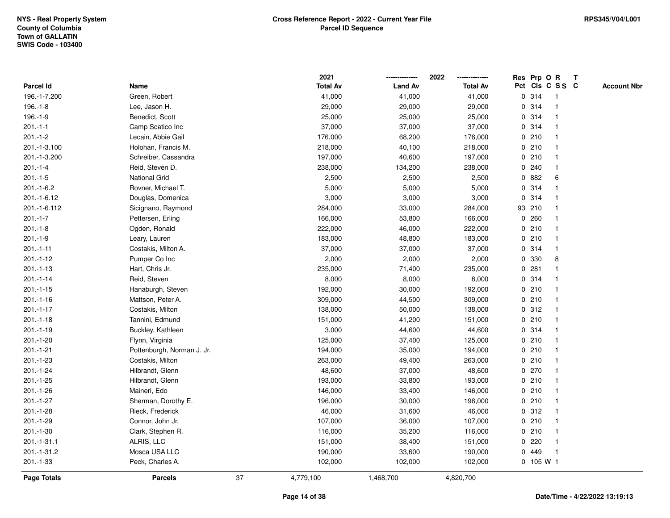|                |                            |    | 2021            |                | 2022            |             | Res Prp O R |                 | T |                    |
|----------------|----------------------------|----|-----------------|----------------|-----------------|-------------|-------------|-----------------|---|--------------------|
| Parcel Id      | Name                       |    | <b>Total Av</b> | <b>Land Av</b> | <b>Total Av</b> |             |             | Pct Cls C S S C |   | <b>Account Nbr</b> |
| 196.-1-7.200   | Green, Robert              |    | 41,000          | 41,000         | 41,000          |             | 0.314       | $\mathbf{1}$    |   |                    |
| $196.-1-8$     | Lee, Jason H.              |    | 29,000          | 29,000         | 29,000          | 0           | 314         | -1              |   |                    |
| $196.-1-9$     | Benedict, Scott            |    | 25,000          | 25,000         | 25,000          |             | 0.314       | $\mathbf{1}$    |   |                    |
| $201 - 1 - 1$  | Camp Scatico Inc           |    | 37,000          | 37,000         | 37,000          |             | 0.314       | -1              |   |                    |
| $201 - 1 - 2$  | Lecain, Abbie Gail         |    | 176,000         | 68,200         | 176,000         |             | 0210        |                 |   |                    |
| 201.-1-3.100   | Holohan, Francis M.        |    | 218,000         | 40,100         | 218,000         |             | 0210        |                 |   |                    |
| 201.-1-3.200   | Schreiber, Cassandra       |    | 197,000         | 40,600         | 197,000         |             | 0210        |                 |   |                    |
| $201 - 1 - 4$  | Reid, Steven D.            |    | 238,000         | 134,200        | 238,000         | 0           | 240         | $\overline{1}$  |   |                    |
| $201 - 1 - 5$  | <b>National Grid</b>       |    | 2,500           | 2,500          | 2,500           |             | 0882        | 6               |   |                    |
| $201.-1-6.2$   | Rovner, Michael T.         |    | 5,000           | 5,000          | 5,000           |             | 0 314       | $\mathbf 1$     |   |                    |
| 201.-1-6.12    | Douglas, Domenica          |    | 3,000           | 3,000          | 3,000           |             | 0.314       |                 |   |                    |
| 201.-1-6.112   | Sicignano, Raymond         |    | 284,000         | 33,000         | 284,000         |             | 93 210      |                 |   |                    |
| $201 - 1 - 7$  | Pettersen, Erling          |    | 166,000         | 53,800         | 166,000         |             | 0.260       |                 |   |                    |
| $201 - 1 - 8$  | Ogden, Ronald              |    | 222,000         | 46,000         | 222,000         |             | 0210        | $\mathbf 1$     |   |                    |
| $201.-1-9$     | Leary, Lauren              |    | 183,000         | 48,800         | 183,000         | $\mathbf 0$ | 210         | -1              |   |                    |
| $201 - 1 - 11$ | Costakis, Milton A.        |    | 37,000          | 37,000         | 37,000          |             | 0.314       | $\mathbf{1}$    |   |                    |
| $201.-1-12$    | Pumper Co Inc              |    | 2,000           | 2,000          | 2,000           |             | 0 330       | 8               |   |                    |
| $201 - 1 - 13$ | Hart, Chris Jr.            |    | 235,000         | 71,400         | 235,000         |             | 0.281       |                 |   |                    |
| $201.-1-14$    | Reid, Steven               |    | 8,000           | 8,000          | 8,000           |             | 0.314       |                 |   |                    |
| $201.-1-15$    | Hanaburgh, Steven          |    | 192,000         | 30,000         | 192,000         |             | 0210        |                 |   |                    |
| $201.-1-16$    | Mattson, Peter A.          |    | 309,000         | 44,500         | 309,000         |             | 0210        |                 |   |                    |
| $201 - 1 - 17$ | Costakis, Milton           |    | 138,000         | 50,000         | 138,000         |             | 0.312       |                 |   |                    |
| $201 - 1 - 18$ | Tannini, Edmund            |    | 151,000         | 41,200         | 151,000         |             | 0210        | $\overline{1}$  |   |                    |
| $201.-1-19$    | Buckley, Kathleen          |    | 3,000           | 44,600         | 44,600          |             | 0 314       | $\overline{1}$  |   |                    |
| $201.-1-20$    | Flynn, Virginia            |    | 125,000         | 37,400         | 125,000         |             | 0210        | -1              |   |                    |
| $201 - 1 - 21$ | Pottenburgh, Norman J. Jr. |    | 194,000         | 35,000         | 194,000         |             | 0210        |                 |   |                    |
| 201.-1-23      | Costakis, Milton           |    | 263,000         | 49,400         | 263,000         |             | 0210        |                 |   |                    |
| $201.-1-24$    | Hilbrandt, Glenn           |    | 48,600          | 37,000         | 48,600          |             | $0$ 270     |                 |   |                    |
| $201 - 1 - 25$ | Hilbrandt, Glenn           |    | 193,000         | 33,800         | 193,000         |             | 0210        | $\mathbf{1}$    |   |                    |
| 201.-1-26      | Maineri, Edo               |    | 146,000         | 33,400         | 146,000         | 0           | 210         | -1              |   |                    |
| 201.-1-27      | Sherman, Dorothy E.        |    | 196,000         | 30,000         | 196,000         |             | 0210        | -1              |   |                    |
| $201.-1-28$    | Rieck, Frederick           |    | 46,000          | 31,600         | 46,000          |             | 0.312       | -1              |   |                    |
| $201.-1-29$    | Connor, John Jr.           |    | 107,000         | 36,000         | 107,000         |             | 0210        |                 |   |                    |
| $201.-1-30$    | Clark, Stephen R.          |    | 116,000         | 35,200         | 116,000         |             | 0210        |                 |   |                    |
| 201.-1-31.1    | ALRIS, LLC                 |    | 151,000         | 38,400         | 151,000         |             | $0$ 220     | 1               |   |                    |
| 201.-1-31.2    | Mosca USA LLC              |    | 190,000         | 33,600         | 190,000         | 0           | 449         | $\overline{1}$  |   |                    |
| 201.-1-33      | Peck, Charles A.           |    | 102,000         | 102,000        | 102,000         |             | $0$ 105 W 1 |                 |   |                    |
| Page Totals    | <b>Parcels</b>             | 37 | 4,779,100       | 1,468,700      | 4,820,700       |             |             |                 |   |                    |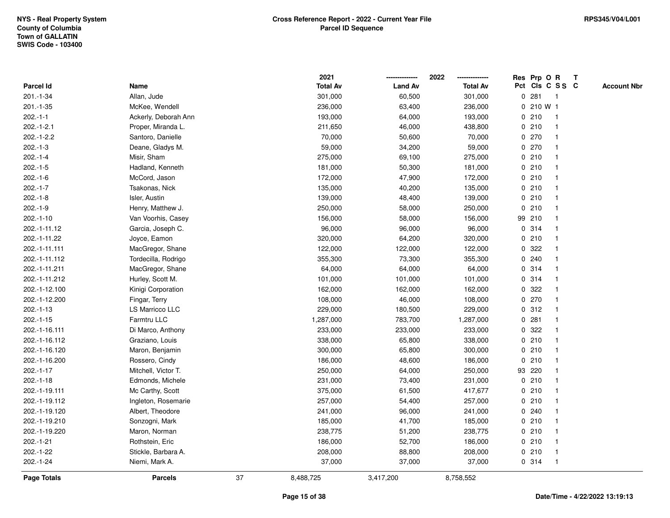|                |                      |    | 2021            |                | 2022            |   | Res Prp O R     |                          | T |                    |
|----------------|----------------------|----|-----------------|----------------|-----------------|---|-----------------|--------------------------|---|--------------------|
| Parcel Id      | Name                 |    | <b>Total Av</b> | <b>Land Av</b> | <b>Total Av</b> |   | Pct Cls C S S C |                          |   | <b>Account Nbr</b> |
| 201.-1-34      | Allan, Jude          |    | 301,000         | 60,500         | 301,000         | 0 | 281             | $\overline{\phantom{1}}$ |   |                    |
| $201 - 1 - 35$ | McKee, Wendell       |    | 236,000         | 63,400         | 236,000         |   | 0 210 W 1       |                          |   |                    |
| $202.-1-1$     | Ackerly, Deborah Ann |    | 193,000         | 64,000         | 193,000         |   | 0210            | $\overline{\mathbf{1}}$  |   |                    |
| $202.-1-2.1$   | Proper, Miranda L.   |    | 211,650         | 46,000         | 438,800         |   | 0210            | -1                       |   |                    |
| $202.-1-2.2$   | Santoro, Danielle    |    | 70,000          | 50,600         | 70,000          |   | 0270            |                          |   |                    |
| $202.-1-3$     | Deane, Gladys M.     |    | 59,000          | 34,200         | 59,000          |   | 0270            |                          |   |                    |
| $202.-1-4$     | Misir, Sham          |    | 275,000         | 69,100         | 275,000         |   | 0210            | -1                       |   |                    |
| $202.-1-5$     | Hadland, Kenneth     |    | 181,000         | 50,300         | 181,000         |   | 0210            | $\overline{\mathbf{1}}$  |   |                    |
| $202.-1-6$     | McCord, Jason        |    | 172,000         | 47,900         | 172,000         |   | 0210            | $\overline{\mathbf{1}}$  |   |                    |
| $202.-1-7$     | Tsakonas, Nick       |    | 135,000         | 40,200         | 135,000         |   | 0210            | -1                       |   |                    |
| $202.-1-8$     | Isler, Austin        |    | 139,000         | 48,400         | 139,000         |   | 0210            |                          |   |                    |
| $202.-1-9$     | Henry, Matthew J.    |    | 250,000         | 58,000         | 250,000         |   | 0210            |                          |   |                    |
| $202.-1-10$    | Van Voorhis, Casey   |    | 156,000         | 58,000         | 156,000         |   | 99 210          |                          |   |                    |
| 202.-1-11.12   | Garcia, Joseph C.    |    | 96,000          | 96,000         | 96,000          |   | 0.314           |                          |   |                    |
| 202.-1-11.22   | Joyce, Eamon         |    | 320,000         | 64,200         | 320,000         |   | 0210            | -1                       |   |                    |
| 202.-1-11.111  | MacGregor, Shane     |    | 122,000         | 122,000        | 122,000         | 0 | 322             |                          |   |                    |
| 202.-1-11.112  | Tordecilla, Rodrigo  |    | 355,300         | 73,300         | 355,300         |   | 0.240           | -1                       |   |                    |
| 202.-1-11.211  | MacGregor, Shane     |    | 64,000          | 64,000         | 64,000          |   | 0.314           |                          |   |                    |
| 202.-1-11.212  | Hurley, Scott M.     |    | 101,000         | 101,000        | 101,000         |   | 0.314           |                          |   |                    |
| 202.-1-12.100  | Kinigi Corporation   |    | 162,000         | 162,000        | 162,000         |   | 0.322           |                          |   |                    |
| 202.-1-12.200  | Fingar, Terry        |    | 108,000         | 46,000         | 108,000         |   | 0270            | -1                       |   |                    |
| 202.-1-13      | LS Marricco LLC      |    | 229,000         | 180,500        | 229,000         |   | 0.312           | -1                       |   |                    |
| $202.-1-15$    | Farmtru LLC          |    | 1,287,000       | 783,700        | 1,287,000       | 0 | 281             | -1                       |   |                    |
| 202.-1-16.111  | Di Marco, Anthony    |    | 233,000         | 233,000        | 233,000         | 0 | 322             | -1                       |   |                    |
| 202.-1-16.112  | Graziano, Louis      |    | 338,000         | 65,800         | 338,000         |   | 0210            |                          |   |                    |
| 202.-1-16.120  | Maron, Benjamin      |    | 300,000         | 65,800         | 300,000         |   | 0210            |                          |   |                    |
| 202.-1-16.200  | Rossero, Cindy       |    | 186,000         | 48,600         | 186,000         |   | 0210            |                          |   |                    |
| $202.-1-17$    | Mitchell, Victor T.  |    | 250,000         | 64,000         | 250,000         |   | 93 220          |                          |   |                    |
| $202.-1-18$    | Edmonds, Michele     |    | 231,000         | 73,400         | 231,000         |   | 0210            | $\overline{1}$           |   |                    |
| 202.-1-19.111  | Mc Carthy, Scott     |    | 375,000         | 61,500         | 417,677         | 0 | 210             | -1                       |   |                    |
| 202.-1-19.112  | Ingleton, Rosemarie  |    | 257,000         | 54,400         | 257,000         |   | 0210            | -1                       |   |                    |
| 202.-1-19.120  | Albert, Theodore     |    | 241,000         | 96,000         | 241,000         |   | 0.240           |                          |   |                    |
| 202.-1-19.210  | Sonzogni, Mark       |    | 185,000         | 41,700         | 185,000         |   | 0210            |                          |   |                    |
| 202.-1-19.220  | Maron, Norman        |    | 238,775         | 51,200         | 238,775         |   | 0210            |                          |   |                    |
| $202.-1-21$    | Rothstein, Eric      |    | 186,000         | 52,700         | 186,000         |   | 0210            | -1                       |   |                    |
| 202.-1-22      | Stickle, Barbara A.  |    | 208,000         | 88,800         | 208,000         |   | 0210            | $\mathbf{1}$             |   |                    |
| 202.-1-24      | Niemi, Mark A.       |    | 37,000          | 37,000         | 37,000          |   | 0.314           | $\overline{1}$           |   |                    |
| Page Totals    | <b>Parcels</b>       | 37 | 8,488,725       | 3,417,200      | 8,758,552       |   |                 |                          |   |                    |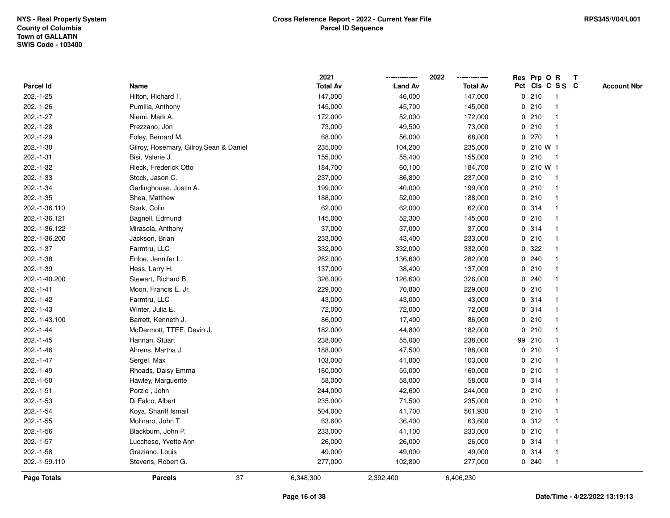|                |                                         | 2021            |                | 2022            | Res Prp O R     |              | Т |                    |
|----------------|-----------------------------------------|-----------------|----------------|-----------------|-----------------|--------------|---|--------------------|
| Parcel Id      | Name                                    | <b>Total Av</b> | <b>Land Av</b> | <b>Total Av</b> | Pct Cls C S S C |              |   | <b>Account Nbr</b> |
| $202.-1-25$    | Hilton, Richard T.                      | 147,000         | 46,000         | 147,000         | 0210            | $\mathbf{1}$ |   |                    |
| 202.-1-26      | Pumilia, Anthony                        | 145,000         | 45,700         | 145,000         | 0210            | -1           |   |                    |
| 202.-1-27      | Niemi, Mark A.                          | 172,000         | 52,000         | 172,000         | 0210            | $\mathbf 1$  |   |                    |
| 202.-1-28      | Prezzano, Jon                           | 73,000          | 49,500         | 73,000          | 0210            |              |   |                    |
| 202.-1-29      | Foley, Bernard M.                       | 68,000          | 56,000         | 68,000          | 0270            |              |   |                    |
| $202.-1-30$    | Gilroy, Rosemary, Gilroy, Sean & Daniel | 235,000         | 104,200        | 235,000         | 0 210 W 1       |              |   |                    |
| 202.-1-31      | Bisi, Valerie J.                        | 155,000         | 55,400         | 155,000         | 0210            | -1           |   |                    |
| 202.-1-32      | Rieck, Frederick Otto                   | 184,700         | 60,100         | 184,700         | 0 210 W 1       |              |   |                    |
| 202.-1-33      | Stock, Jason C.                         | 237,000         | 86,800         | 237,000         | 0210            | -1           |   |                    |
| 202.-1-34      | Garlinghouse, Justin A.                 | 199,000         | 40,000         | 199,000         | 0210            | $\mathbf 1$  |   |                    |
| 202.-1-35      | Shea, Matthew                           | 188,000         | 52,000         | 188,000         | 0210            | -1           |   |                    |
| 202.-1-36.110  | Stark, Colin                            | 62,000          | 62,000         | 62,000          | 0.314           |              |   |                    |
| 202.-1-36.121  | Bagnell, Edmund                         | 145,000         | 52,300         | 145,000         | 0210            |              |   |                    |
| 202.-1-36.122  | Mirasola, Anthony                       | 37,000          | 37,000         | 37,000          | 0.314           | -1           |   |                    |
| 202.-1-36.200  | Jackson, Brian                          | 233,000         | 43,400         | 233,000         | 0210            |              |   |                    |
| 202.-1-37      | Farmtru, LLC                            | 332,000         | 332,000        | 332,000         | 322<br>0        |              |   |                    |
| 202.-1-38      | Enloe, Jennifer L.                      | 282,000         | 136,600        | 282,000         | 0.240           | -1           |   |                    |
| 202.-1-39      | Hess, Larry H.                          | 137,000         | 38,400         | 137,000         | 0210            |              |   |                    |
| 202.-1-40.200  | Stewart, Richard B.                     | 326,000         | 126,600        | 326,000         | 0.240           |              |   |                    |
| 202.-1-41      | Moon, Francis E. Jr.                    | 229,000         | 70,800         | 229,000         | 0210            |              |   |                    |
| 202.-1-42      | Farmtru, LLC                            | 43,000          | 43,000         | 43,000          | 0.314           |              |   |                    |
| $202.-1-43$    | Winter, Julia E.                        | 72,000          | 72,000         | 72,000          | 0.314           |              |   |                    |
| 202.-1-43.100  | Barrett, Kenneth J.                     | 86,000          | 17,400         | 86,000          | 0210            | -1           |   |                    |
| 202.-1-44      | McDermott, TTEE, Devin J.               | 182,000         | 44,800         | 182,000         | 0210            | -1           |   |                    |
| $202 - 1 - 45$ | Hannan, Stuart                          | 238,000         | 55,000         | 238,000         | 99 210          | -1           |   |                    |
| $202.-1-46$    | Ahrens, Martha J.                       | 188,000         | 47,500         | 188,000         | 0210            |              |   |                    |
| 202.-1-47      | Sergel, Max                             | 103,000         | 41,800         | 103,000         | 0210            |              |   |                    |
| 202.-1-49      | Rhoads, Daisy Emma                      | 160,000         | 55,000         | 160,000         | 0210            |              |   |                    |
| 202.-1-50      | Hawley, Marguerite                      | 58,000          | 58,000         | 58,000          | 0.314           | -1           |   |                    |
| $202.-1-51$    | Porzio, John                            | 244,000         | 42,600         | 244,000         | 0210            | -1           |   |                    |
| 202.-1-53      | Di Falco, Albert                        | 235,000         | 71,500         | 235,000         | 0210            | -1           |   |                    |
| 202.-1-54      | Koya, Shariff Ismail                    | 504,000         | 41,700         | 561,930         | 0210            | -1           |   |                    |
| $202.-1-55$    | Molinaro, John T.                       | 63,600          | 36,400         | 63,600          | 0.312           |              |   |                    |
| $202.-1-56$    | Blackburn, John P.                      | 233,000         | 41,100         | 233,000         | 0210            |              |   |                    |
| 202.-1-57      | Lucchese, Yvette Ann                    | 26,000          | 26,000         | 26,000          | 0.314           | -1           |   |                    |
| 202.-1-58      | Graziano, Louis                         | 49,000          | 49,000         | 49,000          | 0.314           | -1           |   |                    |
| 202.-1-59.110  | Stevens, Robert G.                      | 277,000         | 102,800        | 277,000         | 0.240           | $\mathbf{1}$ |   |                    |
| Page Totals    | 37<br><b>Parcels</b>                    | 6,348,300       | 2,392,400      | 6,406,230       |                 |              |   |                    |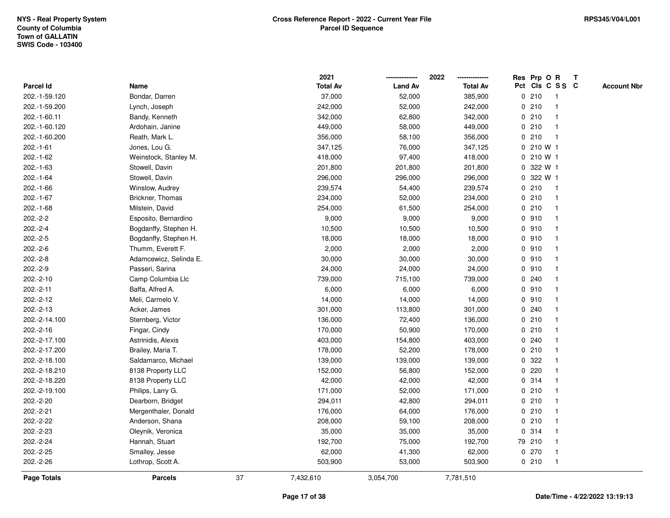|               |                        |    | 2021            |                | 2022            |           | Res Prp O R             | $\mathbf{T}$       |
|---------------|------------------------|----|-----------------|----------------|-----------------|-----------|-------------------------|--------------------|
| Parcel Id     | Name                   |    | <b>Total Av</b> | <b>Land Av</b> | <b>Total Av</b> |           | Pct Cls C S S C         | <b>Account Nbr</b> |
| 202.-1-59.120 | Bondar, Darren         |    | 37,000          | 52,000         | 385,900         | 0210      | -1                      |                    |
| 202.-1-59.200 | Lynch, Joseph          |    | 242,000         | 52,000         | 242,000         | 0210      |                         |                    |
| 202.-1-60.11  | Bandy, Kenneth         |    | 342,000         | 62,800         | 342,000         | 0210      | -1                      |                    |
| 202.-1-60.120 | Ardohain, Janine       |    | 449,000         | 58,000         | 449,000         | 0210      | $\mathbf{1}$            |                    |
| 202.-1-60.200 | Reath, Mark L.         |    | 356,000         | 58,100         | 356,000         | 0210      | $\mathbf{1}$            |                    |
| $202.-1-61$   | Jones, Lou G.          |    | 347,125         | 76,000         | 347,125         | 0 210 W 1 |                         |                    |
| 202.-1-62     | Weinstock, Stanley M.  |    | 418,000         | 97,400         | 418,000         | 0 210 W 1 |                         |                    |
| $202.-1-63$   | Stowell, Davin         |    | 201,800         | 201,800        | 201,800         | 0 322 W 1 |                         |                    |
| 202.-1-64     | Stowell, Davin         |    | 296,000         | 296,000        | 296,000         | 0 322 W 1 |                         |                    |
| $202.-1-66$   | Winslow, Audrey        |    | 239,574         | 54,400         | 239,574         | 0210      | $\mathbf{1}$            |                    |
| 202.-1-67     | Brickner, Thomas       |    | 234,000         | 52,000         | 234,000         | 0210      | $\mathbf{1}$            |                    |
| $202.-1-68$   | Milstein, David        |    | 254,000         | 61,500         | 254,000         | 0210      | $\mathbf{1}$            |                    |
| $202.-2-2$    | Esposito, Bernardino   |    | 9,000           | 9,000          | 9,000           | 0.910     | $\mathbf 1$             |                    |
| $202.-2-4$    | Bogdanffy, Stephen H.  |    | 10,500          | 10,500         | 10,500          | 0.910     |                         |                    |
| $202.-2-5$    | Bogdanffy, Stephen H.  |    | 18,000          | 18,000         | 18,000          | 0.910     |                         |                    |
| $202.-2-6$    | Thumm, Everett F.      |    | 2,000           | 2,000          | 2,000           | 0.910     | -1                      |                    |
| $202.-2-8$    | Adamcewicz, Selinda E. |    | 30,000          | 30,000         | 30,000          | 0.910     | $\overline{1}$          |                    |
| 202.-2-9      | Passeri, Sarina        |    | 24,000          | 24,000         | 24,000          | 0.910     | -1                      |                    |
| 202.-2-10     | Camp Columbia Llc      |    | 739,000         | 715,100        | 739,000         | 0.240     | $\mathbf 1$             |                    |
| $202.-2-11$   | Baffa, Alfred A.       |    | 6,000           | 6,000          | 6,000           | 0.910     |                         |                    |
| 202.-2-12     | Meli, Carmelo V.       |    | 14,000          | 14,000         | 14,000          | 0.910     |                         |                    |
| 202.-2-13     | Acker, James           |    | 301,000         | 113,800        | 301,000         | 0.240     |                         |                    |
| 202.-2-14.100 | Sternberg, Victor      |    | 136,000         | 72,400         | 136,000         | 0210      | -1                      |                    |
| 202.-2-16     | Fingar, Cindy          |    | 170,000         | 50,900         | 170,000         | 0210      | $\mathbf{1}$            |                    |
| 202.-2-17.100 | Astrinidis, Alexis     |    | 403,000         | 154,800        | 403,000         | 0.240     | -1                      |                    |
| 202.-2-17.200 | Brailey, Maria T.      |    | 178,000         | 52,200         | 178,000         | 0210      | $\mathbf 1$             |                    |
| 202.-2-18.100 | Saldamarco, Michael    |    | 139,000         | 139,000        | 139,000         | 0 322     |                         |                    |
| 202.-2-18.210 | 8138 Property LLC      |    | 152,000         | 56,800         | 152,000         | 0.220     |                         |                    |
| 202.-2-18.220 | 8138 Property LLC      |    | 42,000          | 42,000         | 42,000          | 0.314     | $\overline{\mathbf{1}}$ |                    |
| 202.-2-19.100 | Philips, Larry G.      |    | 171,000         | 52,000         | 171,000         | 0210      |                         |                    |
| 202.-2-20     | Dearborn, Bridget      |    | 294,011         | 42,800         | 294,011         | 0210      | $\mathbf{1}$            |                    |
| 202.-2-21     | Mergenthaler, Donald   |    | 176,000         | 64,000         | 176,000         | 0210      | $\mathbf 1$             |                    |
| 202.-2-22     | Anderson, Shana        |    | 208,000         | 59,100         | 208,000         | 0210      | $\mathbf 1$             |                    |
| 202.-2-23     | Oleynik, Veronica      |    | 35,000          | 35,000         | 35,000          | 0.314     |                         |                    |
| 202.-2-24     | Hannah, Stuart         |    | 192,700         | 75,000         | 192,700         | 79 210    |                         |                    |
| 202.-2-25     | Smalley, Jesse         |    | 62,000          | 41,300         | 62,000          | 0270      | $\mathbf{1}$            |                    |
| 202.-2-26     | Lothrop, Scott A.      |    | 503,900         | 53,000         | 503,900         | 0210      | $\mathbf{1}$            |                    |
| Page Totals   | <b>Parcels</b>         | 37 | 7,432,610       | 3,054,700      | 7,781,510       |           |                         |                    |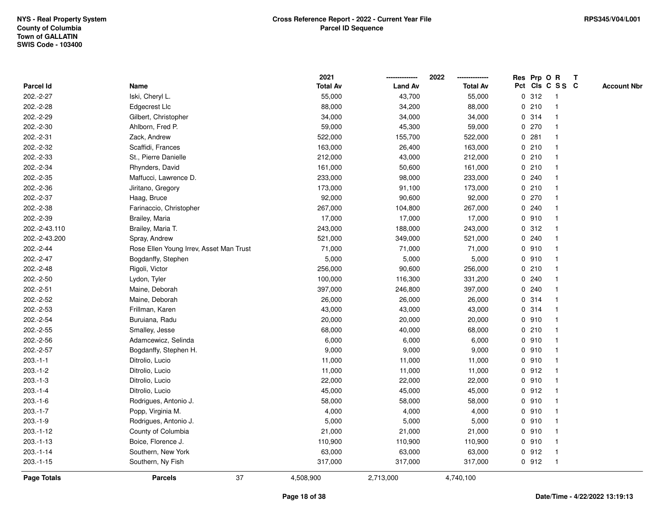|                    |                                         | 2021            |                | 2022            |   |       | Res Prp O R             | T |                    |
|--------------------|-----------------------------------------|-----------------|----------------|-----------------|---|-------|-------------------------|---|--------------------|
| Parcel Id          | Name                                    | <b>Total Av</b> | <b>Land Av</b> | <b>Total Av</b> |   |       | Pct Cls C S S C         |   | <b>Account Nbr</b> |
| 202.-2-27          | Iski, Cheryl L.                         | 55,000          | 43,700         | 55,000          |   | 0.312 | $\overline{\mathbf{1}}$ |   |                    |
| 202.-2-28          | Edgecrest Llc                           | 88,000          | 34,200         | 88,000          |   | 0210  | $\mathbf{1}$            |   |                    |
| 202.-2-29          | Gilbert, Christopher                    | 34,000          | 34,000         | 34,000          |   | 0.314 | 1                       |   |                    |
| 202.-2-30          | Ahlborn, Fred P.                        | 59,000          | 45,300         | 59,000          |   | 0270  |                         |   |                    |
| 202.-2-31          | Zack, Andrew                            | 522,000         | 155,700        | 522,000         |   | 0.281 |                         |   |                    |
| 202.-2-32          | Scaffidi, Frances                       | 163,000         | 26,400         | 163,000         |   | 0210  |                         |   |                    |
| 202.-2-33          | St., Pierre Danielle                    | 212,000         | 43,000         | 212,000         |   | 0210  |                         |   |                    |
| 202.-2-34          | Rhynders, David                         | 161,000         | 50,600         | 161,000         | 0 | 210   | -1                      |   |                    |
| 202.-2-35          | Maffucci, Lawrence D.                   | 233,000         | 98,000         | 233,000         |   | 0.240 | $\overline{\mathbf{1}}$ |   |                    |
| 202.-2-36          | Jiritano, Gregory                       | 173,000         | 91,100         | 173,000         |   | 0210  | 1                       |   |                    |
| 202.-2-37          | Haag, Bruce                             | 92,000          | 90,600         | 92,000          |   | 0270  |                         |   |                    |
| 202.-2-38          | Farinaccio, Christopher                 | 267,000         | 104,800        | 267,000         |   | 0.240 |                         |   |                    |
| 202.-2-39          | Brailey, Maria                          | 17,000          | 17,000         | 17,000          |   | 0.910 |                         |   |                    |
| 202.-2-43.110      | Brailey, Maria T.                       | 243,000         | 188,000        | 243,000         |   | 0.312 |                         |   |                    |
| 202.-2-43.200      | Spray, Andrew                           | 521,000         | 349,000        | 521,000         | 0 | 240   | -1                      |   |                    |
| 202.-2-44          | Rose Ellen Young Irrev, Asset Man Trust | 71,000          | 71,000         | 71,000          |   | 0.910 | 1                       |   |                    |
| 202.-2-47          | Bogdanffy, Stephen                      | 5,000           | 5,000          | 5,000           |   | 0.910 | 1                       |   |                    |
| 202.-2-48          | Rigoli, Victor                          | 256,000         | 90,600         | 256,000         |   | 0210  |                         |   |                    |
| 202.-2-50          | Lydon, Tyler                            | 100,000         | 116,300        | 331,200         |   | 0.240 |                         |   |                    |
| 202.-2-51          | Maine, Deborah                          | 397,000         | 246,800        | 397,000         |   | 0.240 |                         |   |                    |
| 202.-2-52          | Maine, Deborah                          | 26,000          | 26,000         | 26,000          |   | 0.314 |                         |   |                    |
| 202.-2-53          | Frillman, Karen                         | 43,000          | 43,000         | 43,000          | 0 | 314   | -1                      |   |                    |
| 202.-2-54          | Buruiana, Radu                          | 20,000          | 20,000         | 20,000          |   | 0.910 | -1                      |   |                    |
| 202.-2-55          | Smalley, Jesse                          | 68,000          | 40,000         | 68,000          |   | 0210  | -1                      |   |                    |
| 202.-2-56          | Adamcewicz, Selinda                     | 6,000           | 6,000          | 6,000           |   | 0.910 |                         |   |                    |
| 202.-2-57          | Bogdanffy, Stephen H.                   | 9,000           | 9,000          | 9,000           |   | 0.910 |                         |   |                    |
| $203.-1-1$         | Ditrolio, Lucio                         | 11,000          | 11,000         | 11,000          |   | 0.910 |                         |   |                    |
| $203.-1-2$         | Ditrolio, Lucio                         | 11,000          | 11,000         | 11,000          |   | 0.912 | -1                      |   |                    |
| $203.-1-3$         | Ditrolio, Lucio                         | 22,000          | 22,000         | 22,000          |   | 0.910 | -1                      |   |                    |
| $203.-1-4$         | Ditrolio, Lucio                         | 45,000          | 45,000         | 45,000          |   | 0.912 | -1                      |   |                    |
| $203.-1-6$         | Rodrigues, Antonio J.                   | 58,000          | 58,000         | 58,000          |   | 0.910 | $\mathbf{1}$            |   |                    |
| $203.-1-7$         | Popp, Virginia M.                       | 4,000           | 4,000          | 4,000           |   | 0.910 |                         |   |                    |
| $203.-1-9$         | Rodrigues, Antonio J.                   | 5,000           | 5,000          | 5,000           |   | 0.910 |                         |   |                    |
| $203.-1-12$        | County of Columbia                      | 21,000          | 21,000         | 21,000          |   | 0910  |                         |   |                    |
| $203.-1-13$        | Boice, Florence J.                      | 110,900         | 110,900        | 110,900         |   | 0910  | $\overline{1}$          |   |                    |
| $203.-1-14$        | Southern, New York                      | 63,000          | 63,000         | 63,000          |   | 0.912 | -1                      |   |                    |
| $203.-1-15$        | Southern, Ny Fish                       | 317,000         | 317,000        | 317,000         |   | 0.912 | $\overline{1}$          |   |                    |
| <b>Page Totals</b> | 37<br><b>Parcels</b>                    | 4,508,900       | 2,713,000      | 4,740,100       |   |       |                         |   |                    |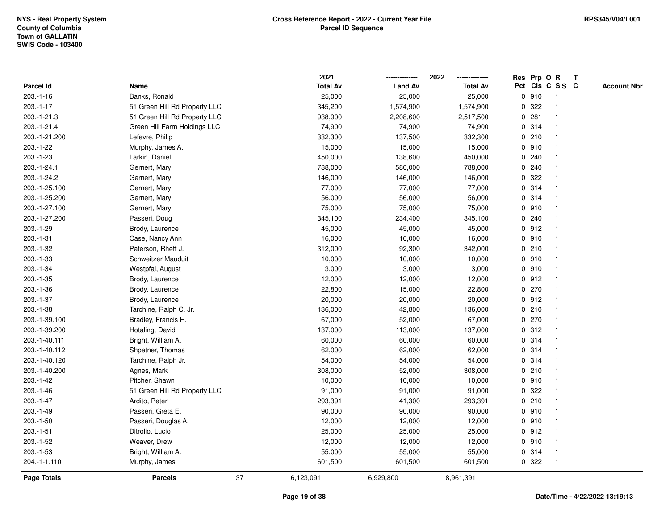|               |                               |    | 2021            |                | 2022            |             |       | Res Prp O R             | $\mathbf{T}$ |                    |
|---------------|-------------------------------|----|-----------------|----------------|-----------------|-------------|-------|-------------------------|--------------|--------------------|
| Parcel Id     | Name                          |    | <b>Total Av</b> | <b>Land Av</b> | <b>Total Av</b> |             |       | Pct Cls C S S C         |              | <b>Account Nbr</b> |
| $203.-1-16$   | Banks, Ronald                 |    | 25,000          | 25,000         | 25,000          |             | 0.910 | -1                      |              |                    |
| $203.-1-17$   | 51 Green Hill Rd Property LLC |    | 345,200         | 1,574,900      | 1,574,900       | 0           | 322   |                         |              |                    |
| 203.-1-21.3   | 51 Green Hill Rd Property LLC |    | 938,900         | 2,208,600      | 2,517,500       |             | 0.281 |                         |              |                    |
| 203.-1-21.4   | Green Hill Farm Holdings LLC  |    | 74,900          | 74,900         | 74,900          |             | 0.314 | $\mathbf{1}$            |              |                    |
| 203.-1-21.200 | Lefevre, Philip               |    | 332,300         | 137,500        | 332,300         |             | 0210  | -1                      |              |                    |
| 203.-1-22     | Murphy, James A.              |    | 15,000          | 15,000         | 15,000          |             | 0.910 | -1                      |              |                    |
| $203.-1-23$   | Larkin, Daniel                |    | 450,000         | 138,600        | 450,000         |             | 0.240 |                         |              |                    |
| 203.-1-24.1   | Gernert, Mary                 |    | 788,000         | 580,000        | 788,000         |             | 0.240 |                         |              |                    |
| 203.-1-24.2   | Gernert, Mary                 |    | 146,000         | 146,000        | 146,000         |             | 0.322 |                         |              |                    |
| 203.-1-25.100 | Gernert, Mary                 |    | 77,000          | 77,000         | 77,000          | 0           | 314   |                         |              |                    |
| 203.-1-25.200 | Gernert, Mary                 |    | 56,000          | 56,000         | 56,000          |             | 0.314 | -1                      |              |                    |
| 203.-1-27.100 | Gernert, Mary                 |    | 75,000          | 75,000         | 75,000          |             | 0.910 | $\overline{\mathbf{1}}$ |              |                    |
| 203.-1-27.200 | Passeri, Doug                 |    | 345,100         | 234,400        | 345,100         |             | 0.240 | -1                      |              |                    |
| 203.-1-29     | Brody, Laurence               |    | 45,000          | 45,000         | 45,000          |             | 0.912 |                         |              |                    |
| $203.-1-31$   | Case, Nancy Ann               |    | 16,000          | 16,000         | 16,000          |             | 0.910 |                         |              |                    |
| 203.-1-32     | Paterson, Rhett J.            |    | 312,000         | 92,300         | 342,000         |             | 0210  | -1                      |              |                    |
| 203.-1-33     | Schweitzer Mauduit            |    | 10,000          | 10,000         | 10,000          | $\mathbf 0$ | 910   |                         |              |                    |
| 203.-1-34     | Westpfal, August              |    | 3,000           | 3,000          | 3,000           |             | 0.910 | -1                      |              |                    |
| $203.-1-35$   | Brody, Laurence               |    | 12,000          | 12,000         | 12,000          |             | 0.912 | -1                      |              |                    |
| 203.-1-36     | Brody, Laurence               |    | 22,800          | 15,000         | 22,800          |             | 0270  |                         |              |                    |
| 203.-1-37     | Brody, Laurence               |    | 20,000          | 20,000         | 20,000          |             | 0.912 |                         |              |                    |
| $203.-1-38$   | Tarchine, Ralph C. Jr.        |    | 136,000         | 42,800         | 136,000         |             | 0210  |                         |              |                    |
| 203.-1-39.100 | Bradley, Francis H.           |    | 67,000          | 52,000         | 67,000          |             | 0270  | -1                      |              |                    |
| 203.-1-39.200 | Hotaling, David               |    | 137,000         | 113,000        | 137,000         | $\mathbf 0$ | 312   | $\mathbf{1}$            |              |                    |
| 203.-1-40.111 | Bright, William A.            |    | 60,000          | 60,000         | 60,000          | 0           | 314   | -1                      |              |                    |
| 203.-1-40.112 | Shpetner, Thomas              |    | 62,000          | 62,000         | 62,000          |             | 0.314 | -1                      |              |                    |
| 203.-1-40.120 | Tarchine, Ralph Jr.           |    | 54,000          | 54,000         | 54,000          |             | 0.314 |                         |              |                    |
| 203.-1-40.200 | Agnes, Mark                   |    | 308,000         | 52,000         | 308,000         |             | 0210  |                         |              |                    |
| 203.-1-42     | Pitcher, Shawn                |    | 10,000          | 10,000         | 10,000          |             | 0.910 | $\overline{\mathbf{1}}$ |              |                    |
| 203.-1-46     | 51 Green Hill Rd Property LLC |    | 91,000          | 91,000         | 91,000          | 0           | 322   |                         |              |                    |
| 203.-1-47     | Ardito, Peter                 |    | 293,391         | 41,300         | 293,391         |             | 0210  | $\mathbf{1}$            |              |                    |
| 203.-1-49     | Passeri, Greta E.             |    | 90,000          | 90,000         | 90,000          |             | 0.910 | $\mathbf 1$             |              |                    |
| $203.-1-50$   | Passeri, Douglas A.           |    | 12,000          | 12,000         | 12,000          |             | 0.910 |                         |              |                    |
| $203.-1-51$   | Ditrolio, Lucio               |    | 25,000          | 25,000         | 25,000          |             | 0.912 |                         |              |                    |
| 203.-1-52     | Weaver, Drew                  |    | 12,000          | 12,000         | 12,000          |             | 0.910 |                         |              |                    |
| $203.-1-53$   | Bright, William A.            |    | 55,000          | 55,000         | 55,000          |             | 0.314 | $\mathbf{1}$            |              |                    |
| 204.-1-1.110  | Murphy, James                 |    | 601,500         | 601,500        | 601,500         |             | 0.322 | -1                      |              |                    |
| Page Totals   | <b>Parcels</b>                | 37 | 6,123,091       | 6,929,800      | 8,961,391       |             |       |                         |              |                    |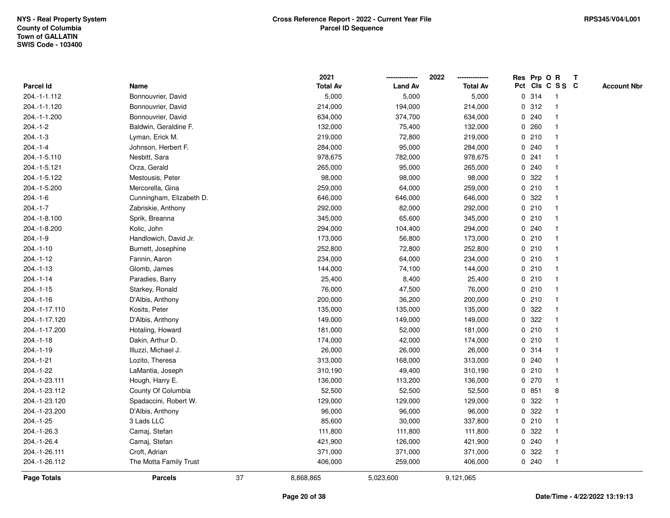|                    |                          |    | 2021            |                | 2022            |   |       | Res Prp O R     | Т |                    |
|--------------------|--------------------------|----|-----------------|----------------|-----------------|---|-------|-----------------|---|--------------------|
| Parcel Id          | Name                     |    | <b>Total Av</b> | <b>Land Av</b> | <b>Total Av</b> |   |       | Pct Cls C S S C |   | <b>Account Nbr</b> |
| 204.-1-1.112       | Bonnouvrier, David       |    | 5,000           | 5,000          | 5,000           |   | 0 314 | $\mathbf{1}$    |   |                    |
| 204.-1-1.120       | Bonnouvrier, David       |    | 214,000         | 194,000        | 214,000         |   | 0.312 | $\mathbf{1}$    |   |                    |
| 204.-1-1.200       | Bonnouvrier, David       |    | 634,000         | 374,700        | 634,000         |   | 0.240 | $\mathbf{1}$    |   |                    |
| $204.-1-2$         | Baldwin, Geraldine F.    |    | 132,000         | 75,400         | 132,000         |   | 0.260 | -1              |   |                    |
| $204.-1-3$         | Lyman, Erick M.          |    | 219,000         | 72,800         | 219,000         |   | 0210  |                 |   |                    |
| $204.-1-4$         | Johnson, Herbert F.      |    | 284,000         | 95,000         | 284,000         |   | 0.240 |                 |   |                    |
| 204.-1-5.110       | Nesbitt, Sara            |    | 978,675         | 782,000        | 978,675         |   | 0241  | $\mathbf 1$     |   |                    |
| 204.-1-5.121       | Orza, Gerald             |    | 265,000         | 95,000         | 265,000         |   | 0.240 | $\mathbf{1}$    |   |                    |
| 204.-1-5.122       | Mestousis, Peter         |    | 98,000          | 98,000         | 98,000          | 0 | 322   | $\mathbf{1}$    |   |                    |
| 204.-1-5.200       | Mercorella, Gina         |    | 259,000         | 64,000         | 259,000         |   | 0210  | $\mathbf{1}$    |   |                    |
| $204.-1-6$         | Cunningham, Elizabeth D. |    | 646,000         | 646,000        | 646,000         |   | 0.322 | $\mathbf 1$     |   |                    |
| $204.-1-7$         | Zabriskie, Anthony       |    | 292,000         | 82,000         | 292,000         |   | 0210  |                 |   |                    |
| 204.-1-8.100       | Sprik, Breanna           |    | 345,000         | 65,600         | 345,000         |   | 0210  |                 |   |                    |
| 204.-1-8.200       | Kolic, John              |    | 294,000         | 104,400        | 294,000         |   | 0.240 | $\mathbf 1$     |   |                    |
| $204.-1-9$         | Handlowich, David Jr.    |    | 173,000         | 56,800         | 173,000         |   | 0210  | $\mathbf{1}$    |   |                    |
| 204.-1-10          | Burnett, Josephine       |    | 252,800         | 72,800         | 252,800         |   | 0210  | $\mathbf{1}$    |   |                    |
| $204.-1-12$        | Fannin, Aaron            |    | 234,000         | 64,000         | 234,000         |   | 0210  | $\mathbf{1}$    |   |                    |
| $204.-1-13$        | Glomb, James             |    | 144,000         | 74,100         | 144,000         |   | 0210  | $\mathbf 1$     |   |                    |
| $204.-1-14$        | Paradies, Barry          |    | 25,400          | 8,400          | 25,400          |   | 0210  |                 |   |                    |
| $204.-1-15$        | Starkey, Ronald          |    | 76,000          | 47,500         | 76,000          |   | 0210  |                 |   |                    |
| $204.-1-16$        | D'Albis, Anthony         |    | 200,000         | 36,200         | 200,000         |   | 0210  | $\mathbf 1$     |   |                    |
| 204.-1-17.110      | Kosits, Peter            |    | 135,000         | 135,000        | 135,000         | 0 | 322   | $\mathbf{1}$    |   |                    |
| 204.-1-17.120      | D'Albis, Anthony         |    | 149,000         | 149,000        | 149,000         | 0 | 322   | $\mathbf{1}$    |   |                    |
| 204.-1-17.200      | Hotaling, Howard         |    | 181,000         | 52,000         | 181,000         |   | 0210  | 1               |   |                    |
| $204.-1-18$        | Dakin, Arthur D.         |    | 174,000         | 42,000         | 174,000         |   | 0210  | $\mathbf{1}$    |   |                    |
| $204.-1-19$        | Illuzzi, Michael J.      |    | 26,000          | 26,000         | 26,000          |   | 0.314 |                 |   |                    |
| 204.-1-21          | Lozito, Theresa          |    | 313,000         | 168,000        | 313,000         |   | 0.240 |                 |   |                    |
| 204.-1-22          | LaMantia, Joseph         |    | 310,190         | 49,400         | 310,190         |   | 0210  | $\mathbf 1$     |   |                    |
| 204.-1-23.111      | Hough, Harry E.          |    | 136,000         | 113,200        | 136,000         |   | 0270  | $\mathbf{1}$    |   |                    |
| 204.-1-23.112      | County Of Columbia       |    | 52,500          | 52,500         | 52,500          | 0 | 851   | 8               |   |                    |
| 204.-1-23.120      | Spadaccini, Robert W.    |    | 129,000         | 129,000        | 129,000         | 0 | 322   | 1               |   |                    |
| 204.-1-23.200      | D'Albis, Anthony         |    | 96,000          | 96,000         | 96,000          |   | 0.322 | $\mathbf{1}$    |   |                    |
| 204.-1-25          | 3 Lads LLC               |    | 85,600          | 30,000         | 337,800         |   | 0210  | -1              |   |                    |
| 204.-1-26.3        | Camaj, Stefan            |    | 111,800         | 111,800        | 111,800         |   | 0.322 |                 |   |                    |
| 204.-1-26.4        | Camaj, Stefan            |    | 421,900         | 126,000        | 421,900         |   | 0.240 | $\mathbf{1}$    |   |                    |
| 204.-1-26.111      | Croft, Adrian            |    | 371,000         | 371,000        | 371,000         | 0 | 322   | $\mathbf{1}$    |   |                    |
| 204.-1-26.112      | The Motta Family Trust   |    | 406,000         | 259,000        | 406,000         |   | 0.240 | $\mathbf{1}$    |   |                    |
| <b>Page Totals</b> | <b>Parcels</b>           | 37 | 8,868,865       | 5,023,600      | 9,121,065       |   |       |                 |   |                    |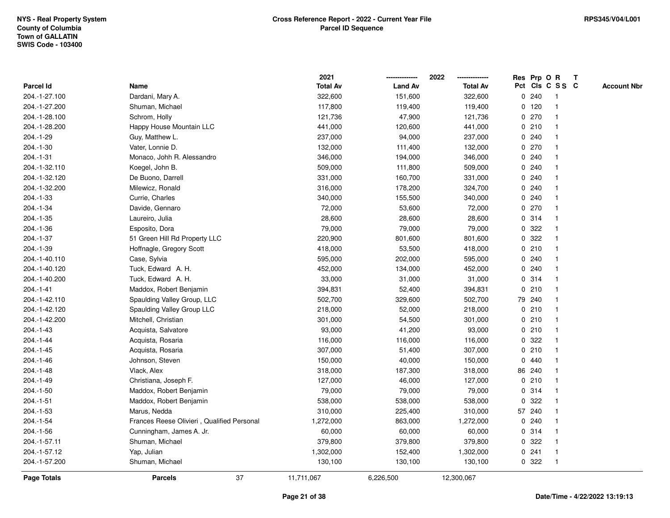|                |                                            | 2021            |                | 2022            |             |         | Res Prp O R     | Т |                    |
|----------------|--------------------------------------------|-----------------|----------------|-----------------|-------------|---------|-----------------|---|--------------------|
| Parcel Id      | Name                                       | <b>Total Av</b> | <b>Land Av</b> | <b>Total Av</b> |             |         | Pct Cls C S S C |   | <b>Account Nbr</b> |
| 204.-1-27.100  | Dardani, Mary A.                           | 322,600         | 151,600        | 322,600         |             | 0.240   | -1              |   |                    |
| 204.-1-27.200  | Shuman, Michael                            | 117,800         | 119,400        | 119,400         |             | $0$ 120 | -1              |   |                    |
| 204.-1-28.100  | Schrom, Holly                              | 121,736         | 47,900         | 121,736         |             | 0270    | $\mathbf 1$     |   |                    |
| 204.-1-28.200  | Happy House Mountain LLC                   | 441,000         | 120,600        | 441,000         |             | 0210    |                 |   |                    |
| 204.-1-29      | Guy, Matthew L.                            | 237,000         | 94,000         | 237,000         |             | 0.240   |                 |   |                    |
| 204.-1-30      | Vater, Lonnie D.                           | 132,000         | 111,400        | 132,000         |             | 0270    |                 |   |                    |
| 204.-1-31      | Monaco, Johh R. Alessandro                 | 346,000         | 194,000        | 346,000         |             | 0.240   |                 |   |                    |
| 204.-1-32.110  | Koegel, John B.                            | 509,000         | 111,800        | 509,000         | $\mathbf 0$ | 240     |                 |   |                    |
| 204.-1-32.120  | De Buono, Darrell                          | 331,000         | 160,700        | 331,000         |             | 0.240   |                 |   |                    |
| 204.-1-32.200  | Milewicz, Ronald                           | 316,000         | 178,200        | 324,700         |             | 0.240   | -1              |   |                    |
| 204.-1-33      | Currie, Charles                            | 340,000         | 155,500        | 340,000         |             | 0.240   |                 |   |                    |
| 204.-1-34      | Davide, Gennaro                            | 72,000          | 53,600         | 72,000          |             | 0270    |                 |   |                    |
| 204.-1-35      | Laureiro, Julia                            | 28,600          | 28,600         | 28,600          |             | 0.314   |                 |   |                    |
| 204.-1-36      | Esposito, Dora                             | 79,000          | 79,000         | 79,000          | 0           | 322     |                 |   |                    |
| 204.-1-37      | 51 Green Hill Rd Property LLC              | 220,900         | 801,600        | 801,600         | 0           | 322     |                 |   |                    |
| 204.-1-39      | Hoffnagle, Gregory Scott                   | 418,000         | 53,500         | 418,000         |             | 0210    | -1              |   |                    |
| 204.-1-40.110  | Case, Sylvia                               | 595,000         | 202,000        | 595,000         |             | 0.240   |                 |   |                    |
| 204.-1-40.120  | Tuck, Edward A. H.                         | 452,000         | 134,000        | 452,000         |             | 0.240   |                 |   |                    |
| 204.-1-40.200  | Tuck, Edward A. H.                         | 33,000          | 31,000         | 31,000          |             | 0.314   |                 |   |                    |
| $204 - 1 - 41$ | Maddox, Robert Benjamin                    | 394,831         | 52,400         | 394,831         |             | 0210    |                 |   |                    |
| 204.-1-42.110  | Spaulding Valley Group, LLC                | 502,700         | 329,600        | 502,700         |             | 79 240  |                 |   |                    |
| 204.-1-42.120  | Spaulding Valley Group LLC                 | 218,000         | 52,000         | 218,000         |             | 0210    |                 |   |                    |
| 204.-1-42.200  | Mitchell, Christian                        | 301,000         | 54,500         | 301,000         |             | 0210    | -1              |   |                    |
| 204.-1-43      | Acquista, Salvatore                        | 93,000          | 41,200         | 93,000          |             | 0210    |                 |   |                    |
| 204.-1-44      | Acquista, Rosaria                          | 116,000         | 116,000        | 116,000         |             | 0 322   |                 |   |                    |
| 204.-1-45      | Acquista, Rosaria                          | 307,000         | 51,400         | 307,000         |             | 0210    |                 |   |                    |
| 204.-1-46      | Johnson, Steven                            | 150,000         | 40,000         | 150,000         |             | 0440    |                 |   |                    |
| 204.-1-48      | Vlack, Alex                                | 318,000         | 187,300        | 318,000         |             | 86 240  |                 |   |                    |
| 204.-1-49      | Christiana, Joseph F.                      | 127,000         | 46,000         | 127,000         |             | 0210    |                 |   |                    |
| 204.-1-50      | Maddox, Robert Benjamin                    | 79,000          | 79,000         | 79,000          |             | 0.314   | -1              |   |                    |
| $204.-1-51$    | Maddox, Robert Benjamin                    | 538,000         | 538,000        | 538,000         | 0           | 322     |                 |   |                    |
| $204.-1-53$    | Marus, Nedda                               | 310,000         | 225,400        | 310,000         |             | 57 240  |                 |   |                    |
| 204.-1-54      | Frances Reese Olivieri, Qualified Personal | 1,272,000       | 863,000        | 1,272,000       |             | 0.240   |                 |   |                    |
| 204.-1-56      | Cunningham, James A. Jr.                   | 60,000          | 60,000         | 60,000          |             | 0.314   |                 |   |                    |
| 204.-1-57.11   | Shuman, Michael                            | 379,800         | 379,800        | 379,800         |             | 0 322   |                 |   |                    |
| 204.-1-57.12   | Yap, Julian                                | 1,302,000       | 152,400        | 1,302,000       |             | 0.241   | -1              |   |                    |
| 204.-1-57.200  | Shuman, Michael                            | 130,100         | 130,100        | 130,100         |             | 0 322   | $\mathbf{1}$    |   |                    |
| Page Totals    | 37<br><b>Parcels</b>                       | 11,711,067      | 6,226,500      | 12,300,067      |             |         |                 |   |                    |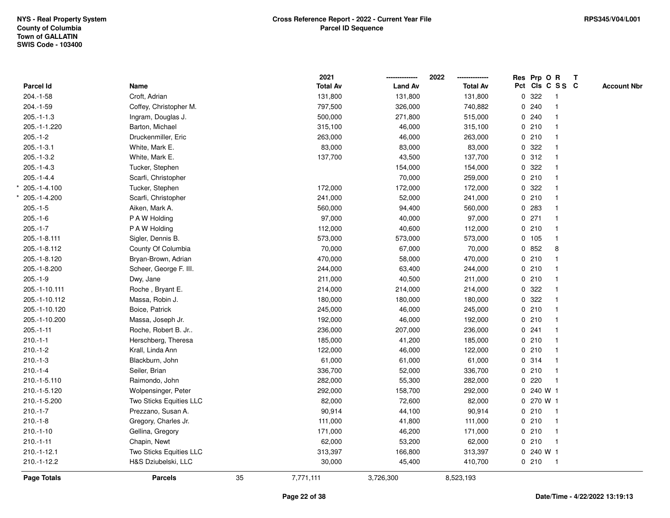|               |                         |    | 2021            |                | 2022            | Res Prp O R     |                         | T |                    |
|---------------|-------------------------|----|-----------------|----------------|-----------------|-----------------|-------------------------|---|--------------------|
| Parcel Id     | Name                    |    | <b>Total Av</b> | <b>Land Av</b> | <b>Total Av</b> | Pct Cls C S S C |                         |   | <b>Account Nbr</b> |
| $204.-1-58$   | Croft, Adrian           |    | 131,800         | 131,800        | 131,800         | 0.322           | $\overline{1}$          |   |                    |
| 204.-1-59     | Coffey, Christopher M.  |    | 797,500         | 326,000        | 740,882         | 0240            | $\mathbf{1}$            |   |                    |
| $205.-1-1.3$  | Ingram, Douglas J.      |    | 500,000         | 271,800        | 515,000         | 0.240           | $\mathbf{1}$            |   |                    |
| 205.-1-1.220  | Barton, Michael         |    | 315,100         | 46,000         | 315,100         | 0210            |                         |   |                    |
| $205.-1-2$    | Druckenmiller, Eric     |    | 263,000         | 46,000         | 263,000         | 0210            |                         |   |                    |
| $205.-1-3.1$  | White, Mark E.          |    | 83,000          | 83,000         | 83,000          | 0.322           |                         |   |                    |
| $205.-1-3.2$  | White, Mark E.          |    | 137,700         | 43,500         | 137,700         | 0.312           |                         |   |                    |
| $205.-1-4.3$  | Tucker, Stephen         |    |                 | 154,000        | 154,000         | 0 322           | -1                      |   |                    |
| $205.-1-4.4$  | Scarfi, Christopher     |    |                 | 70,000         | 259,000         | 0210            | $\mathbf{1}$            |   |                    |
| 205.-1-4.100  | Tucker, Stephen         |    | 172,000         | 172,000        | 172,000         | 0.322           |                         |   |                    |
| 205.-1-4.200  | Scarfi, Christopher     |    | 241,000         | 52,000         | 241,000         | 0210            |                         |   |                    |
| $205.-1-5$    | Aiken, Mark A.          |    | 560,000         | 94,400         | 560,000         | 0.283           |                         |   |                    |
| $205.-1-6$    | P A W Holding           |    | 97,000          | 40,000         | 97,000          | $0$ 271         |                         |   |                    |
| $205.-1-7$    | P A W Holding           |    | 112,000         | 40,600         | 112,000         | 0210            |                         |   |                    |
| 205.-1-8.111  | Sigler, Dennis B.       |    | 573,000         | 573,000        | 573,000         | 0 105           | $\overline{1}$          |   |                    |
| 205.-1-8.112  | County Of Columbia      |    | 70,000          | 67,000         | 70,000          | 0852            | 8                       |   |                    |
| 205.-1-8.120  | Bryan-Brown, Adrian     |    | 470,000         | 58,000         | 470,000         | 0210            |                         |   |                    |
| 205.-1-8.200  | Scheer, George F. III.  |    | 244,000         | 63,400         | 244,000         | 0210            |                         |   |                    |
| $205.-1-9$    | Dwy, Jane               |    | 211,000         | 40,500         | 211,000         | 0210            |                         |   |                    |
| 205.-1-10.111 | Roche, Bryant E.        |    | 214,000         | 214,000        | 214,000         | 0.322           |                         |   |                    |
| 205.-1-10.112 | Massa, Robin J.         |    | 180,000         | 180,000        | 180,000         | 0.322           |                         |   |                    |
| 205.-1-10.120 | Boice, Patrick          |    | 245,000         | 46,000         | 245,000         | 0210            |                         |   |                    |
| 205.-1-10.200 | Massa, Joseph Jr.       |    | 192,000         | 46,000         | 192,000         | 0210            | $\overline{1}$          |   |                    |
| $205.-1-11$   | Roche, Robert B. Jr     |    | 236,000         | 207,000        | 236,000         | 0.241           | $\mathbf{1}$            |   |                    |
| $210.-1-1$    | Herschberg, Theresa     |    | 185,000         | 41,200         | 185,000         | 0210            |                         |   |                    |
| $210.-1-2$    | Krall, Linda Ann        |    | 122,000         | 46,000         | 122,000         | 0210            |                         |   |                    |
| $210.-1-3$    | Blackburn, John         |    | 61,000          | 61,000         | 61,000          | 0.314           |                         |   |                    |
| $210.-1-4$    | Seiler, Brian           |    | 336,700         | 52,000         | 336,700         | 0210            |                         |   |                    |
| 210.-1-5.110  | Raimondo, John          |    | 282,000         | 55,300         | 282,000         | 0220            | $\overline{1}$          |   |                    |
| 210.-1-5.120  | Wolpensinger, Peter     |    | 292,000         | 158,700        | 292,000         | 0 240 W 1       |                         |   |                    |
| 210.-1-5.200  | Two Sticks Equities LLC |    | 82,000          | 72,600         | 82,000          | 0 270 W 1       |                         |   |                    |
| $210.-1-7$    | Prezzano, Susan A.      |    | 90,914          | 44,100         | 90,914          | 0210            | $\overline{1}$          |   |                    |
| $210.-1-8$    | Gregory, Charles Jr.    |    | 111,000         | 41,800         | 111,000         | 0210            | $\mathbf{1}$            |   |                    |
| $210.-1-10$   | Gellina, Gregory        |    | 171,000         | 46,200         | 171,000         | 0210            |                         |   |                    |
| $210.-1-11$   | Chapin, Newt            |    | 62,000          | 53,200         | 62,000          | 0210            | $\overline{\mathbf{1}}$ |   |                    |
| $210.-1-12.1$ | Two Sticks Equities LLC |    | 313,397         | 166,800        | 313,397         | 0 240 W 1       |                         |   |                    |
| 210.-1-12.2   | H&S Dziubelski, LLC     |    | 30,000          | 45,400         | 410,700         | 0210            | $\overline{1}$          |   |                    |
| Page Totals   | <b>Parcels</b>          | 35 | 7,771,111       | 3,726,300      | 8,523,193       |                 |                         |   |                    |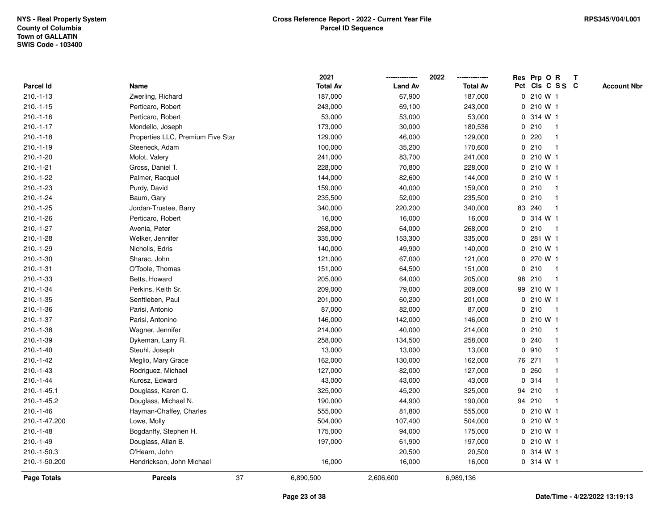|               |                                   | 2021            |                | 2022            |             | Res Prp O R     |              | $\mathbf{T}$       |
|---------------|-----------------------------------|-----------------|----------------|-----------------|-------------|-----------------|--------------|--------------------|
| Parcel Id     | Name                              | <b>Total Av</b> | <b>Land Av</b> | <b>Total Av</b> |             | Pct Cls C S S C |              | <b>Account Nbr</b> |
| $210.-1-13$   | Zwerling, Richard                 | 187,000         | 67,900         | 187,000         |             | 0 210 W 1       |              |                    |
| $210.-1-15$   | Perticaro, Robert                 | 243,000         | 69,100         | 243,000         |             | 0 210 W 1       |              |                    |
| $210.-1-16$   | Perticaro, Robert                 | 53,000          | 53,000         | 53,000          |             | 0 314 W 1       |              |                    |
| $210.-1-17$   | Mondello, Joseph                  | 173,000         | 30,000         | 180,536         | 0           | 210             | -1           |                    |
| $210.-1-18$   | Properties LLC, Premium Five Star | 129,000         | 46,000         | 129,000         | 0           | 220             | -1           |                    |
| $210.-1-19$   | Steeneck, Adam                    | 100,000         | 35,200         | 170,600         |             | 0210            | -1           |                    |
| $210.-1-20$   | Molot, Valery                     | 241,000         | 83,700         | 241,000         |             | 0 210 W 1       |              |                    |
| $210.-1-21$   | Gross, Daniel T.                  | 228,000         | 70,800         | 228,000         |             | 0 210 W 1       |              |                    |
| $210.-1-22$   | Palmer, Racquel                   | 144,000         | 82,600         | 144,000         |             | 0 210 W 1       |              |                    |
| $210.-1-23$   | Purdy, David                      | 159,000         | 40,000         | 159,000         |             | 0210            | -1           |                    |
| $210.-1-24$   | Baum, Gary                        | 235,500         | 52,000         | 235,500         |             | 0210            | $\mathbf{1}$ |                    |
| $210.-1-25$   | Jordan-Trustee, Barry             | 340,000         | 220,200        | 340,000         |             | 83 240          | $\mathbf{1}$ |                    |
| $210.-1-26$   | Perticaro, Robert                 | 16,000          | 16,000         | 16,000          |             | 0 314 W 1       |              |                    |
| $210.-1-27$   | Avenia, Peter                     | 268,000         | 64,000         | 268,000         |             | 0210            | -1           |                    |
| $210.-1-28$   | Welker, Jennifer                  | 335,000         | 153,300        | 335,000         |             | 0 281 W 1       |              |                    |
| 210.-1-29     | Nicholis, Edris                   | 140,000         | 49,900         | 140,000         |             | 0 210 W 1       |              |                    |
| $210.-1-30$   | Sharac, John                      | 121,000         | 67,000         | 121,000         | $\mathbf 0$ | 270 W 1         |              |                    |
| $210.-1-31$   | O'Toole, Thomas                   | 151,000         | 64,500         | 151,000         | 0           | 210             | $\mathbf{1}$ |                    |
| 210.-1-33     | Betts, Howard                     | 205,000         | 64,000         | 205,000         |             | 98 210          | $\mathbf{1}$ |                    |
| 210.-1-34     | Perkins, Keith Sr.                | 209,000         | 79,000         | 209,000         |             | 99 210 W 1      |              |                    |
| 210.-1-35     | Senftleben, Paul                  | 201,000         | 60,200         | 201,000         |             | 0 210 W 1       |              |                    |
| $210.-1-36$   | Parisi, Antonio                   | 87,000          | 82,000         | 87,000          |             | 0210            | -1           |                    |
| 210.-1-37     | Parisi, Antonino                  | 146,000         | 142,000        | 146,000         |             | 0 210 W 1       |              |                    |
| $210.-1-38$   | Wagner, Jennifer                  | 214,000         | 40,000         | 214,000         |             | 0210            | $\mathbf{1}$ |                    |
| 210.-1-39     | Dykeman, Larry R.                 | 258,000         | 134,500        | 258,000         |             | 0.240           |              |                    |
| $210.-1-40$   | Steuhl, Joseph                    | 13,000          | 13,000         | 13,000          |             | 0.910           | $\mathbf 1$  |                    |
| $210.-1-42$   | Meglio, Mary Grace                | 162,000         | 130,000        | 162,000         |             | 76 271          |              |                    |
| $210.-1-43$   | Rodriguez, Michael                | 127,000         | 82,000         | 127,000         |             | 0.260           |              |                    |
| $210.-1-44$   | Kurosz, Edward                    | 43,000          | 43,000         | 43,000          |             | 0 314           |              |                    |
| 210.-1-45.1   | Douglass, Karen C.                | 325,000         | 45,200         | 325,000         |             | 94 210          | -1           |                    |
| 210.-1-45.2   | Douglass, Michael N.              | 190,000         | 44,900         | 190,000         |             | 94 210          | $\mathbf{1}$ |                    |
| $210.-1-46$   | Hayman-Chaffey, Charles           | 555,000         | 81,800         | 555,000         |             | 0 210 W 1       |              |                    |
| 210.-1-47.200 | Lowe, Molly                       | 504,000         | 107,400        | 504,000         |             | 0 210 W 1       |              |                    |
| $210.-1-48$   | Bogdanffy, Stephen H.             | 175,000         | 94,000         | 175,000         |             | 0 210 W 1       |              |                    |
| 210.-1-49     | Douglass, Allan B.                | 197,000         | 61,900         | 197,000         |             | 0 210 W 1       |              |                    |
| 210.-1-50.3   | O'Hearn, John                     |                 | 20,500         | 20,500          |             | 0 314 W 1       |              |                    |
| 210.-1-50.200 | Hendrickson, John Michael         | 16,000          | 16,000         | 16,000          |             | 0 314 W 1       |              |                    |
| Page Totals   | 37<br><b>Parcels</b>              | 6,890,500       | 2,606,600      | 6,989,136       |             |                 |              |                    |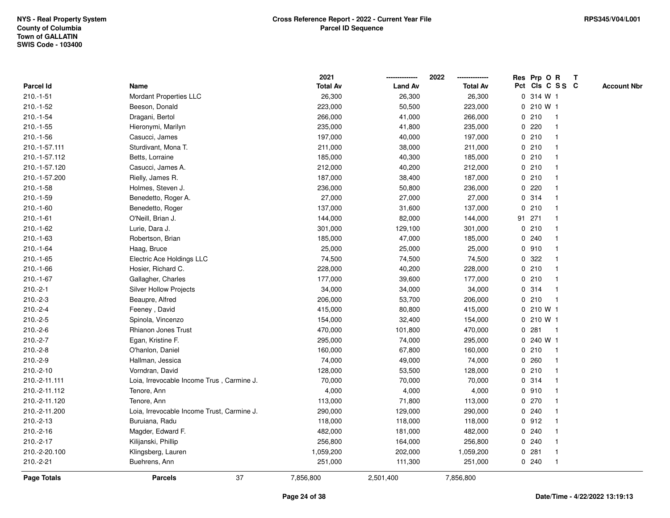|               |                                            | 2021            |                | 2022            | Res Prp O R<br>Т                      |
|---------------|--------------------------------------------|-----------------|----------------|-----------------|---------------------------------------|
| Parcel Id     | Name                                       | <b>Total Av</b> | <b>Land Av</b> | <b>Total Av</b> | Pct Cls C S S C<br><b>Account Nbr</b> |
| $210.-1-51$   | Mordant Properties LLC                     | 26,300          | 26,300         | 26,300          | 0 314 W 1                             |
| $210.-1-52$   | Beeson, Donald                             | 223,000         | 50,500         | 223,000         | 210 W 1<br>0                          |
| $210.-1-54$   | Dragani, Bertol                            | 266,000         | 41,000         | 266,000         | 0210<br>$\mathbf 1$                   |
| $210.-1-55$   | Hieronymi, Marilyn                         | 235,000         | 41,800         | 235,000         | 0220                                  |
| $210.-1-56$   | Casucci, James                             | 197,000         | 40,000         | 197,000         | 0210                                  |
| 210.-1-57.111 | Sturdivant, Mona T.                        | 211,000         | 38,000         | 211,000         | 0210                                  |
| 210.-1-57.112 | Betts, Lorraine                            | 185,000         | 40,300         | 185,000         | 0210<br>-1                            |
| 210.-1-57.120 | Casucci, James A.                          | 212,000         | 40,200         | 212,000         | 0210                                  |
| 210.-1-57.200 | Rielly, James R.                           | 187,000         | 38,400         | 187,000         | 0210<br>-1                            |
| $210.-1-58$   | Holmes, Steven J.                          | 236,000         | 50,800         | 236,000         | $0$ 220<br>-1                         |
| 210.-1-59     | Benedetto, Roger A.                        | 27,000          | 27,000         | 27,000          | 0.314                                 |
| $210.-1-60$   | Benedetto, Roger                           | 137,000         | 31,600         | 137,000         | 0210                                  |
| $210.-1-61$   | O'Neill, Brian J.                          | 144,000         | 82,000         | 144,000         | 91 271                                |
| 210.-1-62     | Lurie, Dara J.                             | 301,000         | 129,100        | 301,000         | 0210                                  |
| $210.-1-63$   | Robertson, Brian                           | 185,000         | 47,000         | 185,000         | 0.240                                 |
| $210.-1-64$   | Haag, Bruce                                | 25,000          | 25,000         | 25,000          | 0.910<br>-1                           |
| $210.-1-65$   | Electric Ace Holdings LLC                  | 74,500          | 74,500         | 74,500          | 0.322                                 |
| 210.-1-66     | Hosier, Richard C.                         | 228,000         | 40,200         | 228,000         | 0210                                  |
| $210.-1-67$   | Gallagher, Charles                         | 177,000         | 39,600         | 177,000         | 0210                                  |
| $210.-2-1$    | <b>Silver Hollow Projects</b>              | 34,000          | 34,000         | 34,000          | 0.314                                 |
| $210.-2-3$    | Beaupre, Alfred                            | 206,000         | 53,700         | 206,000         | 0210<br>$\overline{\mathbf{1}}$       |
| $210.-2-4$    | Feeney, David                              | 415,000         | 80,800         | 415,000         | 0 210 W 1                             |
| $210.-2-5$    | Spinola, Vincenzo                          | 154,000         | 32,400         | 154,000         | 0 210 W 1                             |
| $210.-2-6$    | <b>Rhianon Jones Trust</b>                 | 470,000         | 101,800        | 470,000         | 281<br>$\mathbf 0$<br>$\mathbf{1}$    |
| $210.-2-7$    | Egan, Kristine F.                          | 295,000         | 74,000         | 295,000         | 0 240 W 1                             |
| $210.-2-8$    | O'hanlon, Daniel                           | 160,000         | 67,800         | 160,000         | 0210                                  |
| $210.-2-9$    | Hallman, Jessica                           | 74,000          | 49,000         | 74,000          | 0.260                                 |
| 210.-2-10     | Vorndran, David                            | 128,000         | 53,500         | 128,000         | 0210<br>-1                            |
| 210.-2-11.111 | Loia, Irrevocable Income Trus, Carmine J.  | 70,000          | 70,000         | 70,000          | 0.314                                 |
| 210.-2-11.112 | Tenore, Ann                                | 4,000           | 4,000          | 4,000           | 0.910<br>-1                           |
| 210.-2-11.120 | Tenore, Ann                                | 113,000         | 71,800         | 113,000         | 0270                                  |
| 210.-2-11.200 | Loia, Irrevocable Income Trust, Carmine J. | 290,000         | 129,000        | 290,000         | 0.240<br>-1                           |
| 210.-2-13     | Buruiana, Radu                             | 118,000         | 118,000        | 118,000         | 0.912                                 |
| 210.-2-16     | Magder, Edward F.                          | 482,000         | 181,000        | 482,000         | 0.240                                 |
| 210.-2-17     | Kilijanski, Phillip                        | 256,800         | 164,000        | 256,800         | 0.240                                 |
| 210.-2-20.100 | Klingsberg, Lauren                         | 1,059,200       | 202,000        | 1,059,200       | 0.281<br>-1                           |
| 210.-2-21     | Buehrens, Ann                              | 251,000         | 111,300        | 251,000         | 0.240<br>$\mathbf{1}$                 |
| Page Totals   | 37<br><b>Parcels</b>                       | 7,856,800       | 2,501,400      | 7,856,800       |                                       |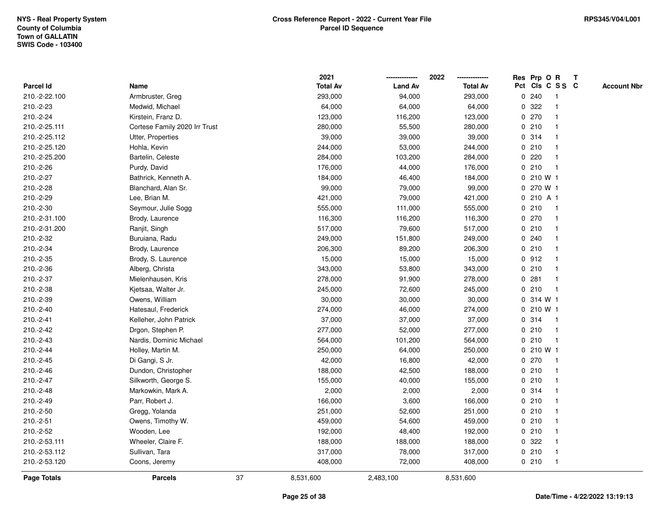|                    |                               |    | 2021            |                | 2022            | Res Prp O R |       |              |                         | $\mathbf{T}$ |                    |
|--------------------|-------------------------------|----|-----------------|----------------|-----------------|-------------|-------|--------------|-------------------------|--------------|--------------------|
| <b>Parcel Id</b>   | Name                          |    | <b>Total Av</b> | <b>Land Av</b> | <b>Total Av</b> |             |       |              | Pct Cls C S S C         |              | <b>Account Nbr</b> |
| 210.-2-22.100      | Armbruster, Greg              |    | 293,000         | 94,000         | 293,000         | 0           | 240   |              |                         |              |                    |
| 210.-2-23          | Medwid, Michael               |    | 64,000          | 64,000         | 64,000          | 0           | 322   |              |                         |              |                    |
| 210.-2-24          | Kirstein, Franz D.            |    | 123,000         | 116,200        | 123,000         | $\mathbf 0$ | 270   |              |                         |              |                    |
| 210.-2-25.111      | Cortese Family 2020 Irr Trust |    | 280,000         | 55,500         | 280,000         |             | 0210  |              | -1                      |              |                    |
| 210.-2-25.112      | Utter, Properties             |    | 39,000          | 39,000         | 39,000          |             | 0 314 |              | $\mathbf 1$             |              |                    |
| 210.-2-25.120      | Hohla, Kevin                  |    | 244,000         | 53,000         | 244,000         |             | 0210  |              |                         |              |                    |
| 210.-2-25.200      | Bartelin, Celeste             |    | 284,000         | 103,200        | 284,000         |             | 0.220 |              |                         |              |                    |
| 210.-2-26          | Purdy, David                  |    | 176,000         | 44,000         | 176,000         |             | 0210  |              |                         |              |                    |
| 210.-2-27          | Bathrick, Kenneth A.          |    | 184,000         | 46,400         | 184,000         |             |       | 0 210 W 1    |                         |              |                    |
| 210.-2-28          | Blanchard, Alan Sr.           |    | 99,000          | 79,000         | 99,000          | 0           |       | 270 W 1      |                         |              |                    |
| 210.-2-29          | Lee, Brian M.                 |    | 421,000         | 79,000         | 421,000         | 0           |       | 210 A 1      |                         |              |                    |
| 210.-2-30          | Seymour, Julie Sogg           |    | 555,000         | 111,000        | 555,000         |             | 0210  |              | $\mathbf 1$             |              |                    |
| 210.-2-31.100      | Brody, Laurence               |    | 116,300         | 116,200        | 116,300         |             | 0.270 |              |                         |              |                    |
| 210.-2-31.200      | Ranjit, Singh                 |    | 517,000         | 79,600         | 517,000         |             | 0210  |              |                         |              |                    |
| 210.-2-32          | Buruiana, Radu                |    | 249,000         | 151,800        | 249,000         |             | 0.240 |              |                         |              |                    |
| 210.-2-34          | Brody, Laurence               |    | 206,300         | 89,200         | 206,300         |             | 0210  |              | -1                      |              |                    |
| 210.-2-35          | Brody, S. Laurence            |    | 15,000          | 15,000         | 15,000          |             | 0.912 |              | $\overline{\mathbf{1}}$ |              |                    |
| 210.-2-36          | Alberg, Christa               |    | 343,000         | 53,800         | 343,000         |             | 0210  |              | $\mathbf 1$             |              |                    |
| 210.-2-37          | Mielenhausen, Kris            |    | 278,000         | 91,900         | 278,000         |             | 0.281 |              | -1                      |              |                    |
| 210.-2-38          | Kjetsaa, Walter Jr.           |    | 245,000         | 72,600         | 245,000         |             | 0210  |              |                         |              |                    |
| 210.-2-39          | Owens, William                |    | 30,000          | 30,000         | 30,000          |             |       | 0 314 W 1    |                         |              |                    |
| 210.-2-40          | Hatesaul, Frederick           |    | 274,000         | 46,000         | 274,000         |             |       | $0, 210$ W 1 |                         |              |                    |
| $210.-2-41$        | Kelleher, John Patrick        |    | 37,000          | 37,000         | 37,000          |             | 0 314 |              | -1                      |              |                    |
| 210.-2-42          | Drgon, Stephen P.             |    | 277,000         | 52,000         | 277,000         |             | 0210  |              | $\mathbf{1}$            |              |                    |
| 210.-2-43          | Nardis, Dominic Michael       |    | 564,000         | 101,200        | 564,000         |             | 0210  |              | $\mathbf{1}$            |              |                    |
| 210.-2-44          | Holley, Martin M.             |    | 250,000         | 64,000         | 250,000         |             |       | 0 210 W 1    |                         |              |                    |
| 210.-2-45          | Di Gangi, S Jr.               |    | 42,000          | 16,800         | 42,000          |             | 0270  |              |                         |              |                    |
| 210.-2-46          | Dundon, Christopher           |    | 188,000         | 42,500         | 188,000         |             | 0210  |              |                         |              |                    |
| 210.-2-47          | Silkworth, George S.          |    | 155,000         | 40,000         | 155,000         |             | 0210  |              | -1                      |              |                    |
| 210.-2-48          | Markowkin, Mark A.            |    | 2,000           | 2,000          | 2,000           | $\mathbf 0$ | 314   |              |                         |              |                    |
| 210.-2-49          | Parr, Robert J.               |    | 166,000         | 3,600          | 166,000         |             | 0210  |              | -1                      |              |                    |
| 210.-2-50          | Gregg, Yolanda                |    | 251,000         | 52,600         | 251,000         |             | 0210  |              | $\mathbf 1$             |              |                    |
| 210.-2-51          | Owens, Timothy W.             |    | 459,000         | 54,600         | 459,000         |             | 0210  |              |                         |              |                    |
| 210.-2-52          | Wooden, Lee                   |    | 192,000         | 48,400         | 192,000         |             | 0210  |              |                         |              |                    |
| 210.-2-53.111      | Wheeler, Claire F.            |    | 188,000         | 188,000        | 188,000         |             | 0 322 |              |                         |              |                    |
| 210.-2-53.112      | Sullivan, Tara                |    | 317,000         | 78,000         | 317,000         |             | 0210  |              | $\mathbf{1}$            |              |                    |
| 210.-2-53.120      | Coons, Jeremy                 |    | 408,000         | 72,000         | 408,000         |             | 0210  |              | $\mathbf{1}$            |              |                    |
| <b>Page Totals</b> | <b>Parcels</b>                | 37 | 8,531,600       | 2,483,100      | 8,531,600       |             |       |              |                         |              |                    |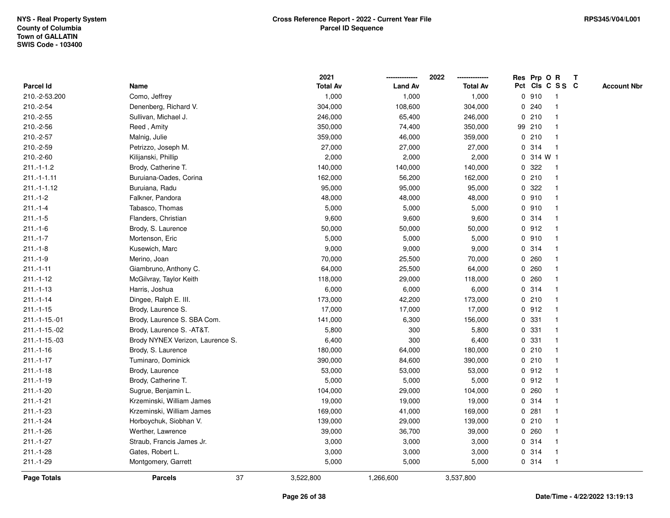|                    |                                  |    | 2021            |                | 2022            |             | Res Prp O R |                 | T |                    |
|--------------------|----------------------------------|----|-----------------|----------------|-----------------|-------------|-------------|-----------------|---|--------------------|
| <b>Parcel Id</b>   | Name                             |    | <b>Total Av</b> | <b>Land Av</b> | <b>Total Av</b> |             |             | Pct Cls C S S C |   | <b>Account Nbr</b> |
| 210.-2-53.200      | Como, Jeffrey                    |    | 1,000           | 1,000          | 1,000           |             | 0910        | -1              |   |                    |
| 210.-2-54          | Denenberg, Richard V.            |    | 304,000         | 108,600        | 304,000         | 0           | 240         | -1              |   |                    |
| 210.-2-55          | Sullivan, Michael J.             |    | 246,000         | 65,400         | 246,000         |             | 0210        | -1              |   |                    |
| 210.-2-56          | Reed, Amity                      |    | 350,000         | 74,400         | 350,000         |             | 99 210      |                 |   |                    |
| 210.-2-57          | Malnig, Julie                    |    | 359,000         | 46,000         | 359,000         |             | 0210        |                 |   |                    |
| 210.-2-59          | Petrizzo, Joseph M.              |    | 27,000          | 27,000         | 27,000          |             | 0.314       |                 |   |                    |
| 210.-2-60          | Kilijanski, Phillip              |    | 2,000           | 2,000          | 2,000           |             | 0.314 W1    |                 |   |                    |
| $211.-1-1.2$       | Brody, Catherine T.              |    | 140,000         | 140,000        | 140,000         | 0           | 322         | $\overline{1}$  |   |                    |
| $211.-1-1.11$      | Buruiana-Oades, Corina           |    | 162,000         | 56,200         | 162,000         |             | 0210        | -1              |   |                    |
| $211.-1-1.12$      | Buruiana, Radu                   |    | 95,000          | 95,000         | 95,000          |             | 0.322       | -1              |   |                    |
| $211 - 1 - 2$      | Falkner, Pandora                 |    | 48,000          | 48,000         | 48,000          |             | 0.910       |                 |   |                    |
| $211.-1-4$         | Tabasco, Thomas                  |    | 5,000           | 5,000          | 5,000           |             | 0.910       |                 |   |                    |
| $211.-1-5$         | Flanders, Christian              |    | 9,600           | 9,600          | 9,600           |             | 0.314       |                 |   |                    |
| $211.-1-6$         | Brody, S. Laurence               |    | 50,000          | 50,000         | 50,000          |             | 0.912       |                 |   |                    |
| $211 - 1 - 7$      | Mortenson, Eric                  |    | 5,000           | 5,000          | 5,000           | $\mathbf 0$ | 910         |                 |   |                    |
| $211.-1-8$         | Kusewich, Marc                   |    | 9,000           | 9,000          | 9,000           |             | 0.314       | $\mathbf{1}$    |   |                    |
| $211.-1-9$         | Merino, Joan                     |    | 70,000          | 25,500         | 70,000          |             | 0.260       | $\mathbf{1}$    |   |                    |
| $211.-1-11$        | Giambruno, Anthony C.            |    | 64,000          | 25,500         | 64,000          |             | 0.260       |                 |   |                    |
| $211 - 1 - 12$     | McGilvray, Taylor Keith          |    | 118,000         | 29,000         | 118,000         |             | 0.260       |                 |   |                    |
| $211 - 1 - 13$     | Harris, Joshua                   |    | 6,000           | 6,000          | 6,000           |             | 0.314       |                 |   |                    |
| $211.-1-14$        | Dingee, Ralph E. III.            |    | 173,000         | 42,200         | 173,000         |             | 0210        |                 |   |                    |
| $211.-1-15$        | Brody, Laurence S.               |    | 17,000          | 17,000         | 17,000          |             | 0.912       |                 |   |                    |
| 211.-1-15.-01      | Brody, Laurence S. SBA Com.      |    | 141,000         | 6,300          | 156,000         |             | 0 331       | -1              |   |                    |
| 211.-1-15.-02      | Brody, Laurence S. - AT&T.       |    | 5,800           | 300            | 5,800           |             | 0 331       | $\mathbf{1}$    |   |                    |
| 211.-1-15.-03      | Brody NYNEX Verizon, Laurence S. |    | 6,400           | 300            | 6,400           |             | 0 331       | $\mathbf{1}$    |   |                    |
| $211.-1-16$        | Brody, S. Laurence               |    | 180,000         | 64,000         | 180,000         |             | 0210        |                 |   |                    |
| $211 - 1 - 17$     | Tuminaro, Dominick               |    | 390,000         | 84,600         | 390,000         |             | 0210        |                 |   |                    |
| $211.-1-18$        | Brody, Laurence                  |    | 53,000          | 53,000         | 53,000          |             | 0.912       |                 |   |                    |
| $211 - 1 - 19$     | Brody, Catherine T.              |    | 5,000           | 5,000          | 5,000           |             | 0.912       |                 |   |                    |
| $211.-1-20$        | Sugrue, Benjamin L.              |    | 104,000         | 29,000         | 104,000         | 0           | 260         | -1              |   |                    |
| $211.-1-21$        | Krzeminski, William James        |    | 19,000          | 19,000         | 19,000          |             | 0.314       | $\mathbf{1}$    |   |                    |
| $211.-1-23$        | Krzeminski, William James        |    | 169,000         | 41,000         | 169,000         |             | 0.281       | $\mathbf 1$     |   |                    |
| $211 - 1 - 24$     | Horboychuk, Siobhan V.           |    | 139,000         | 29,000         | 139,000         |             | 0210        |                 |   |                    |
| $211.-1-26$        | Werther, Lawrence                |    | 39,000          | 36,700         | 39,000          |             | 0.260       |                 |   |                    |
| $211.-1-27$        | Straub, Francis James Jr.        |    | 3,000           | 3,000          | 3,000           |             | 0 314       |                 |   |                    |
| $211.-1-28$        | Gates, Robert L.                 |    | 3,000           | 3,000          | 3,000           |             | 0.314       | -1              |   |                    |
| 211.-1-29          | Montgomery, Garrett              |    | 5,000           | 5,000          | 5,000           |             | 0.314       | $\overline{1}$  |   |                    |
| <b>Page Totals</b> | <b>Parcels</b>                   | 37 | 3,522,800       | 1,266,600      | 3,537,800       |             |             |                 |   |                    |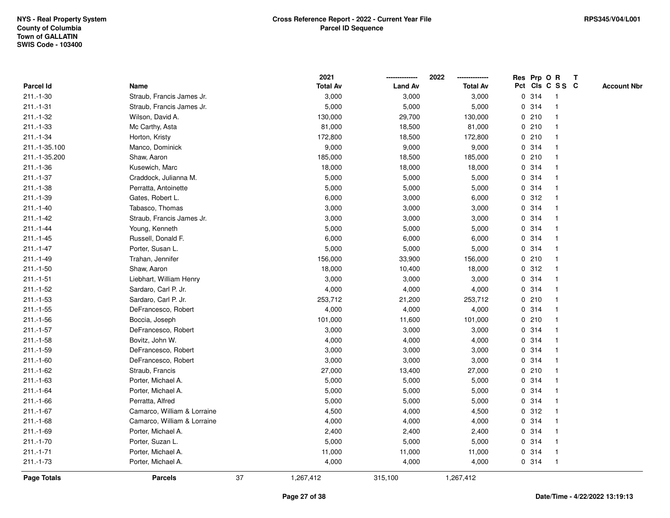|                    |                             |    | 2021            |                | 2022            |   |       | Res Prp O R     | $\mathsf{T}$ |                    |
|--------------------|-----------------------------|----|-----------------|----------------|-----------------|---|-------|-----------------|--------------|--------------------|
| Parcel Id          | Name                        |    | <b>Total Av</b> | <b>Land Av</b> | <b>Total Av</b> |   |       | Pct Cls C S S C |              | <b>Account Nbr</b> |
| $211.-1-30$        | Straub, Francis James Jr.   |    | 3,000           | 3,000          | 3,000           |   | 0 314 |                 |              |                    |
| $211.-1-31$        | Straub, Francis James Jr.   |    | 5,000           | 5,000          | 5,000           |   | 0 314 |                 |              |                    |
| $211.-1-32$        | Wilson, David A.            |    | 130,000         | 29,700         | 130,000         |   | 0210  | -1              |              |                    |
| 211.-1-33          | Mc Carthy, Asta             |    | 81,000          | 18,500         | 81,000          | 0 | 210   | -1              |              |                    |
| $211.-1-34$        | Horton, Kristy              |    | 172,800         | 18,500         | 172,800         |   | 0210  | $\mathbf 1$     |              |                    |
| 211.-1-35.100      | Manco, Dominick             |    | 9,000           | 9,000          | 9,000           |   | 0.314 | -1              |              |                    |
| 211.-1-35.200      | Shaw, Aaron                 |    | 185,000         | 18,500         | 185,000         |   | 0210  |                 |              |                    |
| 211.-1-36          | Kusewich, Marc              |    | 18,000          | 18,000         | 18,000          |   | 0 314 |                 |              |                    |
| $211.-1-37$        | Craddock, Julianna M.       |    | 5,000           | 5,000          | 5,000           |   | 0.314 |                 |              |                    |
| $211.-1-38$        | Perratta, Antoinette        |    | 5,000           | 5,000          | 5,000           |   | 0 314 |                 |              |                    |
| 211.-1-39          | Gates, Robert L.            |    | 6,000           | 3,000          | 6,000           |   | 0.312 | -1              |              |                    |
| $211.-1-40$        | Tabasco, Thomas             |    | 3,000           | 3,000          | 3,000           |   | 0 314 | -1              |              |                    |
| $211.-1-42$        | Straub, Francis James Jr.   |    | 3,000           | 3,000          | 3,000           |   | 0 314 |                 |              |                    |
| $211 - 1 - 44$     | Young, Kenneth              |    | 5,000           | 5,000          | 5,000           |   | 0 314 |                 |              |                    |
| $211.-1-45$        | Russell, Donald F.          |    | 6,000           | 6,000          | 6,000           |   | 0 314 |                 |              |                    |
| $211 - 1 - 47$     | Porter, Susan L.            |    | 5,000           | 5,000          | 5,000           |   | 0.314 | -1              |              |                    |
| $211.-1-49$        | Trahan, Jennifer            |    | 156,000         | 33,900         | 156,000         |   | 0210  | -1              |              |                    |
| $211.-1-50$        | Shaw, Aaron                 |    | 18,000          | 10,400         | 18,000          |   | 0.312 | -1              |              |                    |
| $211.-1-51$        | Liebhart, William Henry     |    | 3,000           | 3,000          | 3,000           |   | 0.314 | -1              |              |                    |
| $211.-1-52$        | Sardaro, Carl P. Jr.        |    | 4,000           | 4,000          | 4,000           |   | 0 314 |                 |              |                    |
| $211.-1-53$        | Sardaro, Carl P. Jr.        |    | 253,712         | 21,200         | 253,712         |   | 0210  |                 |              |                    |
| $211.-1-55$        | DeFrancesco, Robert         |    | 4,000           | 4,000          | 4,000           |   | 0 314 |                 |              |                    |
| $211.-1-56$        | Boccia, Joseph              |    | 101,000         | 11,600         | 101,000         |   | 0210  |                 |              |                    |
| $211.-1-57$        | DeFrancesco, Robert         |    | 3,000           | 3,000          | 3,000           |   | 0 314 | $\mathbf{1}$    |              |                    |
| $211.-1-58$        | Bovitz, John W.             |    | 4,000           | 4,000          | 4,000           |   | 0 314 | -1              |              |                    |
| $211.-1-59$        | DeFrancesco, Robert         |    | 3,000           | 3,000          | 3,000           |   | 0.314 | -1              |              |                    |
| $211.-1-60$        | DeFrancesco, Robert         |    | 3,000           | 3,000          | 3,000           |   | 0 314 |                 |              |                    |
| $211.-1-62$        | Straub, Francis             |    | 27,000          | 13,400         | 27,000          |   | 0210  |                 |              |                    |
| $211.-1-63$        | Porter, Michael A.          |    | 5,000           | 5,000          | 5,000           |   | 0 314 |                 |              |                    |
| $211.-1-64$        | Porter, Michael A.          |    | 5,000           | 5,000          | 5,000           | 0 | 314   | -1              |              |                    |
| $211.-1-66$        | Perratta, Alfred            |    | 5,000           | 5,000          | 5,000           |   | 0.314 | -1              |              |                    |
| $211.-1-67$        | Camarco, William & Lorraine |    | 4,500           | 4,000          | 4,500           |   | 0.312 | -1              |              |                    |
| $211.-1-68$        | Camarco, William & Lorraine |    | 4,000           | 4,000          | 4,000           |   | 0.314 |                 |              |                    |
| $211.-1-69$        | Porter, Michael A.          |    | 2,400           | 2,400          | 2,400           |   | 0 314 |                 |              |                    |
| $211.-1-70$        | Porter, Suzan L.            |    | 5,000           | 5,000          | 5,000           |   | 0.314 |                 |              |                    |
| $211.-1-71$        | Porter, Michael A.          |    | 11,000          | 11,000         | 11,000          |   | 0.314 | $\mathbf 1$     |              |                    |
| $211.-1-73$        | Porter, Michael A.          |    | 4,000           | 4,000          | 4,000           |   | 0 314 | -1              |              |                    |
| <b>Page Totals</b> | <b>Parcels</b>              | 37 | 1,267,412       | 315,100        | 1,267,412       |   |       |                 |              |                    |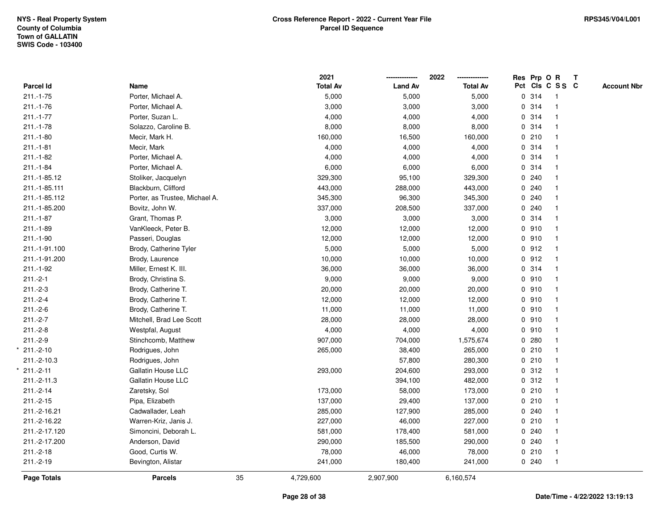|                    |                                |    | 2021            |                | 2022<br>-------------- |       | Res Prp O R     | $\mathbf{T}$ |                    |
|--------------------|--------------------------------|----|-----------------|----------------|------------------------|-------|-----------------|--------------|--------------------|
| Parcel Id          | Name                           |    | <b>Total Av</b> | <b>Land Av</b> | <b>Total Av</b>        |       | Pct Cls C S S C |              | <b>Account Nbr</b> |
| $211.-1-75$        | Porter, Michael A.             |    | 5,000           | 5,000          | 5,000                  | 0 314 | -1              |              |                    |
| $211.-1-76$        | Porter, Michael A.             |    | 3,000           | 3,000          | 3,000                  | 0.314 |                 |              |                    |
| $211.-1-77$        | Porter, Suzan L.               |    | 4,000           | 4,000          | 4,000                  | 0.314 |                 |              |                    |
| $211.-1-78$        | Solazzo, Caroline B.           |    | 8,000           | 8,000          | 8,000                  | 0.314 | $\overline{1}$  |              |                    |
| $211.-1-80$        | Mecir, Mark H.                 |    | 160,000         | 16,500         | 160,000                | 0210  |                 |              |                    |
| $211.-1-81$        | Mecir, Mark                    |    | 4,000           | 4,000          | 4,000                  | 0.314 |                 |              |                    |
| $211.-1-82$        | Porter, Michael A.             |    | 4,000           | 4,000          | 4,000                  | 0.314 |                 |              |                    |
| $211.-1-84$        | Porter, Michael A.             |    | 6,000           | 6,000          | 6,000                  | 0.314 |                 |              |                    |
| 211.-1-85.12       | Stoliker, Jacquelyn            |    | 329,300         | 95,100         | 329,300                | 0.240 |                 |              |                    |
| 211.-1-85.111      | Blackburn, Clifford            |    | 443,000         | 288,000        | 443,000                | 0.240 |                 |              |                    |
| 211.-1-85.112      | Porter, as Trustee, Michael A. |    | 345,300         | 96,300         | 345,300                | 0.240 |                 |              |                    |
| 211.-1-85.200      | Bovitz, John W.                |    | 337,000         | 208,500        | 337,000                | 0.240 |                 |              |                    |
| $211 - 1 - 87$     | Grant, Thomas P.               |    | 3,000           | 3,000          | 3,000                  | 0 314 |                 |              |                    |
| $211.-1-89$        | VanKleeck, Peter B.            |    | 12,000          | 12,000         | 12,000                 | 0.910 |                 |              |                    |
| 211.-1-90          | Passeri, Douglas               |    | 12,000          | 12,000         | 12,000                 | 0.910 |                 |              |                    |
| 211.-1-91.100      | Brody, Catherine Tyler         |    | 5,000           | 5,000          | 5,000                  | 0.912 | $\mathbf 1$     |              |                    |
| 211.-1-91.200      | Brody, Laurence                |    | 10,000          | 10,000         | 10,000                 | 0.912 |                 |              |                    |
| 211.-1-92          | Miller, Ernest K. III.         |    | 36,000          | 36,000         | 36,000                 | 0.314 | $\overline{1}$  |              |                    |
| $211.-2-1$         | Brody, Christina S.            |    | 9,000           | 9,000          | 9,000                  | 0.910 | $\mathbf{1}$    |              |                    |
| $211.-2-3$         | Brody, Catherine T.            |    | 20,000          | 20,000         | 20,000                 | 0.910 |                 |              |                    |
| $211.-2-4$         | Brody, Catherine T.            |    | 12,000          | 12,000         | 12,000                 | 0.910 |                 |              |                    |
| $211.-2-6$         | Brody, Catherine T.            |    | 11,000          | 11,000         | 11,000                 | 0.910 |                 |              |                    |
| $211.-2-7$         | Mitchell, Brad Lee Scott       |    | 28,000          | 28,000         | 28,000                 | 0.910 |                 |              |                    |
| $211.-2-8$         | Westpfal, August               |    | 4,000           | 4,000          | 4,000                  | 0.910 |                 |              |                    |
| $211.-2-9$         | Stinchcomb, Matthew            |    | 907,000         | 704,000        | 1,575,674              | 0.280 |                 |              |                    |
| $211.-2-10$        | Rodrigues, John                |    | 265,000         | 38,400         | 265,000                | 0210  |                 |              |                    |
| 211.-2-10.3        | Rodrigues, John                |    |                 | 57,800         | 280,300                | 0210  |                 |              |                    |
| $211.-2-11$        | Gallatin House LLC             |    | 293,000         | 204,600        | 293,000                | 0.312 |                 |              |                    |
| 211.-2-11.3        | <b>Gallatin House LLC</b>      |    |                 | 394,100        | 482,000                | 0.312 |                 |              |                    |
| $211.-2-14$        | Zaretsky, Sol                  |    | 173,000         | 58,000         | 173,000                | 0210  |                 |              |                    |
| $211.-2-15$        | Pipa, Elizabeth                |    | 137,000         | 29,400         | 137,000                | 0210  | $\mathbf{1}$    |              |                    |
| 211.-2-16.21       | Cadwallader, Leah              |    | 285,000         | 127,900        | 285,000                | 0.240 | $\mathbf{1}$    |              |                    |
| 211.-2-16.22       | Warren-Kriz, Janis J.          |    | 227,000         | 46,000         | 227,000                | 0210  |                 |              |                    |
| 211.-2-17.120      | Simoncini, Deborah L.          |    | 581,000         | 178,400        | 581,000                | 0.240 |                 |              |                    |
| 211.-2-17.200      | Anderson, David                |    | 290,000         | 185,500        | 290,000                | 0.240 |                 |              |                    |
| $211.-2-18$        | Good, Curtis W.                |    | 78,000          | 46,000         | 78,000                 | 0210  | $\overline{1}$  |              |                    |
| $211.-2-19$        | Bevington, Alistar             |    | 241,000         | 180,400        | 241,000                | 0.240 | $\overline{1}$  |              |                    |
| <b>Page Totals</b> | <b>Parcels</b>                 | 35 | 4,729,600       | 2,907,900      | 6,160,574              |       |                 |              |                    |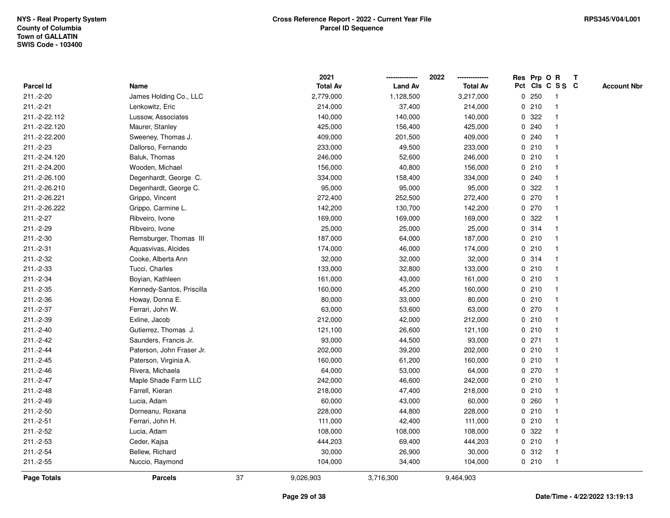|                    |                           |    | 2021            |                | 2022            |             |         | Res Prp O R     | $\mathbf{T}$ |                    |
|--------------------|---------------------------|----|-----------------|----------------|-----------------|-------------|---------|-----------------|--------------|--------------------|
| <b>Parcel Id</b>   | Name                      |    | <b>Total Av</b> | <b>Land Av</b> | <b>Total Av</b> |             |         | Pct Cls C S S C |              | <b>Account Nbr</b> |
| 211.-2-20          | James Holding Co., LLC    |    | 2,779,000       | 1,128,500      | 3,217,000       |             | 0.250   |                 |              |                    |
| $211.-2-21$        | Lenkowitz, Eric           |    | 214,000         | 37,400         | 214,000         |             | 0210    |                 |              |                    |
| 211.-2-22.112      | Lussow, Associates        |    | 140,000         | 140,000        | 140,000         | 0           | 322     |                 |              |                    |
| 211.-2-22.120      | Maurer, Stanley           |    | 425,000         | 156,400        | 425,000         | 0           | 240     |                 |              |                    |
| 211.-2-22.200      | Sweeney, Thomas J.        |    | 409,000         | 201,500        | 409,000         | 0           | 240     |                 |              |                    |
| 211.-2-23          | Dallorso, Fernando        |    | 233,000         | 49,500         | 233,000         |             | 0210    |                 |              |                    |
| 211.-2-24.120      | Baluk, Thomas             |    | 246,000         | 52,600         | 246,000         |             | 0210    |                 |              |                    |
| 211.-2-24.200      | Wooden, Michael           |    | 156,000         | 40,800         | 156,000         |             | 0210    |                 |              |                    |
| 211.-2-26.100      | Degenhardt, George C.     |    | 334,000         | 158,400        | 334,000         |             | 0.240   |                 |              |                    |
| 211.-2-26.210      | Degenhardt, George C.     |    | 95,000          | 95,000         | 95,000          | 0           | 322     |                 |              |                    |
| 211.-2-26.221      | Grippo, Vincent           |    | 272,400         | 252,500        | 272,400         |             | $0$ 270 |                 |              |                    |
| 211.-2-26.222      | Grippo, Carmine L.        |    | 142,200         | 130,700        | 142,200         |             | 0270    |                 |              |                    |
| $211.-2-27$        | Ribveiro, Ivone           |    | 169,000         | 169,000        | 169,000         |             | 0.322   |                 |              |                    |
| 211.-2-29          | Ribveiro, Ivone           |    | 25,000          | 25,000         | 25,000          |             | 0.314   |                 |              |                    |
| 211.-2-30          | Remsburger, Thomas III    |    | 187,000         | 64,000         | 187,000         |             | 0210    |                 |              |                    |
| 211.-2-31          | Aquasvivas, Alcides       |    | 174,000         | 46,000         | 174,000         |             | 0210    |                 |              |                    |
| 211.-2-32          | Cooke, Alberta Ann        |    | 32,000          | 32,000         | 32,000          | $\mathbf 0$ | 314     |                 |              |                    |
| 211.-2-33          | Tucci, Charles            |    | 133,000         | 32,800         | 133,000         |             | 0210    |                 |              |                    |
| 211.-2-34          | Boyian, Kathleen          |    | 161,000         | 43,000         | 161,000         |             | 0210    |                 |              |                    |
| 211.-2-35          | Kennedy-Santos, Priscilla |    | 160,000         | 45,200         | 160,000         |             | 0210    |                 |              |                    |
| 211.-2-36          | Howay, Donna E.           |    | 80,000          | 33,000         | 80,000          |             | 0210    |                 |              |                    |
| 211.-2-37          | Ferrari, John W.          |    | 63,000          | 53,600         | 63,000          |             | 0 270   |                 |              |                    |
| 211.-2-39          | Exline, Jacob             |    | 212,000         | 42,000         | 212,000         |             | 0210    |                 |              |                    |
| $211.-2-40$        | Gutierrez, Thomas J.      |    | 121,100         | 26,600         | 121,100         |             | 0210    |                 |              |                    |
| 211.-2-42          | Saunders, Francis Jr.     |    | 93,000          | 44,500         | 93,000          |             | $0$ 271 |                 |              |                    |
| 211.-2-44          | Paterson, John Fraser Jr. |    | 202,000         | 39,200         | 202,000         |             | 0210    |                 |              |                    |
| $211.-2-45$        | Paterson, Virginia A.     |    | 160,000         | 61,200         | 160,000         |             | 0210    |                 |              |                    |
| 211.-2-46          | Rivera, Michaela          |    | 64,000          | 53,000         | 64,000          |             | 0270    |                 |              |                    |
| 211.-2-47          | Maple Shade Farm LLC      |    | 242,000         | 46,600         | 242,000         |             | 0210    |                 |              |                    |
| 211.-2-48          | Farrell, Kieran           |    | 218,000         | 47,400         | 218,000         |             | 0210    |                 |              |                    |
| 211.-2-49          | Lucia, Adam               |    | 60,000          | 43,000         | 60,000          | 0           | 260     |                 |              |                    |
| $211.-2-50$        | Dorneanu, Roxana          |    | 228,000         | 44,800         | 228,000         |             | 0210    |                 |              |                    |
| $211.-2-51$        | Ferrari, John H.          |    | 111,000         | 42,400         | 111,000         |             | 0210    |                 |              |                    |
| 211.-2-52          | Lucia, Adam               |    | 108,000         | 108,000        | 108,000         |             | 0 322   |                 |              |                    |
| 211.-2-53          | Ceder, Kajsa              |    | 444,203         | 69,400         | 444,203         |             | 0210    |                 |              |                    |
| 211.-2-54          | Bellew, Richard           |    | 30,000          | 26,900         | 30,000          |             | 0.312   |                 |              |                    |
| $211.-2-55$        | Nuccio, Raymond           |    | 104,000         | 34,400         | 104,000         |             | 0210    |                 |              |                    |
| <b>Page Totals</b> | <b>Parcels</b>            | 37 | 9,026,903       | 3,716,300      | 9,464,903       |             |         |                 |              |                    |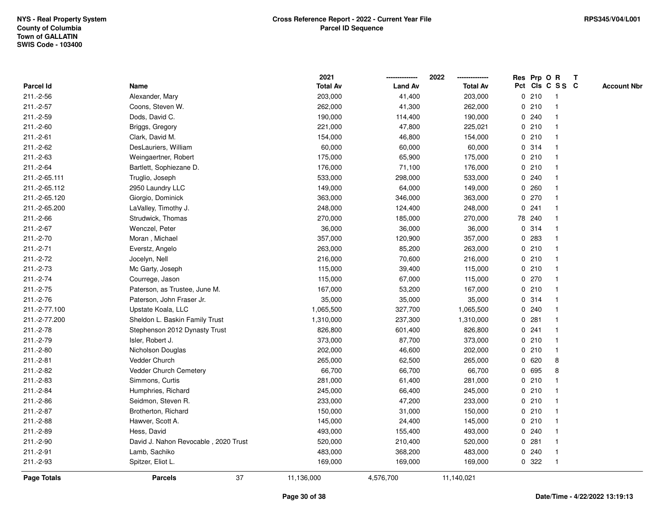|               |                                      | 2021            |                | 2022            | Res Prp O R |        |                 | T |                    |
|---------------|--------------------------------------|-----------------|----------------|-----------------|-------------|--------|-----------------|---|--------------------|
| Parcel Id     | Name                                 | <b>Total Av</b> | <b>Land Av</b> | <b>Total Av</b> |             |        | Pct Cls C S S C |   | <b>Account Nbr</b> |
| 211.-2-56     | Alexander, Mary                      | 203,000         | 41,400         | 203,000         |             | 0210   | -1              |   |                    |
| $211.-2-57$   | Coons, Steven W.                     | 262,000         | 41,300         | 262,000         | 0           | 210    | -1              |   |                    |
| 211.-2-59     | Dods, David C.                       | 190,000         | 114,400        | 190,000         |             | 0.240  | -1              |   |                    |
| 211.-2-60     | Briggs, Gregory                      | 221,000         | 47,800         | 225,021         |             | 0210   |                 |   |                    |
| 211.-2-61     | Clark, David M.                      | 154,000         | 46,800         | 154,000         |             | 0210   |                 |   |                    |
| 211.-2-62     | DesLauriers, William                 | 60,000          | 60,000         | 60,000          |             | 0.314  |                 |   |                    |
| 211.-2-63     | Weingaertner, Robert                 | 175,000         | 65,900         | 175,000         |             | 0210   |                 |   |                    |
| 211.-2-64     | Bartlett, Sophiezane D.              | 176,000         | 71,100         | 176,000         | 0           | 210    |                 |   |                    |
| 211.-2-65.111 | Truglio, Joseph                      | 533,000         | 298,000        | 533,000         |             | 0.240  |                 |   |                    |
| 211.-2-65.112 | 2950 Laundry LLC                     | 149,000         | 64,000         | 149,000         |             | 0.260  | -1              |   |                    |
| 211.-2-65.120 | Giorgio, Dominick                    | 363,000         | 346,000        | 363,000         |             | 0270   |                 |   |                    |
| 211.-2-65.200 | LaValley, Timothy J.                 | 248,000         | 124,400        | 248,000         |             | 0.241  |                 |   |                    |
| 211.-2-66     | Strudwick, Thomas                    | 270,000         | 185,000        | 270,000         |             | 78 240 |                 |   |                    |
| 211.-2-67     | Wenczel, Peter                       | 36,000          | 36,000         | 36,000          |             | 0.314  |                 |   |                    |
| 211.-2-70     | Moran, Michael                       | 357,000         | 120,900        | 357,000         | 0           | 283    |                 |   |                    |
| 211.-2-71     | Everstz, Angelo                      | 263,000         | 85,200         | 263,000         |             | 0210   | $\overline{1}$  |   |                    |
| 211.-2-72     | Jocelyn, Nell                        | 216,000         | 70,600         | 216,000         |             | 0210   | $\mathbf{1}$    |   |                    |
| 211.-2-73     | Mc Garty, Joseph                     | 115,000         | 39,400         | 115,000         |             | 0210   |                 |   |                    |
| 211.-2-74     | Courrege, Jason                      | 115,000         | 67,000         | 115,000         |             | 0 270  |                 |   |                    |
| 211.-2-75     | Paterson, as Trustee, June M.        | 167,000         | 53,200         | 167,000         |             | 0210   |                 |   |                    |
| 211.-2-76     | Paterson, John Fraser Jr.            | 35,000          | 35,000         | 35,000          |             | 0.314  |                 |   |                    |
| 211.-2-77.100 | Upstate Koala, LLC                   | 1,065,500       | 327,700        | 1,065,500       |             | 0.240  |                 |   |                    |
| 211.-2-77.200 | Sheldon L. Baskin Family Trust       | 1,310,000       | 237,300        | 1,310,000       | 0           | 281    | -1              |   |                    |
| 211.-2-78     | Stephenson 2012 Dynasty Trust        | 826,800         | 601,400        | 826,800         | $\mathbf 0$ | 241    |                 |   |                    |
| 211.-2-79     | Isler, Robert J.                     | 373,000         | 87,700         | 373,000         |             | 0210   |                 |   |                    |
| 211.-2-80     | Nicholson Douglas                    | 202,000         | 46,600         | 202,000         |             | 0210   |                 |   |                    |
| $211.-2-81$   | Vedder Church                        | 265,000         | 62,500         | 265,000         |             | 0620   | 8               |   |                    |
| 211.-2-82     | Vedder Church Cemetery               | 66,700          | 66,700         | 66,700          | 0           | 695    | 8               |   |                    |
| 211.-2-83     | Simmons, Curtis                      | 281,000         | 61,400         | 281,000         |             | 0210   |                 |   |                    |
| 211.-2-84     | Humphries, Richard                   | 245,000         | 66,400         | 245,000         | 0           | 210    |                 |   |                    |
| 211.-2-86     | Seidmon, Steven R.                   | 233,000         | 47,200         | 233,000         |             | 0210   | -1              |   |                    |
| 211.-2-87     | Brotherton, Richard                  | 150,000         | 31,000         | 150,000         |             | 0210   | -1              |   |                    |
| 211.-2-88     | Hawver, Scott A.                     | 145,000         | 24,400         | 145,000         |             | 0210   |                 |   |                    |
| 211.-2-89     | Hess, David                          | 493,000         | 155,400        | 493,000         |             | 0.240  |                 |   |                    |
| 211.-2-90     | David J. Nahon Revocable, 2020 Trust | 520,000         | 210,400        | 520,000         |             | 0.281  |                 |   |                    |
| 211.-2-91     | Lamb, Sachiko                        | 483,000         | 368,200        | 483,000         | 0           | 240    |                 |   |                    |
| 211.-2-93     | Spitzer, Eliot L.                    | 169,000         | 169,000        | 169,000         |             | 0 322  | $\overline{1}$  |   |                    |
| Page Totals   | 37<br><b>Parcels</b>                 | 11,136,000      | 4,576,700      | 11,140,021      |             |        |                 |   |                    |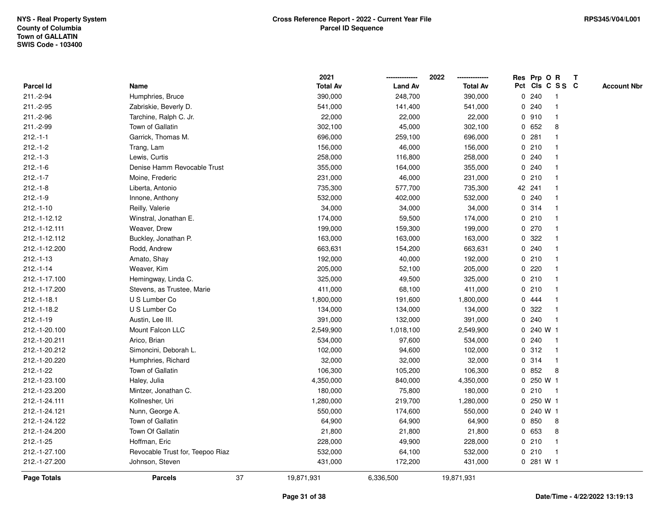|                    |                                  | 2021            |                | 2022            | Res Prp O R        |             | $\mathbf{T}$ |                    |
|--------------------|----------------------------------|-----------------|----------------|-----------------|--------------------|-------------|--------------|--------------------|
| <b>Parcel Id</b>   | Name                             | <b>Total Av</b> | <b>Land Av</b> | <b>Total Av</b> | Pct Cls C S S C    |             |              | <b>Account Nbr</b> |
| 211.-2-94          | Humphries, Bruce                 | 390,000         | 248,700        | 390,000         | 0.240              |             |              |                    |
| 211.-2-95          | Zabriskie, Beverly D.            | 541,000         | 141,400        | 541,000         | 240<br>0           |             |              |                    |
| 211.-2-96          | Tarchine, Ralph C. Jr.           | 22,000          | 22,000         | 22,000          | 0910               |             |              |                    |
| 211.-2-99          | Town of Gallatin                 | 302,100         | 45,000         | 302,100         | 0<br>652           | 8           |              |                    |
| $212.-1-1$         | Garrick, Thomas M.               | 696,000         | 259,100        | 696,000         | 281<br>0           |             |              |                    |
| $212.-1-2$         | Trang, Lam                       | 156,000         | 46,000         | 156,000         | 0210               |             |              |                    |
| $212.-1-3$         | Lewis, Curtis                    | 258,000         | 116,800        | 258,000         | 0.240              |             |              |                    |
| $212.-1-6$         | Denise Hamm Revocable Trust      | 355,000         | 164,000        | 355,000         | 0.240              |             |              |                    |
| $212.-1-7$         | Moine, Frederic                  | 231,000         | 46,000         | 231,000         | 0210               |             |              |                    |
| $212.-1-8$         | Liberta, Antonio                 | 735,300         | 577,700        | 735,300         | 42 241             |             |              |                    |
| $212.-1-9$         | Innone, Anthony                  | 532,000         | 402,000        | 532,000         | 0<br>240           |             |              |                    |
| $212.-1-10$        | Reilly, Valerie                  | 34,000          | 34,000         | 34,000          | 0 314              |             |              |                    |
| 212.-1-12.12       | Winstral, Jonathan E.            | 174,000         | 59,500         | 174,000         | 0210               |             |              |                    |
| 212.-1-12.111      | Weaver, Drew                     | 199,000         | 159,300        | 199,000         | 0.270              |             |              |                    |
| 212.-1-12.112      | Buckley, Jonathan P.             | 163,000         | 163,000        | 163,000         | 322<br>0           |             |              |                    |
| 212.-1-12.200      | Rodd, Andrew                     | 663,631         | 154,200        | 663,631         | 0.240              |             |              |                    |
| $212.-1-13$        | Amato, Shay                      | 192,000         | 40,000         | 192,000         | 210<br>0           |             |              |                    |
| $212.-1-14$        | Weaver, Kim                      | 205,000         | 52,100         | 205,000         | 220<br>0           |             |              |                    |
| 212.-1-17.100      | Hemingway, Linda C.              | 325,000         | 49,500         | 325,000         | 0210               |             |              |                    |
| 212.-1-17.200      | Stevens, as Trustee, Marie       | 411,000         | 68,100         | 411,000         | 0210               |             |              |                    |
| $212.-1-18.1$      | U S Lumber Co                    | 1,800,000       | 191,600        | 1,800,000       | 0.444              |             |              |                    |
| 212.-1-18.2        | U S Lumber Co                    | 134,000         | 134,000        | 134,000         | 322<br>0           |             |              |                    |
| $212.-1-19$        | Austin, Lee III.                 | 391,000         | 132,000        | 391,000         | 240<br>0           |             |              |                    |
| 212.-1-20.100      | Mount Falcon LLC                 | 2,549,900       | 1,018,100      | 2,549,900       | $\mathbf 0$        | 240 W 1     |              |                    |
| 212.-1-20.211      | Arico, Brian                     | 534,000         | 97,600         | 534,000         | 240<br>$\mathbf 0$ | -1          |              |                    |
| 212.-1-20.212      | Simoncini, Deborah L.            | 102,000         | 94,600         | 102,000         | 0.312              |             |              |                    |
| 212.-1-20.220      | Humphries, Richard               | 32,000          | 32,000         | 32,000          | 0.314              |             |              |                    |
| $212.-1-22$        | Town of Gallatin                 | 106,300         | 105,200        | 106,300         | 852<br>0           | 8           |              |                    |
| 212.-1-23.100      | Haley, Julia                     | 4,350,000       | 840,000        | 4,350,000       | 0                  | 250 W 1     |              |                    |
| 212.-1-23.200      | Mintzer, Jonathan C.             | 180,000         | 75,800         | 180,000         | 210<br>0           | $\mathbf 1$ |              |                    |
| 212.-1-24.111      | Kollnesher, Uri                  | 1,280,000       | 219,700        | 1,280,000       | $\mathbf 0$        | 250 W 1     |              |                    |
| 212.-1-24.121      | Nunn, George A.                  | 550,000         | 174,600        | 550,000         | 0                  | 240 W 1     |              |                    |
| 212.-1-24.122      | Town of Gallatin                 | 64,900          | 64,900         | 64,900          | 0850               | 8           |              |                    |
| 212.-1-24.200      | Town Of Gallatin                 | 21,800          | 21,800         | 21,800          | 0 653              | 8           |              |                    |
| $212.-1-25$        | Hoffman, Eric                    | 228,000         | 49,900         | 228,000         | 0210               |             |              |                    |
| 212.-1-27.100      | Revocable Trust for, Teepoo Riaz | 532,000         | 64,100         | 532,000         | 0210               | $\mathbf 1$ |              |                    |
| 212.-1-27.200      | Johnson, Steven                  | 431,000         | 172,200        | 431,000         | 0 281 W 1          |             |              |                    |
| <b>Page Totals</b> | 37<br><b>Parcels</b>             | 19,871,931      | 6,336,500      | 19,871,931      |                    |             |              |                    |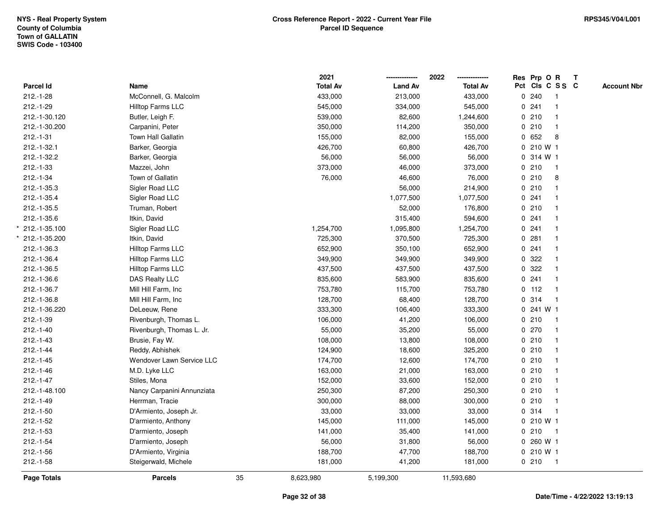|               |                            |    | 2021            |                | 2022            |   | Res Prp O R     |                | T |                    |
|---------------|----------------------------|----|-----------------|----------------|-----------------|---|-----------------|----------------|---|--------------------|
| Parcel Id     | Name                       |    | <b>Total Av</b> | <b>Land Av</b> | <b>Total Av</b> |   | Pct Cls C S S C |                |   | <b>Account Nbr</b> |
| $212.-1-28$   | McConnell, G. Malcolm      |    | 433,000         | 213,000        | 433,000         |   | 0.240           | $\mathbf{1}$   |   |                    |
| $212.-1-29$   | Hilltop Farms LLC          |    | 545,000         | 334,000        | 545,000         |   | 0.241           |                |   |                    |
| 212.-1-30.120 | Butler, Leigh F.           |    | 539,000         | 82,600         | 1,244,600       |   | 0210            | $\mathbf{1}$   |   |                    |
| 212.-1-30.200 | Carpanini, Peter           |    | 350,000         | 114,200        | 350,000         |   | 0210            |                |   |                    |
| $212.-1-31$   | <b>Town Hall Gallatin</b>  |    | 155,000         | 82,000         | 155,000         |   | 0 652           | 8              |   |                    |
| 212.-1-32.1   | Barker, Georgia            |    | 426,700         | 60,800         | 426,700         |   | 0 210 W 1       |                |   |                    |
| 212.-1-32.2   | Barker, Georgia            |    | 56,000          | 56,000         | 56,000          |   | 0 314 W 1       |                |   |                    |
| 212.-1-33     | Mazzei, John               |    | 373,000         | 46,000         | 373,000         | 0 | 210             | $\overline{1}$ |   |                    |
| $212.-1-34$   | Town of Gallatin           |    | 76,000          | 46,600         | 76,000          |   | 0210            | 8              |   |                    |
| 212.-1-35.3   | Sigler Road LLC            |    |                 | 56,000         | 214,900         |   | 0210            |                |   |                    |
| 212.-1-35.4   | Sigler Road LLC            |    |                 | 1,077,500      | 1,077,500       |   | 0.241           |                |   |                    |
| 212.-1-35.5   | Truman, Robert             |    |                 | 52,000         | 176,800         |   | 0210            |                |   |                    |
| 212.-1-35.6   | Itkin, David               |    |                 | 315,400        | 594,600         |   | 0.241           |                |   |                    |
| 212.-1-35.100 | Sigler Road LLC            |    | 1,254,700       | 1,095,800      | 1,254,700       |   | 0.241           |                |   |                    |
| 212.-1-35.200 | Itkin, David               |    | 725,300         | 370,500        | 725,300         |   | 0.281           |                |   |                    |
| 212.-1-36.3   | Hilltop Farms LLC          |    | 652,900         | 350,100        | 652,900         |   | 0.241           |                |   |                    |
| 212.-1-36.4   | Hilltop Farms LLC          |    | 349,900         | 349,900        | 349,900         |   | 0.322           |                |   |                    |
| 212.-1-36.5   | <b>Hilltop Farms LLC</b>   |    | 437,500         | 437,500        | 437,500         |   | 0.322           |                |   |                    |
| 212.-1-36.6   | DAS Realty LLC             |    | 835,600         | 583,900        | 835,600         |   | 0.241           |                |   |                    |
| 212.-1-36.7   | Mill Hill Farm, Inc        |    | 753,780         | 115,700        | 753,780         |   | $0$ 112         |                |   |                    |
| 212.-1-36.8   | Mill Hill Farm, Inc        |    | 128,700         | 68,400         | 128,700         |   | 0.314           | $\overline{1}$ |   |                    |
| 212.-1-36.220 | DeLeeuw, Rene              |    | 333,300         | 106,400        | 333,300         | 0 | 241 W 1         |                |   |                    |
| $212.-1-39$   | Rivenburgh, Thomas L.      |    | 106,000         | 41,200         | 106,000         |   | 0210            | $\overline{1}$ |   |                    |
| $212.-1-40$   | Rivenburgh, Thomas L. Jr.  |    | 55,000          | 35,200         | 55,000          |   | 0270            |                |   |                    |
| $212.-1-43$   | Brusie, Fay W.             |    | 108,000         | 13,800         | 108,000         |   | 0210            |                |   |                    |
| $212.-1-44$   | Reddy, Abhishek            |    | 124,900         | 18,600         | 325,200         |   | 0210            |                |   |                    |
| $212.-1-45$   | Wendover Lawn Service LLC  |    | 174,700         | 12,600         | 174,700         |   | 0210            |                |   |                    |
| $212.-1-46$   | M.D. Lyke LLC              |    | 163,000         | 21,000         | 163,000         |   | 0210            |                |   |                    |
| $212.-1-47$   | Stiles, Mona               |    | 152,000         | 33,600         | 152,000         |   | 0210            |                |   |                    |
| 212.-1-48.100 | Nancy Carpanini Annunziata |    | 250,300         | 87,200         | 250,300         |   | 0210            |                |   |                    |
| $212.-1-49$   | Herrman, Tracie            |    | 300,000         | 88,000         | 300,000         |   | 0210            | $\mathbf{1}$   |   |                    |
| $212.-1-50$   | D'Armiento, Joseph Jr.     |    | 33,000          | 33,000         | 33,000          |   | 0.314           |                |   |                    |
| $212.-1-52$   | D'armiento, Anthony        |    | 145,000         | 111,000        | 145,000         |   | 0210W1          |                |   |                    |
| $212.-1-53$   | D'armiento, Joseph         |    | 141,000         | 35,400         | 141,000         |   | 0210            | -1             |   |                    |
| $212.-1-54$   | D'armiento, Joseph         |    | 56,000          | 31,800         | 56,000          |   | 0 260 W 1       |                |   |                    |
| $212.-1-56$   | D'Armiento, Virginia       |    | 188,700         | 47,700         | 188,700         |   | 0 210 W 1       |                |   |                    |
| $212.-1-58$   | Steigerwald, Michele       |    | 181,000         | 41,200         | 181,000         |   | 0210            | $\overline{1}$ |   |                    |
| Page Totals   | <b>Parcels</b>             | 35 | 8,623,980       | 5,199,300      | 11,593,680      |   |                 |                |   |                    |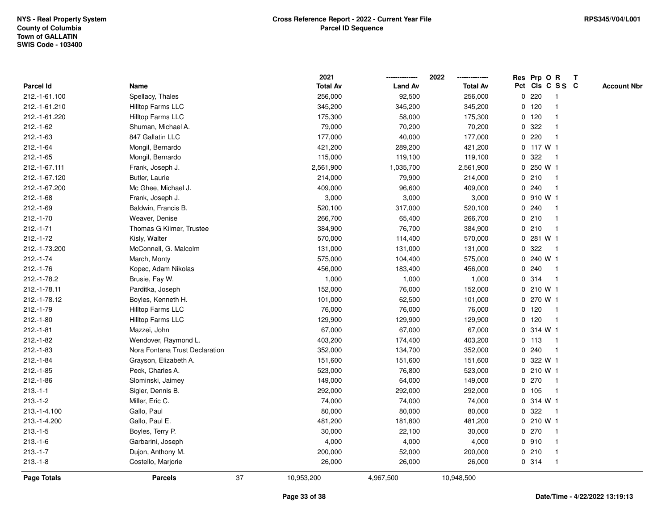|               |                                |    | 2021            |                | 2022            |              |              | Res Prp O R             | $\mathbf{T}$ |                    |
|---------------|--------------------------------|----|-----------------|----------------|-----------------|--------------|--------------|-------------------------|--------------|--------------------|
| Parcel Id     | Name                           |    | <b>Total Av</b> | <b>Land Av</b> | <b>Total Av</b> |              |              | Pct Cls C S S C         |              | <b>Account Nbr</b> |
| 212.-1-61.100 | Spellacy, Thales               |    | 256,000         | 92,500         | 256,000         |              | 0.220        |                         |              |                    |
| 212.-1-61.210 | Hilltop Farms LLC              |    | 345,200         | 345,200        | 345,200         |              | $0$ 120      |                         |              |                    |
| 212.-1-61.220 | Hilltop Farms LLC              |    | 175,300         | 58,000         | 175,300         |              | $0$ 120      |                         |              |                    |
| $212.-1-62$   | Shuman, Michael A.             |    | 79,000          | 70,200         | 70,200          | 0            | 322          | -1                      |              |                    |
| $212.-1-63$   | 847 Gallatin LLC               |    | 177,000         | 40,000         | 177,000         | 0            | 220          | $\mathbf{1}$            |              |                    |
| $212.-1-64$   | Mongil, Bernardo               |    | 421,200         | 289,200        | 421,200         |              | 0 117 W 1    |                         |              |                    |
| $212.-1-65$   | Mongil, Bernardo               |    | 115,000         | 119,100        | 119,100         |              | 0.322        | -1                      |              |                    |
| 212.-1-67.111 | Frank, Joseph J.               |    | 2,561,900       | 1,035,700      | 2,561,900       |              | 0 250 W 1    |                         |              |                    |
| 212.-1-67.120 | Butler, Laurie                 |    | 214,000         | 79,900         | 214,000         |              | 0210         | -1                      |              |                    |
| 212.-1-67.200 | Mc Ghee, Michael J.            |    | 409,000         | 96,600         | 409,000         | $\mathbf 0$  | 240          | $\overline{\mathbf{1}}$ |              |                    |
| $212.-1-68$   | Frank, Joseph J.               |    | 3,000           | 3,000          | 3,000           |              | 0 910 W 1    |                         |              |                    |
| $212.-1-69$   | Baldwin, Francis B.            |    | 520,100         | 317,000        | 520,100         |              | 0.240        | $\mathbf 1$             |              |                    |
| $212.-1-70$   | Weaver, Denise                 |    | 266,700         | 65,400         | 266,700         |              | 0210         | -1                      |              |                    |
| $212.-1-71$   | Thomas G Kilmer, Trustee       |    | 384,900         | 76,700         | 384,900         |              | 0210         |                         |              |                    |
| $212.-1-72$   | Kisly, Walter                  |    | 570,000         | 114,400        | 570,000         | 0            | 281 W 1      |                         |              |                    |
| 212.-1-73.200 | McConnell, G. Malcolm          |    | 131,000         | 131,000        | 131,000         | 0            | 322          | -1                      |              |                    |
| $212.-1-74$   | March, Monty                   |    | 575,000         | 104,400        | 575,000         | 0            | 240 W 1      |                         |              |                    |
| $212.-1-76$   | Kopec, Adam Nikolas            |    | 456,000         | 183,400        | 456,000         | 0            | 240          | $\mathbf 1$             |              |                    |
| 212.-1-78.2   | Brusie, Fay W.                 |    | 1,000           | 1,000          | 1,000           |              | 0.314        | $\mathbf{1}$            |              |                    |
| 212.-1-78.11  | Parditka, Joseph               |    | 152,000         | 76,000         | 152,000         |              | 0 210 W 1    |                         |              |                    |
| 212.-1-78.12  | Boyles, Kenneth H.             |    | 101,000         | 62,500         | 101,000         |              | 0 270 W 1    |                         |              |                    |
| $212.-1-79$   | Hilltop Farms LLC              |    | 76,000          | 76,000         | 76,000          |              | $0$ 120      | -1                      |              |                    |
| $212.-1-80$   | Hilltop Farms LLC              |    | 129,900         | 129,900        | 129,900         |              | $0$ 120      | -1                      |              |                    |
| $212.-1-81$   | Mazzei, John                   |    | 67,000          | 67,000         | 67,000          | $\mathbf 0$  | 314 W 1      |                         |              |                    |
| $212.-1-82$   | Wendover, Raymond L.           |    | 403,200         | 174,400        | 403,200         |              | $0$ 113      | $\mathbf{1}$            |              |                    |
| $212.-1-83$   | Nora Fontana Trust Declaration |    | 352,000         | 134,700        | 352,000         |              | 0.240        | -1                      |              |                    |
| $212.-1-84$   | Grayson, Elizabeth A.          |    | 151,600         | 151,600        | 151,600         |              | 0 322 W 1    |                         |              |                    |
| $212.-1-85$   | Peck, Charles A.               |    | 523,000         | 76,800         | 523,000         |              | 0 210 W 1    |                         |              |                    |
| $212.-1-86$   | Slominski, Jaimey              |    | 149,000         | 64,000         | 149,000         |              | 0270         | -1                      |              |                    |
| $213.-1-1$    | Sigler, Dennis B.              |    | 292,000         | 292,000        | 292,000         |              | 0, 105       | $\mathbf 1$             |              |                    |
| $213.-1-2$    | Miller, Eric C.                |    | 74,000          | 74,000         | 74,000          | $\mathbf{0}$ | 314 W 1      |                         |              |                    |
| 213.-1-4.100  | Gallo, Paul                    |    | 80,000          | 80,000         | 80,000          | 0            | 322          | $\mathbf{1}$            |              |                    |
| 213.-1-4.200  | Gallo, Paul E.                 |    | 481,200         | 181,800        | 481,200         |              | $0, 210$ W 1 |                         |              |                    |
| $213.-1-5$    | Boyles, Terry P.               |    | 30,000          | 22,100         | 30,000          |              | 0270         | -1                      |              |                    |
| $213.-1-6$    | Garbarini, Joseph              |    | 4,000           | 4,000          | 4,000           |              | 0.910        |                         |              |                    |
| $213.-1-7$    | Dujon, Anthony M.              |    | 200,000         | 52,000         | 200,000         |              | 0210         | $\mathbf 1$             |              |                    |
| $213.-1-8$    | Costello, Marjorie             |    | 26,000          | 26,000         | 26,000          |              | 0 314        | $\mathbf 1$             |              |                    |
| Page Totals   | <b>Parcels</b>                 | 37 | 10,953,200      | 4,967,500      | 10,948,500      |              |              |                         |              |                    |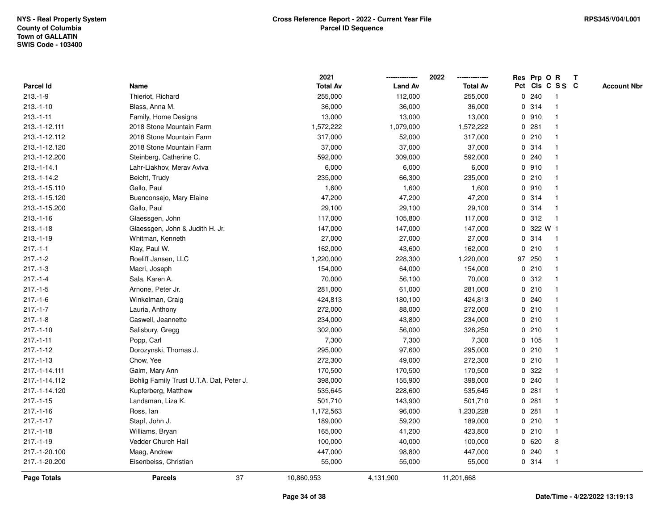|                |                                          | 2021            |                | 2022            | Res Prp O R     |           |                | $\mathbf{T}$       |  |
|----------------|------------------------------------------|-----------------|----------------|-----------------|-----------------|-----------|----------------|--------------------|--|
| Parcel Id      | Name                                     | <b>Total Av</b> | <b>Land Av</b> | <b>Total Av</b> | Pct Cls C S S C |           |                | <b>Account Nbr</b> |  |
| $213.-1-9$     | Thieriot, Richard                        | 255,000         | 112,000        | 255,000         | 0.240           |           |                |                    |  |
| $213.-1-10$    | Blass, Anna M.                           | 36,000          | 36,000         | 36,000          | 0.314           |           |                |                    |  |
| $213.-1-11$    | Family, Home Designs                     | 13,000          | 13,000         | 13,000          | 0910            |           |                |                    |  |
| 213.-1-12.111  | 2018 Stone Mountain Farm                 | 1,572,222       | 1,079,000      | 1,572,222       | 0               | 281       |                |                    |  |
| 213.-1-12.112  | 2018 Stone Mountain Farm                 | 317,000         | 52,000         | 317,000         | 0210            |           | -1             |                    |  |
| 213.-1-12.120  | 2018 Stone Mountain Farm                 | 37,000          | 37,000         | 37,000          | 0.314           |           |                |                    |  |
| 213.-1-12.200  | Steinberg, Catherine C.                  | 592,000         | 309,000        | 592,000         | 0.240           |           |                |                    |  |
| $213.-1-14.1$  | Lahr-Liakhov, Merav Aviva                | 6,000           | 6,000          | 6,000           | 0.910           |           |                |                    |  |
| 213.-1-14.2    | Beicht, Trudy                            | 235,000         | 66,300         | 235,000         | 0210            |           |                |                    |  |
| 213.-1-15.110  | Gallo, Paul                              | 1,600           | 1,600          | 1,600           | 0910            |           |                |                    |  |
| 213.-1-15.120  | Buenconsejo, Mary Elaine                 | 47,200          | 47,200         | 47,200          | 0.314           |           | -1             |                    |  |
| 213.-1-15.200  | Gallo, Paul                              | 29,100          | 29,100         | 29,100          | 0 314           |           | -1             |                    |  |
| $213.-1-16$    | Glaessgen, John                          | 117,000         | 105,800        | 117,000         | 0.312           |           | -1             |                    |  |
| $213.-1-18$    | Glaessgen, John & Judith H. Jr.          | 147,000         | 147,000        | 147,000         |                 | 0 322 W 1 |                |                    |  |
| $213.-1-19$    | Whitman, Kenneth                         | 27,000          | 27,000         | 27,000          | 0 314           |           |                |                    |  |
| $217 - 1 - 1$  | Klay, Paul W.                            | 162,000         | 43,600         | 162,000         | 0210            |           | -1             |                    |  |
| $217.-1-2$     | Roeliff Jansen, LLC                      | 1,220,000       | 228,300        | 1,220,000       | 97 250          |           |                |                    |  |
| $217 - 1 - 3$  | Macri, Joseph                            | 154,000         | 64,000         | 154,000         | 0210            |           | -1             |                    |  |
| $217 - 1 - 4$  | Sala, Karen A.                           | 70,000          | 56,100         | 70,000          | 0.312           |           | -1             |                    |  |
| $217.-1-5$     | Arnone, Peter Jr.                        | 281,000         | 61,000         | 281,000         | 0210            |           |                |                    |  |
| $217.-1-6$     | Winkelman, Craig                         | 424,813         | 180,100        | 424,813         | 0.240           |           |                |                    |  |
| $217.-1-7$     | Lauria, Anthony                          | 272,000         | 88,000         | 272,000         | 0210            |           |                |                    |  |
| $217.-1-8$     | Caswell, Jeannette                       | 234,000         | 43,800         | 234,000         | 0210            |           |                |                    |  |
| $217.-1-10$    | Salisbury, Gregg                         | 302,000         | 56,000         | 326,250         | 0210            |           | $\overline{1}$ |                    |  |
| $217 - 1 - 11$ | Popp, Carl                               | 7,300           | 7,300          | 7,300           | 0 105           |           |                |                    |  |
| $217.-1-12$    | Dorozynski, Thomas J.                    | 295,000         | 97,600         | 295,000         | 0210            |           | $\mathbf 1$    |                    |  |
| $217.-1-13$    | Chow, Yee                                | 272,300         | 49,000         | 272,300         | 0210            |           |                |                    |  |
| 217.-1-14.111  | Galm, Mary Ann                           | 170,500         | 170,500        | 170,500         | 0.322           |           |                |                    |  |
| 217.-1-14.112  | Bohlig Family Trust U.T.A. Dat, Peter J. | 398,000         | 155,900        | 398,000         | 0.240           |           |                |                    |  |
| 217.-1-14.120  | Kupferberg, Matthew                      | 535,645         | 228,600        | 535,645         | 0               | 281       |                |                    |  |
| $217.-1-15$    | Landsman, Liza K.                        | 501,710         | 143,900        | 501,710         | 0               | 281       |                |                    |  |
| $217 - 1 - 16$ | Ross, lan                                | 1,172,563       | 96,000         | 1,230,228       | 0.281           |           | -1             |                    |  |
| $217 - 1 - 17$ | Stapf, John J.                           | 189,000         | 59,200         | 189,000         | 0210            |           |                |                    |  |
| $217.-1-18$    | Williams, Bryan                          | 165,000         | 41,200         | 423,800         | 0210            |           |                |                    |  |
| $217.-1-19$    | Vedder Church Hall                       | 100,000         | 40,000         | 100,000         | 0620            |           | 8              |                    |  |
| 217.-1-20.100  | Maag, Andrew                             | 447,000         | 98,800         | 447,000         | 0.240           |           | -1             |                    |  |
| 217.-1-20.200  | Eisenbeiss, Christian                    | 55,000          | 55,000         | 55,000          | 0 314           |           | -1             |                    |  |
| Page Totals    | 37<br><b>Parcels</b>                     | 10,860,953      | 4,131,900      | 11,201,668      |                 |           |                |                    |  |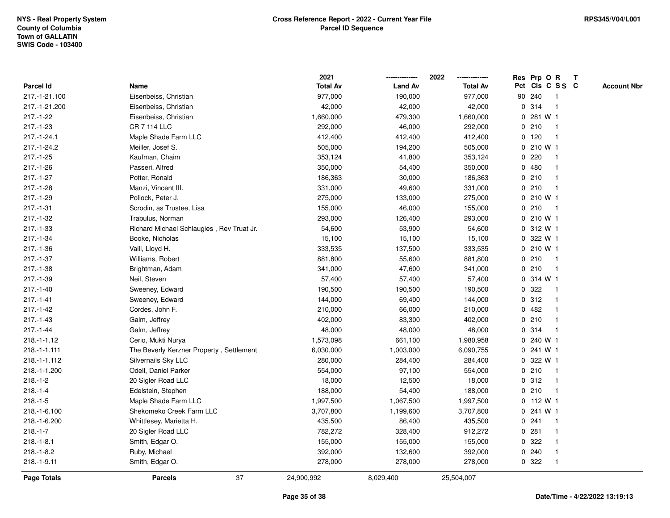|                |                                           | 2021            |                | 2022            | Res Prp O R<br>Т                      |
|----------------|-------------------------------------------|-----------------|----------------|-----------------|---------------------------------------|
| Parcel Id      | Name                                      | <b>Total Av</b> | <b>Land Av</b> | <b>Total Av</b> | Pct Cls C S S C<br><b>Account Nbr</b> |
| 217.-1-21.100  | Eisenbeiss, Christian                     | 977,000         | 190,000        | 977,000         | 90 240<br>$\mathbf{1}$                |
| 217.-1-21.200  | Eisenbeiss, Christian                     | 42,000          | 42,000         | 42,000          | 314<br>0<br>$\mathbf 1$               |
| $217.-1-22$    | Eisenbeiss, Christian                     | 1,660,000       | 479,300        | 1,660,000       | 0 281 W 1                             |
| $217.-1-23$    | <b>CR 7 114 LLC</b>                       | 292,000         | 46,000         | 292,000         | 0210<br>-1                            |
| 217.-1-24.1    | Maple Shade Farm LLC                      | 412,400         | 412,400        | 412,400         | $0$ 120                               |
| 217.-1-24.2    | Meiller, Josef S.                         | 505,000         | 194,200        | 505,000         | 0 210 W 1                             |
| $217.-1-25$    | Kaufman, Chaim                            | 353,124         | 41,800         | 353,124         | 0220                                  |
| $217.-1-26$    | Passeri, Alfred                           | 350,000         | 54,400         | 350,000         | 0480                                  |
| $217 - 1 - 27$ | Potter, Ronald                            | 186,363         | 30,000         | 186,363         | 0210<br>$\mathbf 1$                   |
| $217.-1-28$    | Manzi, Vincent III.                       | 331,000         | 49,600         | 331,000         | 0210<br>$\mathbf 1$                   |
| 217.-1-29      | Pollock, Peter J.                         | 275,000         | 133,000        | 275,000         | $0, 210$ W 1                          |
| $217.-1-31$    | Scrodin, as Trustee, Lisa                 | 155,000         | 46,000         | 155,000         | 0210<br>-1                            |
| $217.-1-32$    | Trabulus, Norman                          | 293,000         | 126,400        | 293,000         | 0 210 W 1                             |
| 217.-1-33      | Richard Michael Schlaugies, Rev Truat Jr. | 54,600          | 53,900         | 54,600          | 0 312 W 1                             |
| 217.-1-34      | Booke, Nicholas                           | 15,100          | 15,100         | 15,100          | 322 W 1<br>$\mathbf{0}$               |
| $217.-1-36$    | Vaill, Lloyd H.                           | 333,535         | 137,500        | 333,535         | $0, 210$ W 1                          |
| $217.-1-37$    | Williams, Robert                          | 881,800         | 55,600         | 881,800         | 0210<br>$\mathbf{1}$                  |
| $217.-1-38$    | Brightman, Adam                           | 341,000         | 47,600         | 341,000         | 0210<br>-1                            |
| 217.-1-39      | Neil, Steven                              | 57,400          | 57,400         | 57,400          | 0.314 W1                              |
| $217.-1-40$    | Sweeney, Edward                           | 190,500         | 190,500        | 190,500         | 0.322                                 |
| $217.-1-41$    | Sweeney, Edward                           | 144,000         | 69,400         | 144,000         | 0.312                                 |
| $217.-1-42$    | Cordes, John F.                           | 210,000         | 66,000         | 210,000         | 0482                                  |
| $217.-1-43$    | Galm, Jeffrey                             | 402,000         | 83,300         | 402,000         | 0210<br>-1                            |
| $217 - 1 - 44$ | Galm, Jeffrey                             | 48,000          | 48,000         | 48,000          | 0.314<br>-1                           |
| $218.-1-1.12$  | Cerio, Mukti Nurya                        | 1,573,098       | 661,100        | 1,980,958       | 0 240 W 1                             |
| 218.-1-1.111   | The Beverly Kerzner Property, Settlement  | 6,030,000       | 1,003,000      | 6,090,755       | 0.241 W1                              |
| 218.-1-1.112   | Silvernails Sky LLC                       | 280,000         | 284,400        | 284,400         | 0 322 W 1                             |
| 218.-1-1.200   | Odell, Daniel Parker                      | 554,000         | 97,100         | 554,000         | 0210<br>-1                            |
| $218.-1-2$     | 20 Sigler Road LLC                        | 18,000          | 12,500         | 18,000          | 0.312<br>-1                           |
| $218.-1-4$     | Edelstein, Stephen                        | 188,000         | 54,400         | 188,000         | 210<br>$\mathbf 0$<br>$\mathbf{1}$    |
| $218.-1-5$     | Maple Shade Farm LLC                      | 1,997,500       | 1,067,500      | 1,997,500       | $0$ 112 W 1                           |
| 218.-1-6.100   | Shekomeko Creek Farm LLC                  | 3,707,800       | 1,199,600      | 3,707,800       | 0.241 W1                              |
| 218.-1-6.200   | Whittlesey, Marietta H.                   | 435,500         | 86,400         | 435,500         | 0.241                                 |
| $218.-1-7$     | 20 Sigler Road LLC                        | 782,272         | 328,400        | 912,272         | 0.281                                 |
| $218.-1-8.1$   | Smith, Edgar O.                           | 155,000         | 155,000        | 155,000         | 0 322                                 |
| $218.-1-8.2$   | Ruby, Michael                             | 392,000         | 132,600        | 392,000         | 0.240<br>-1                           |
| 218.-1-9.11    | Smith, Edgar O.                           | 278,000         | 278,000        | 278,000         | 0.322<br>$\mathbf{1}$                 |
| Page Totals    | 37<br><b>Parcels</b>                      | 24,900,992      | 8,029,400      | 25,504,007      |                                       |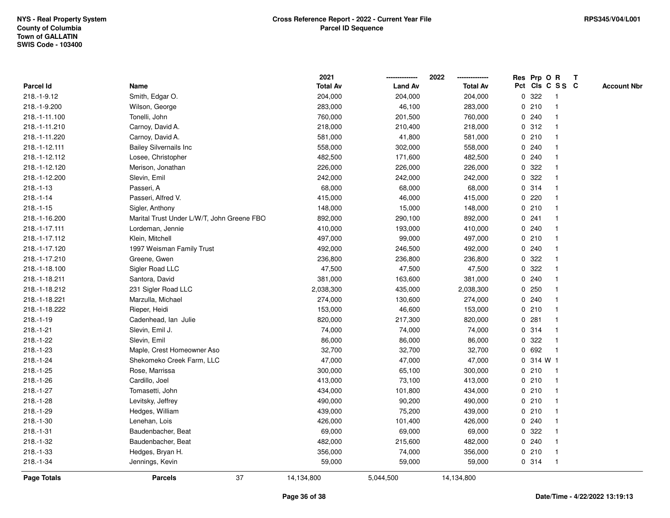|               |                                            | 2021            |                | 2022            | Res Prp O R     |              | Т |                    |
|---------------|--------------------------------------------|-----------------|----------------|-----------------|-----------------|--------------|---|--------------------|
| Parcel Id     | Name                                       | <b>Total Av</b> | <b>Land Av</b> | <b>Total Av</b> | Pct Cls C S S C |              |   | <b>Account Nbr</b> |
| 218.-1-9.12   | Smith, Edgar O.                            | 204,000         | 204,000        | 204,000         | 322<br>0        | $\mathbf{1}$ |   |                    |
| 218.-1-9.200  | Wilson, George                             | 283,000         | 46,100         | 283,000         | 0210            | 1            |   |                    |
| 218.-1-11.100 | Tonelli, John                              | 760,000         | 201,500        | 760,000         | 0.240           | $\mathbf 1$  |   |                    |
| 218.-1-11.210 | Carnoy, David A.                           | 218,000         | 210,400        | 218,000         | 0.312           |              |   |                    |
| 218.-1-11.220 | Carnoy, David A.                           | 581,000         | 41,800         | 581,000         | 0210            |              |   |                    |
| 218.-1-12.111 | <b>Bailey Silvernails Inc</b>              | 558,000         | 302,000        | 558,000         | 0.240           |              |   |                    |
| 218.-1-12.112 | Losee, Christopher                         | 482,500         | 171,600        | 482,500         | 0.240           |              |   |                    |
| 218.-1-12.120 | Merison, Jonathan                          | 226,000         | 226,000        | 226,000         | 322<br>0        |              |   |                    |
| 218.-1-12.200 | Slevin, Emil                               | 242,000         | 242,000        | 242,000         | 322<br>0        | 1            |   |                    |
| $218.-1-13$   | Passeri, A                                 | 68,000          | 68,000         | 68,000          | 0.314           | $\mathbf 1$  |   |                    |
| $218.-1-14$   | Passeri, Alfred V.                         | 415,000         | 46,000         | 415,000         | 0.220           | $\mathbf 1$  |   |                    |
| $218.-1-15$   | Sigler, Anthony                            | 148,000         | 15,000         | 148,000         | 0210            |              |   |                    |
| 218.-1-16.200 | Marital Trust Under L/W/T, John Greene FBO | 892,000         | 290,100        | 892,000         | 0.241           |              |   |                    |
| 218.-1-17.111 | Lordeman, Jennie                           | 410,000         | 193,000        | 410,000         | 0.240           |              |   |                    |
| 218.-1-17.112 | Klein, Mitchell                            | 497,000         | 99,000         | 497,000         | 0210            | $\mathbf 1$  |   |                    |
| 218.-1-17.120 | 1997 Weisman Family Trust                  | 492,000         | 246,500        | 492,000         | 0.240           | 1            |   |                    |
| 218.-1-17.210 | Greene, Gwen                               | 236,800         | 236,800        | 236,800         | 322<br>0        | -1           |   |                    |
| 218.-1-18.100 | Sigler Road LLC                            | 47,500          | 47,500         | 47,500          | 0.322           |              |   |                    |
| 218.-1-18.211 | Santora, David                             | 381,000         | 163,600        | 381,000         | 0.240           |              |   |                    |
| 218.-1-18.212 | 231 Sigler Road LLC                        | 2,038,300       | 435,000        | 2,038,300       | 0.250           |              |   |                    |
| 218.-1-18.221 | Marzulla, Michael                          | 274,000         | 130,600        | 274,000         | 0.240           |              |   |                    |
| 218.-1-18.222 | Rieper, Heidi                              | 153,000         | 46,600         | 153,000         | 0210            |              |   |                    |
| $218.-1-19$   | Cadenhead, Ian Julie                       | 820,000         | 217,300        | 820,000         | 0.281           | 1            |   |                    |
| $218.-1-21$   | Slevin, Emil J.                            | 74,000          | 74,000         | 74,000          | 0.314           | $\mathbf 1$  |   |                    |
| 218.-1-22     | Slevin, Emil                               | 86,000          | 86,000         | 86,000          | 0.322           | 1            |   |                    |
| 218.-1-23     | Maple, Crest Homeowner Aso                 | 32,700          | 32,700         | 32,700          | 0 692           |              |   |                    |
| $218.-1-24$   | Shekomeko Creek Farm, LLC                  | 47,000          | 47,000         | 47,000          | 0 314 W 1       |              |   |                    |
| $218.-1-25$   | Rose, Marrissa                             | 300,000         | 65,100         | 300,000         | 0210            | 1            |   |                    |
| 218.-1-26     | Cardillo, Joel                             | 413,000         | 73,100         | 413,000         | 0210            | $\mathbf{1}$ |   |                    |
| $218.-1-27$   | Tomasetti, John                            | 434,000         | 101,800        | 434,000         | 0210            | 1            |   |                    |
| 218.-1-28     | Levitsky, Jeffrey                          | 490,000         | 90,200         | 490,000         | 0210            | 1            |   |                    |
| 218.-1-29     | Hedges, William                            | 439,000         | 75,200         | 439,000         | 0210            | $\mathbf 1$  |   |                    |
| $218.-1-30$   | Lenehan, Lois                              | 426,000         | 101,400        | 426,000         | 0.240           |              |   |                    |
| $218.-1-31$   | Baudenbacher, Beat                         | 69,000          | 69,000         | 69,000          | 0.322           |              |   |                    |
| 218.-1-32     | Baudenbacher, Beat                         | 482,000         | 215,600        | 482,000         | 0.240           | $\mathbf 1$  |   |                    |
| 218.-1-33     | Hedges, Bryan H.                           | 356,000         | 74,000         | 356,000         | 0210            | 1            |   |                    |
| 218.-1-34     | Jennings, Kevin                            | 59,000          | 59,000         | 59,000          | 0.314           | $\mathbf{1}$ |   |                    |
| Page Totals   | 37<br><b>Parcels</b>                       | 14,134,800      | 5,044,500      | 14,134,800      |                 |              |   |                    |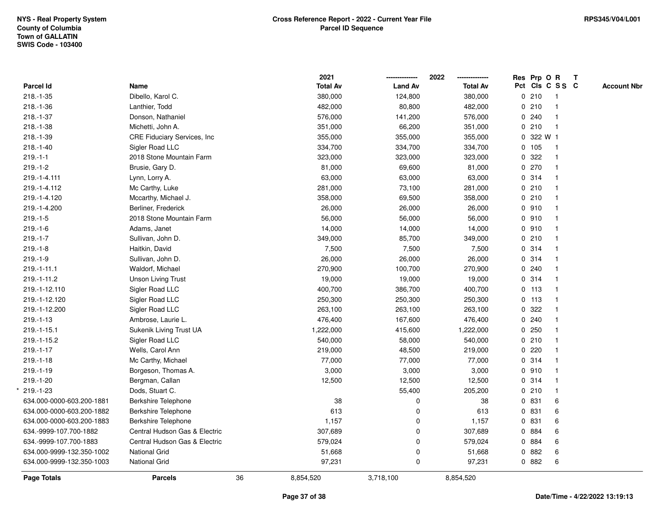|                           |                               |    | 2021            |                | 2022<br>-------------- | Res Prp O R     |                         | $\mathbf{T}$ |                    |
|---------------------------|-------------------------------|----|-----------------|----------------|------------------------|-----------------|-------------------------|--------------|--------------------|
| Parcel Id                 | Name                          |    | <b>Total Av</b> | <b>Land Av</b> | <b>Total Av</b>        | Pct Cls C S S C |                         |              | <b>Account Nbr</b> |
| 218.-1-35                 | Dibello, Karol C.             |    | 380,000         | 124,800        | 380,000                | 0210            | -1                      |              |                    |
| 218.-1-36                 | Lanthier, Todd                |    | 482,000         | 80,800         | 482,000                | 0210            |                         |              |                    |
| 218.-1-37                 | Donson, Nathaniel             |    | 576,000         | 141,200        | 576,000                | 0.240           | $\overline{\mathbf{1}}$ |              |                    |
| 218.-1-38                 | Michetti, John A.             |    | 351,000         | 66,200         | 351,000                | 0210            | $\overline{1}$          |              |                    |
| 218.-1-39                 | CRE Fiduciary Services, Inc.  |    | 355,000         | 355,000        | 355,000                | 0 322 W 1       |                         |              |                    |
| $218.-1-40$               | Sigler Road LLC               |    | 334,700         | 334,700        | 334,700                | 0 105           | $\mathbf{1}$            |              |                    |
| $219.-1-1$                | 2018 Stone Mountain Farm      |    | 323,000         | 323,000        | 323,000                | 0.322           |                         |              |                    |
| $219.-1-2$                | Brusie, Gary D.               |    | 81,000          | 69,600         | 81,000                 | 0270            |                         |              |                    |
| 219.-1-4.111              | Lynn, Lorry A.                |    | 63,000          | 63,000         | 63,000                 | 0.314           |                         |              |                    |
| 219.-1-4.112              | Mc Carthy, Luke               |    | 281,000         | 73,100         | 281,000                | 0210            |                         |              |                    |
| 219.-1-4.120              | Mccarthy, Michael J.          |    | 358,000         | 69,500         | 358,000                | 0210            | $\mathbf{1}$            |              |                    |
| 219.-1-4.200              | Berliner, Frederick           |    | 26,000          | 26,000         | 26,000                 | 0.910           |                         |              |                    |
| $219.-1-5$                | 2018 Stone Mountain Farm      |    | 56,000          | 56,000         | 56,000                 | 0910            |                         |              |                    |
| $219.-1-6$                | Adams, Janet                  |    | 14,000          | 14,000         | 14,000                 | 0.910           |                         |              |                    |
| $219.-1-7$                | Sullivan, John D.             |    | 349,000         | 85,700         | 349,000                | 0210            |                         |              |                    |
| $219.-1-8$                | Haitkin, David                |    | 7,500           | 7,500          | 7,500                  | 0.314           |                         |              |                    |
| $219.-1-9$                | Sullivan, John D.             |    | 26,000          | 26,000         | 26,000                 | 0 314           |                         |              |                    |
| 219.-1-11.1               | Waldorf, Michael              |    | 270,900         | 100,700        | 270,900                | 0.240           | $\mathbf{1}$            |              |                    |
| 219.-1-11.2               | <b>Unson Living Trust</b>     |    | 19,000          | 19,000         | 19,000                 | 0 314           | $\overline{1}$          |              |                    |
| 219.-1-12.110             | Sigler Road LLC               |    | 400,700         | 386,700        | 400,700                | $0$ 113         |                         |              |                    |
| 219.-1-12.120             | Sigler Road LLC               |    | 250,300         | 250,300        | 250,300                | $0$ 113         |                         |              |                    |
| 219.-1-12.200             | Sigler Road LLC               |    | 263,100         | 263,100        | 263,100                | 0.322           |                         |              |                    |
| $219.-1-13$               | Ambrose, Laurie L.            |    | 476,400         | 167,600        | 476,400                | 0240            |                         |              |                    |
| 219.-1-15.1               | Sukenik Living Trust UA       |    | 1,222,000       | 415,600        | 1,222,000              | 0.250           |                         |              |                    |
| 219.-1-15.2               | Sigler Road LLC               |    | 540,000         | 58,000         | 540,000                | 0210            |                         |              |                    |
| $219.-1-17$               | Wells, Carol Ann              |    | 219,000         | 48,500         | 219,000                | 0.220           |                         |              |                    |
| $219.-1-18$               | Mc Carthy, Michael            |    | 77,000          | 77,000         | 77,000                 | 0.314           |                         |              |                    |
| $219.-1-19$               | Borgeson, Thomas A.           |    | 3,000           | 3,000          | 3,000                  | 0910            |                         |              |                    |
| 219.-1-20                 | Bergman, Callan               |    | 12,500          | 12,500         | 12,500                 | 0.314           |                         |              |                    |
| 219.-1-23                 | Dods, Stuart C.               |    |                 | 55,400         | 205,200                | 0210            | $\overline{\mathbf{1}}$ |              |                    |
| 634.000-0000-603.200-1881 | Berkshire Telephone           |    | 38              | 0              | 38                     | 0 831           | 6                       |              |                    |
| 634.000-0000-603.200-1882 | Berkshire Telephone           |    | 613             | 0              | 613                    | 0 831           | 6                       |              |                    |
| 634.000-0000-603.200-1883 | <b>Berkshire Telephone</b>    |    | 1,157           | 0              | 1,157                  | 0 831           | 6                       |              |                    |
| 634.-9999-107.700-1882    | Central Hudson Gas & Electric |    | 307,689         | 0              | 307,689                | 0 884           | 6                       |              |                    |
| 634.-9999-107.700-1883    | Central Hudson Gas & Electric |    | 579,024         | $\mathbf 0$    | 579,024                | 0 884           | 6                       |              |                    |
| 634.000-9999-132.350-1002 | National Grid                 |    | 51,668          | 0              | 51,668                 | 0 882           | 6                       |              |                    |
| 634.000-9999-132.350-1003 | National Grid                 |    | 97,231          | 0              | 97,231                 | 0 882           | 6                       |              |                    |
| <b>Page Totals</b>        | <b>Parcels</b>                | 36 | 8,854,520       | 3,718,100      | 8,854,520              |                 |                         |              |                    |